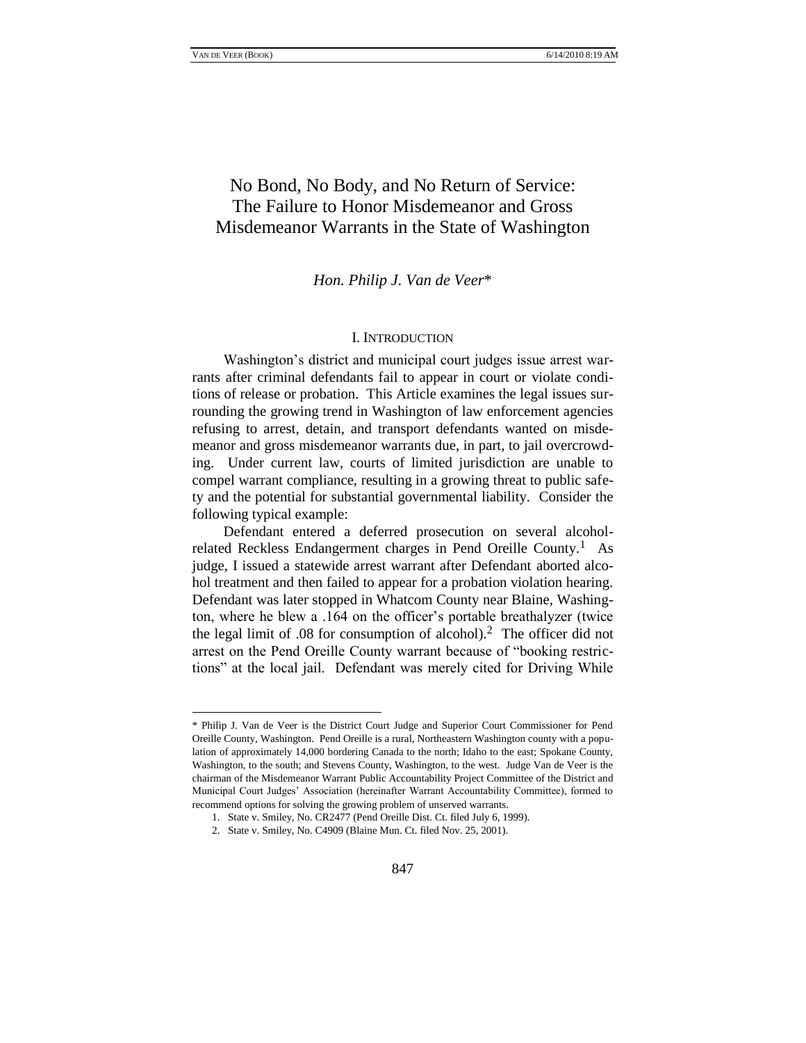# No Bond, No Body, and No Return of Service: The Failure to Honor Misdemeanor and Gross Misdemeanor Warrants in the State of Washington

#### *Hon. Philip J. Van de Veer*\*

#### I. INTRODUCTION

Washington's district and municipal court judges issue arrest warrants after criminal defendants fail to appear in court or violate conditions of release or probation. This Article examines the legal issues surrounding the growing trend in Washington of law enforcement agencies refusing to arrest, detain, and transport defendants wanted on misdemeanor and gross misdemeanor warrants due, in part, to jail overcrowding. Under current law, courts of limited jurisdiction are unable to compel warrant compliance, resulting in a growing threat to public safety and the potential for substantial governmental liability. Consider the following typical example:

Defendant entered a deferred prosecution on several alcoholrelated Reckless Endangerment charges in Pend Oreille County.<sup>1</sup> As judge, I issued a statewide arrest warrant after Defendant aborted alcohol treatment and then failed to appear for a probation violation hearing. Defendant was later stopped in Whatcom County near Blaine, Washington, where he blew a .164 on the officer's portable breathalyzer (twice the legal limit of .08 for consumption of alcohol).<sup>2</sup> The officer did not arrest on the Pend Oreille County warrant because of "booking restrictions" at the local jail. Defendant was merely cited for Driving While

<sup>\*</sup> Philip J. Van de Veer is the District Court Judge and Superior Court Commissioner for Pend Oreille County, Washington. Pend Oreille is a rural, Northeastern Washington county with a population of approximately 14,000 bordering Canada to the north; Idaho to the east; Spokane County, Washington, to the south; and Stevens County, Washington, to the west. Judge Van de Veer is the chairman of the Misdemeanor Warrant Public Accountability Project Committee of the District and Municipal Court Judges' Association (hereinafter Warrant Accountability Committee), formed to recommend options for solving the growing problem of unserved warrants.

<sup>1.</sup> State v. Smiley, No. CR2477 (Pend Oreille Dist. Ct. filed July 6, 1999).

<sup>2.</sup> State v. Smiley, No. C4909 (Blaine Mun. Ct. filed Nov. 25, 2001).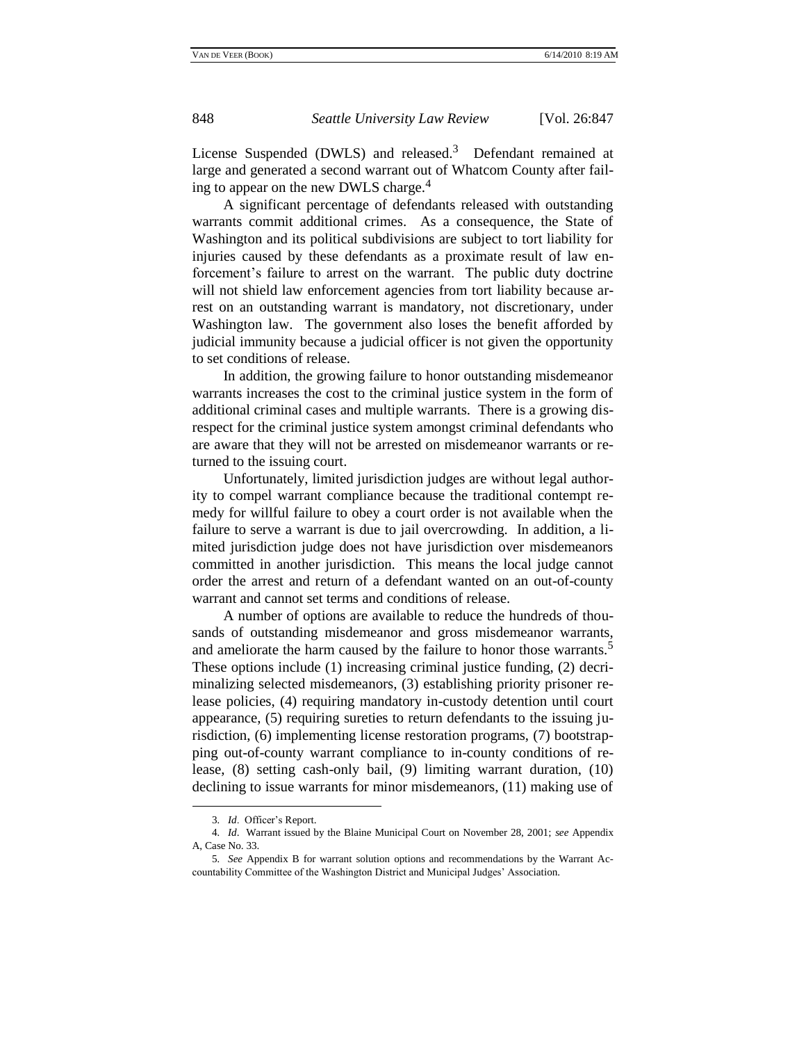License Suspended (DWLS) and released.<sup>3</sup> Defendant remained at large and generated a second warrant out of Whatcom County after failing to appear on the new DWLS charge.<sup>4</sup>

A significant percentage of defendants released with outstanding warrants commit additional crimes. As a consequence, the State of Washington and its political subdivisions are subject to tort liability for injuries caused by these defendants as a proximate result of law enforcement's failure to arrest on the warrant. The public duty doctrine will not shield law enforcement agencies from tort liability because arrest on an outstanding warrant is mandatory, not discretionary, under Washington law. The government also loses the benefit afforded by judicial immunity because a judicial officer is not given the opportunity to set conditions of release.

In addition, the growing failure to honor outstanding misdemeanor warrants increases the cost to the criminal justice system in the form of additional criminal cases and multiple warrants. There is a growing disrespect for the criminal justice system amongst criminal defendants who are aware that they will not be arrested on misdemeanor warrants or returned to the issuing court.

Unfortunately, limited jurisdiction judges are without legal authority to compel warrant compliance because the traditional contempt remedy for willful failure to obey a court order is not available when the failure to serve a warrant is due to jail overcrowding. In addition, a limited jurisdiction judge does not have jurisdiction over misdemeanors committed in another jurisdiction. This means the local judge cannot order the arrest and return of a defendant wanted on an out-of-county warrant and cannot set terms and conditions of release.

A number of options are available to reduce the hundreds of thousands of outstanding misdemeanor and gross misdemeanor warrants, and ameliorate the harm caused by the failure to honor those warrants.<sup>5</sup> These options include (1) increasing criminal justice funding, (2) decriminalizing selected misdemeanors, (3) establishing priority prisoner release policies, (4) requiring mandatory in-custody detention until court appearance, (5) requiring sureties to return defendants to the issuing jurisdiction, (6) implementing license restoration programs, (7) bootstrapping out-of-county warrant compliance to in-county conditions of release, (8) setting cash-only bail, (9) limiting warrant duration, (10) declining to issue warrants for minor misdemeanors, (11) making use of

<sup>3</sup>*. Id*. Officer's Report.

<sup>4</sup>*. Id*. Warrant issued by the Blaine Municipal Court on November 28, 2001; *see* Appendix A, Case No. 33.

<sup>5</sup>*. See* Appendix B for warrant solution options and recommendations by the Warrant Accountability Committee of the Washington District and Municipal Judges' Association.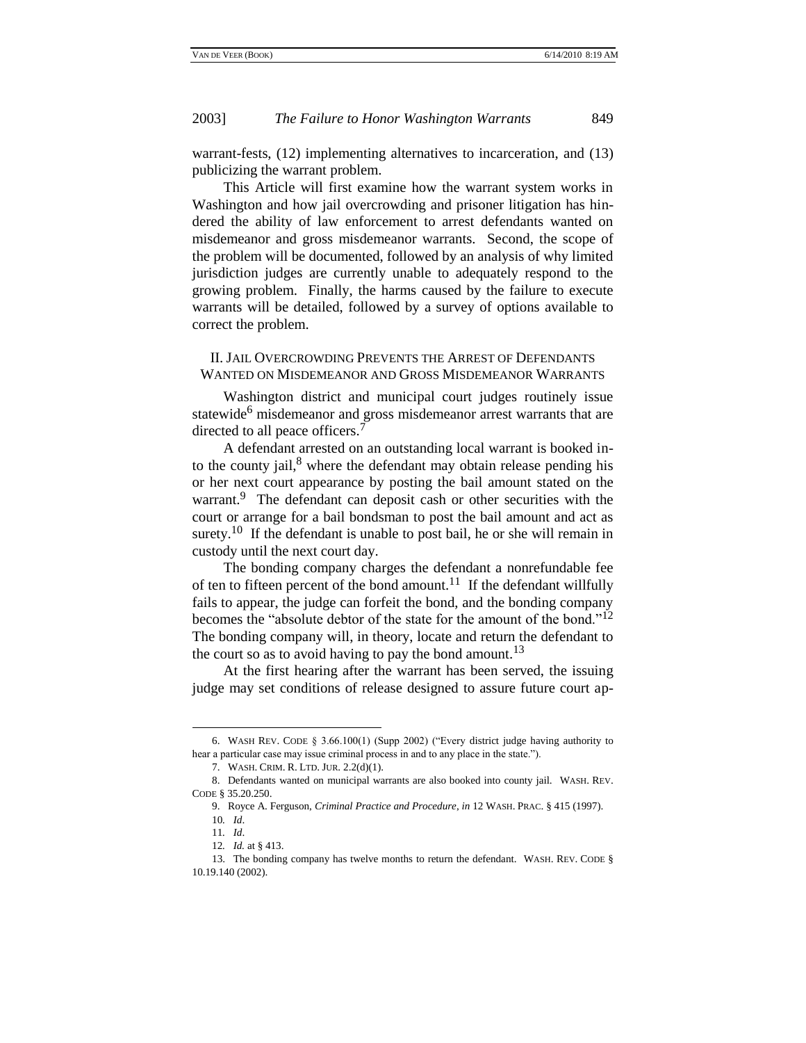warrant-fests, (12) implementing alternatives to incarceration, and (13) publicizing the warrant problem.

This Article will first examine how the warrant system works in Washington and how jail overcrowding and prisoner litigation has hindered the ability of law enforcement to arrest defendants wanted on misdemeanor and gross misdemeanor warrants. Second, the scope of the problem will be documented, followed by an analysis of why limited jurisdiction judges are currently unable to adequately respond to the growing problem. Finally, the harms caused by the failure to execute warrants will be detailed, followed by a survey of options available to correct the problem.

### II. JAIL OVERCROWDING PREVENTS THE ARREST OF DEFENDANTS WANTED ON MISDEMEANOR AND GROSS MISDEMEANOR WARRANTS

Washington district and municipal court judges routinely issue statewide<sup>6</sup> misdemeanor and gross misdemeanor arrest warrants that are directed to all peace officers.<sup>7</sup>

A defendant arrested on an outstanding local warrant is booked into the county jail, $8$  where the defendant may obtain release pending his or her next court appearance by posting the bail amount stated on the warrant.<sup>9</sup> The defendant can deposit cash or other securities with the court or arrange for a bail bondsman to post the bail amount and act as surety.<sup>10</sup> If the defendant is unable to post bail, he or she will remain in custody until the next court day.

The bonding company charges the defendant a nonrefundable fee of ten to fifteen percent of the bond amount.<sup>11</sup> If the defendant willfully fails to appear, the judge can forfeit the bond, and the bonding company becomes the "absolute debtor of the state for the amount of the bond." $^{12}$ The bonding company will, in theory, locate and return the defendant to the court so as to avoid having to pay the bond amount.<sup>13</sup>

At the first hearing after the warrant has been served, the issuing judge may set conditions of release designed to assure future court ap-

<sup>6.</sup> WASH REV. CODE  $\S 3.66.100(1)$  (Supp 2002) ("Every district judge having authority to hear a particular case may issue criminal process in and to any place in the state.").

<sup>7.</sup> WASH. CRIM. R. LTD. JUR. 2.2(d)(1).

<sup>8.</sup> Defendants wanted on municipal warrants are also booked into county jail. WASH. REV. CODE § 35.20.250.

<sup>9.</sup> Royce A. Ferguson, *Criminal Practice and Procedure*, *in* 12 WASH. PRAC. § 415 (1997). 10*. Id*.

<sup>11</sup>*. Id*.

<sup>12</sup>*. Id.* at § 413.

<sup>13.</sup> The bonding company has twelve months to return the defendant. WASH. REV. CODE § 10.19.140 (2002).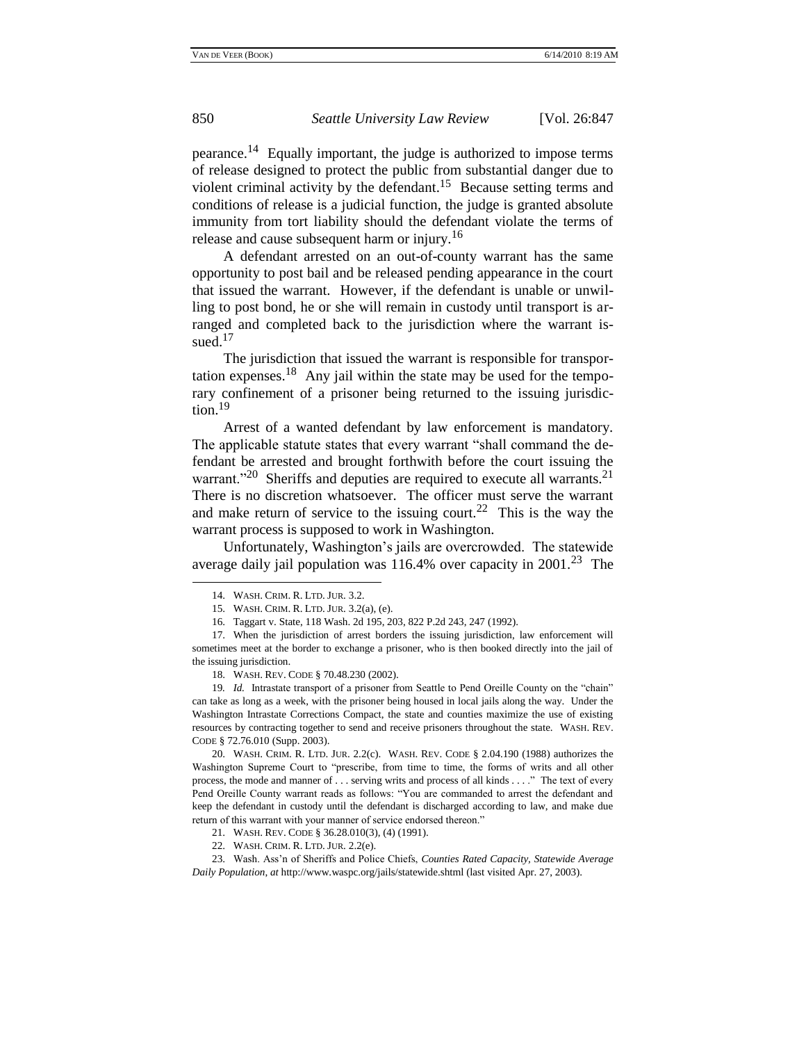pearance.<sup>14</sup> Equally important, the judge is authorized to impose terms of release designed to protect the public from substantial danger due to violent criminal activity by the defendant.<sup>15</sup> Because setting terms and conditions of release is a judicial function, the judge is granted absolute immunity from tort liability should the defendant violate the terms of release and cause subsequent harm or injury.<sup>16</sup>

A defendant arrested on an out-of-county warrant has the same opportunity to post bail and be released pending appearance in the court that issued the warrant. However, if the defendant is unable or unwilling to post bond, he or she will remain in custody until transport is arranged and completed back to the jurisdiction where the warrant issued. $17$ 

The jurisdiction that issued the warrant is responsible for transportation expenses.<sup>18</sup> Any jail within the state may be used for the temporary confinement of a prisoner being returned to the issuing jurisdiction.<sup>19</sup>

Arrest of a wanted defendant by law enforcement is mandatory. The applicable statute states that every warrant "shall command the defendant be arrested and brought forthwith before the court issuing the warrant."<sup>20</sup> Sheriffs and deputies are required to execute all warrants.<sup>21</sup> There is no discretion whatsoever. The officer must serve the warrant and make return of service to the issuing court.<sup>22</sup> This is the way the warrant process is supposed to work in Washington.

Unfortunately, Washington's jails are overcrowded. The statewide average daily jail population was  $116.4%$  over capacity in  $2001<sup>23</sup>$  The

l

17. When the jurisdiction of arrest borders the issuing jurisdiction, law enforcement will sometimes meet at the border to exchange a prisoner, who is then booked directly into the jail of the issuing jurisdiction.

<sup>14.</sup> WASH. CRIM. R. LTD. JUR. 3.2.

<sup>15.</sup> WASH. CRIM. R. LTD. JUR. 3.2(a), (e).

<sup>16.</sup> Taggart v. State, 118 Wash. 2d 195, 203, 822 P.2d 243, 247 (1992).

<sup>18.</sup> WASH. REV. CODE § 70.48.230 (2002).

<sup>19.</sup> *Id.* Intrastate transport of a prisoner from Seattle to Pend Oreille County on the "chain" can take as long as a week, with the prisoner being housed in local jails along the way. Under the Washington Intrastate Corrections Compact, the state and counties maximize the use of existing resources by contracting together to send and receive prisoners throughout the state. WASH. REV. CODE § 72.76.010 (Supp. 2003).

<sup>20.</sup> WASH. CRIM. R. LTD. JUR. 2.2(c). WASH. REV. CODE § 2.04.190 (1988) authorizes the Washington Supreme Court to "prescribe, from time to time, the forms of writs and all other process, the mode and manner of . . . serving writs and process of all kinds . . . ." The text of every Pend Oreille County warrant reads as follows: "You are commanded to arrest the defendant and keep the defendant in custody until the defendant is discharged according to law, and make due return of this warrant with your manner of service endorsed thereon."

<sup>21.</sup> WASH. REV. CODE § 36.28.010(3), (4) (1991).

<sup>22.</sup> WASH. CRIM. R. LTD. JUR. 2.2(e).

<sup>23.</sup> Wash. Ass'n of Sheriffs and Police Chiefs, *Counties Rated Capacity, Statewide Average Daily Population*, *at* http://www.waspc.org/jails/statewide.shtml (last visited Apr. 27, 2003).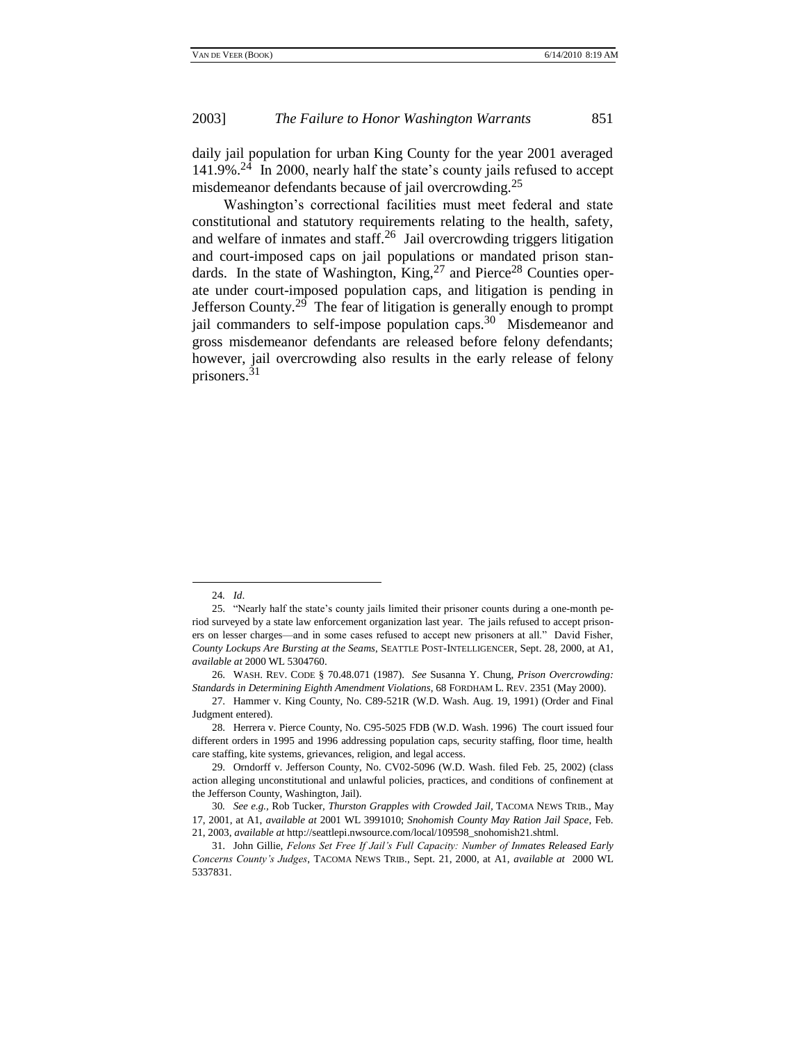daily jail population for urban King County for the year 2001 averaged  $141.9\%$ <sup>24</sup> In 2000, nearly half the state's county jails refused to accept misdemeanor defendants because of jail overcrowding.<sup>25</sup>

Washington's correctional facilities must meet federal and state constitutional and statutory requirements relating to the health, safety, and welfare of inmates and staff.<sup>26</sup> Jail overcrowding triggers litigation and court-imposed caps on jail populations or mandated prison standards. In the state of Washington, King,  $27$  and Pierce<sup>28</sup> Counties operate under court-imposed population caps, and litigation is pending in Jefferson County.<sup>29</sup> The fear of litigation is generally enough to prompt jail commanders to self-impose population caps.<sup>30</sup> Misdemeanor and gross misdemeanor defendants are released before felony defendants; however, jail overcrowding also results in the early release of felony prisoners.<sup>31</sup>

<sup>24</sup>*. Id*.

<sup>25. &</sup>quot;Nearly half the state's county jails limited their prisoner counts during a one-month period surveyed by a state law enforcement organization last year. The jails refused to accept prisoners on lesser charges—and in some cases refused to accept new prisoners at all." David Fisher, *County Lockups Are Bursting at the Seams*, SEATTLE POST-INTELLIGENCER, Sept. 28, 2000, at A1, *available at* 2000 WL 5304760.

<sup>26.</sup> WASH. REV. CODE § 70.48.071 (1987). *See* Susanna Y. Chung, *Prison Overcrowding: Standards in Determining Eighth Amendment Violations*, 68 FORDHAM L. REV. 2351 (May 2000).

<sup>27.</sup> Hammer v. King County, No. C89-521R (W.D. Wash. Aug. 19, 1991) (Order and Final Judgment entered).

<sup>28.</sup> Herrera v. Pierce County, No. C95-5025 FDB (W.D. Wash. 1996) The court issued four different orders in 1995 and 1996 addressing population caps, security staffing, floor time, health care staffing, kite systems, grievances, religion, and legal access.

<sup>29.</sup> Orndorff v. Jefferson County, No. CV02-5096 (W.D. Wash. filed Feb. 25, 2002) (class action alleging unconstitutional and unlawful policies, practices, and conditions of confinement at the Jefferson County, Washington, Jail).

<sup>30</sup>*. See e.g.,* Rob Tucker, *Thurston Grapples with Crowded Jail,* TACOMA NEWS TRIB., May 17, 2001, at A1, *available at* 2001 WL 3991010; *Snohomish County May Ration Jail Space*, Feb. 21, 2003, *available at* http://seattlepi.nwsource.com/local/109598\_snohomish21.shtml.

<sup>31.</sup> John Gillie, *Felons Set Free If Jail's Full Capacity: Number of Inmates Released Early Concerns County's Judges*, TACOMA NEWS TRIB., Sept. 21, 2000, at A1, *available at* 2000 WL 5337831.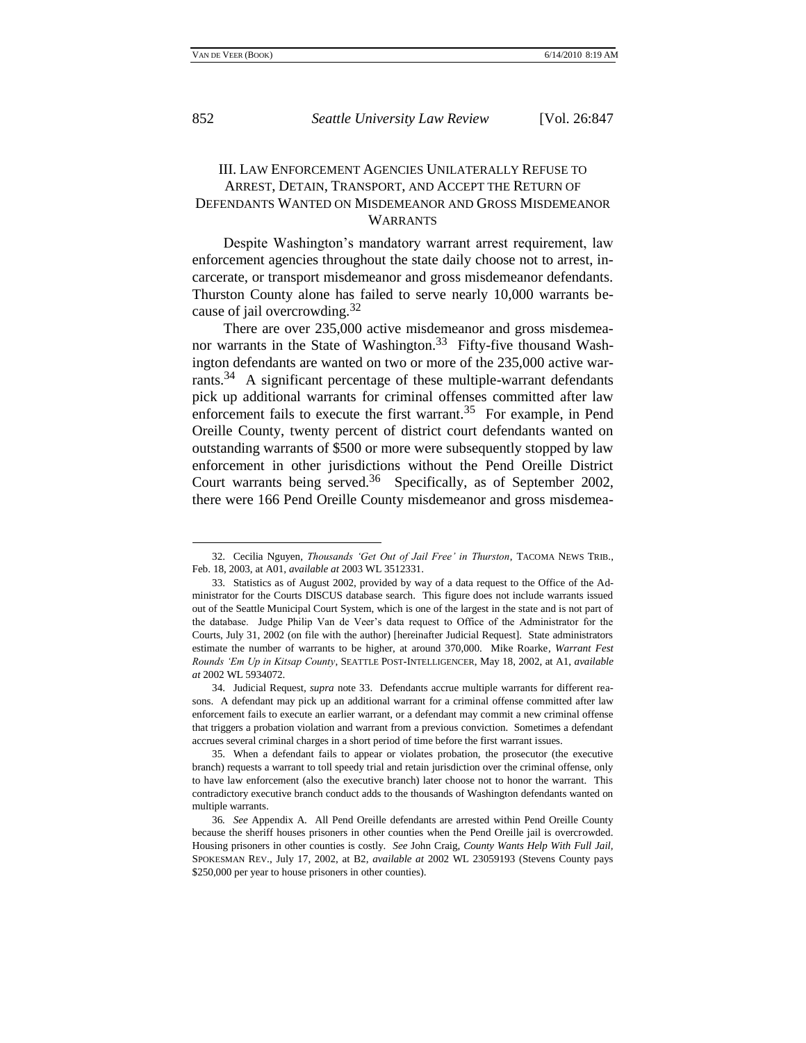852 *Seattle University Law Review* [Vol. 26:847

## III. LAW ENFORCEMENT AGENCIES UNILATERALLY REFUSE TO ARREST, DETAIN, TRANSPORT, AND ACCEPT THE RETURN OF DEFENDANTS WANTED ON MISDEMEANOR AND GROSS MISDEMEANOR WARRANTS

Despite Washington's mandatory warrant arrest requirement, law enforcement agencies throughout the state daily choose not to arrest, incarcerate, or transport misdemeanor and gross misdemeanor defendants. Thurston County alone has failed to serve nearly 10,000 warrants because of jail overcrowding.<sup>32</sup>

There are over 235,000 active misdemeanor and gross misdemeanor warrants in the State of Washington.<sup>33</sup> Fifty-five thousand Washington defendants are wanted on two or more of the 235,000 active warrants.<sup>34</sup> A significant percentage of these multiple-warrant defendants pick up additional warrants for criminal offenses committed after law enforcement fails to execute the first warrant.<sup>35</sup> For example, in Pend Oreille County, twenty percent of district court defendants wanted on outstanding warrants of \$500 or more were subsequently stopped by law enforcement in other jurisdictions without the Pend Oreille District Court warrants being served. $36$  Specifically, as of September 2002, there were 166 Pend Oreille County misdemeanor and gross misdemea-

<sup>32.</sup> Cecilia Nguyen, *Thousands 'Get Out of Jail Free' in Thurston*, TACOMA NEWS TRIB., Feb. 18, 2003, at A01, *available at* 2003 WL 3512331.

<sup>33.</sup> Statistics as of August 2002, provided by way of a data request to the Office of the Administrator for the Courts DISCUS database search. This figure does not include warrants issued out of the Seattle Municipal Court System, which is one of the largest in the state and is not part of the database. Judge Philip Van de Veer's data request to Office of the Administrator for the Courts, July 31, 2002 (on file with the author) [hereinafter Judicial Request]. State administrators estimate the number of warrants to be higher, at around 370,000. Mike Roarke*, Warrant Fest Rounds 'Em Up in Kitsap County*, SEATTLE POST-INTELLIGENCER, May 18, 2002, at A1, *available at* 2002 WL 5934072.

<sup>34.</sup> Judicial Request, *supra* note 33. Defendants accrue multiple warrants for different reasons. A defendant may pick up an additional warrant for a criminal offense committed after law enforcement fails to execute an earlier warrant, or a defendant may commit a new criminal offense that triggers a probation violation and warrant from a previous conviction. Sometimes a defendant accrues several criminal charges in a short period of time before the first warrant issues.

<sup>35.</sup> When a defendant fails to appear or violates probation, the prosecutor (the executive branch) requests a warrant to toll speedy trial and retain jurisdiction over the criminal offense, only to have law enforcement (also the executive branch) later choose not to honor the warrant. This contradictory executive branch conduct adds to the thousands of Washington defendants wanted on multiple warrants.

<sup>36</sup>*. See* Appendix A. All Pend Oreille defendants are arrested within Pend Oreille County because the sheriff houses prisoners in other counties when the Pend Oreille jail is overcrowded. Housing prisoners in other counties is costly. *See* John Craig, *County Wants Help With Full Jail,*  SPOKESMAN REV., July 17, 2002, at B2, *available at* 2002 WL 23059193 (Stevens County pays \$250,000 per year to house prisoners in other counties).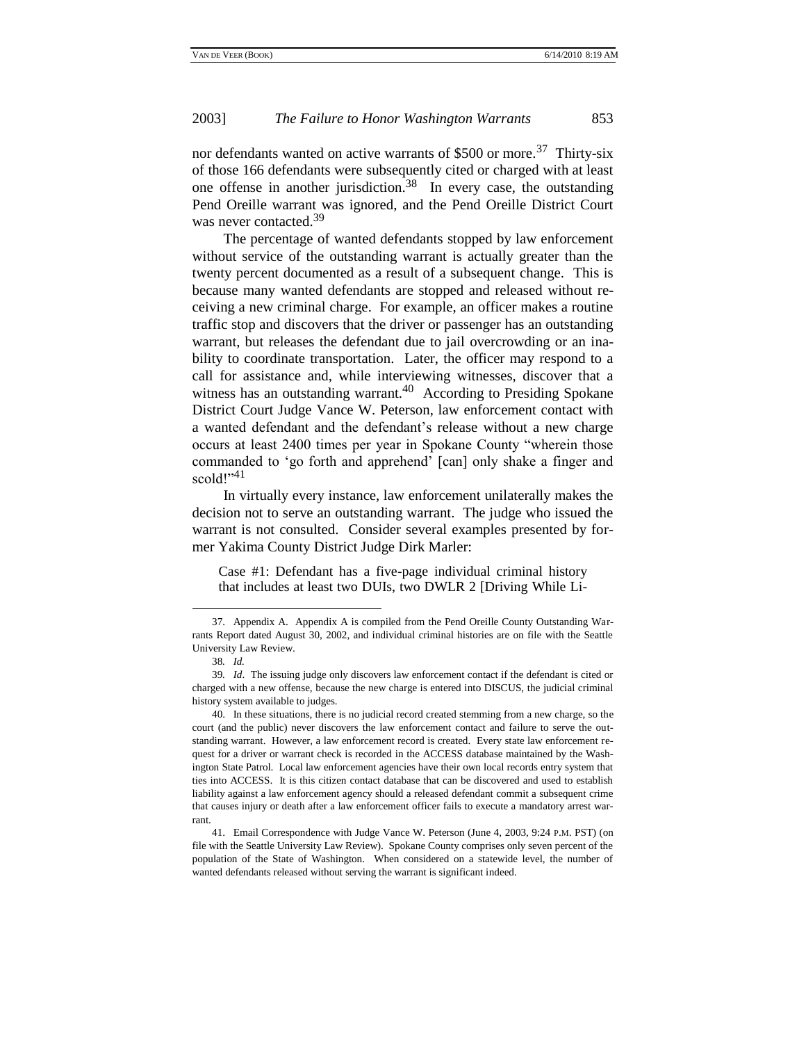nor defendants wanted on active warrants of \$500 or more.<sup>37</sup> Thirty-six of those 166 defendants were subsequently cited or charged with at least one offense in another jurisdiction.<sup>38</sup> In every case, the outstanding Pend Oreille warrant was ignored, and the Pend Oreille District Court was never contacted.<sup>39</sup>

The percentage of wanted defendants stopped by law enforcement without service of the outstanding warrant is actually greater than the twenty percent documented as a result of a subsequent change. This is because many wanted defendants are stopped and released without receiving a new criminal charge. For example, an officer makes a routine traffic stop and discovers that the driver or passenger has an outstanding warrant, but releases the defendant due to jail overcrowding or an inability to coordinate transportation. Later, the officer may respond to a call for assistance and, while interviewing witnesses, discover that a witness has an outstanding warrant. $40$  According to Presiding Spokane District Court Judge Vance W. Peterson, law enforcement contact with a wanted defendant and the defendant's release without a new charge occurs at least 2400 times per year in Spokane County "wherein those commanded to ‗go forth and apprehend' [can] only shake a finger and scold!"<sup>41</sup>

In virtually every instance, law enforcement unilaterally makes the decision not to serve an outstanding warrant. The judge who issued the warrant is not consulted. Consider several examples presented by former Yakima County District Judge Dirk Marler:

Case #1: Defendant has a five-page individual criminal history that includes at least two DUIs, two DWLR 2 [Driving While Li-

<sup>37.</sup> Appendix A. Appendix A is compiled from the Pend Oreille County Outstanding Warrants Report dated August 30, 2002, and individual criminal histories are on file with the Seattle University Law Review.

<sup>38</sup>*. Id.*

<sup>39</sup>*. Id*. The issuing judge only discovers law enforcement contact if the defendant is cited or charged with a new offense, because the new charge is entered into DISCUS, the judicial criminal history system available to judges.

<sup>40.</sup> In these situations, there is no judicial record created stemming from a new charge, so the court (and the public) never discovers the law enforcement contact and failure to serve the outstanding warrant. However, a law enforcement record is created. Every state law enforcement request for a driver or warrant check is recorded in the ACCESS database maintained by the Washington State Patrol. Local law enforcement agencies have their own local records entry system that ties into ACCESS. It is this citizen contact database that can be discovered and used to establish liability against a law enforcement agency should a released defendant commit a subsequent crime that causes injury or death after a law enforcement officer fails to execute a mandatory arrest warrant.

<sup>41.</sup> Email Correspondence with Judge Vance W. Peterson (June 4, 2003, 9:24 P.M. PST) (on file with the Seattle University Law Review). Spokane County comprises only seven percent of the population of the State of Washington. When considered on a statewide level, the number of wanted defendants released without serving the warrant is significant indeed.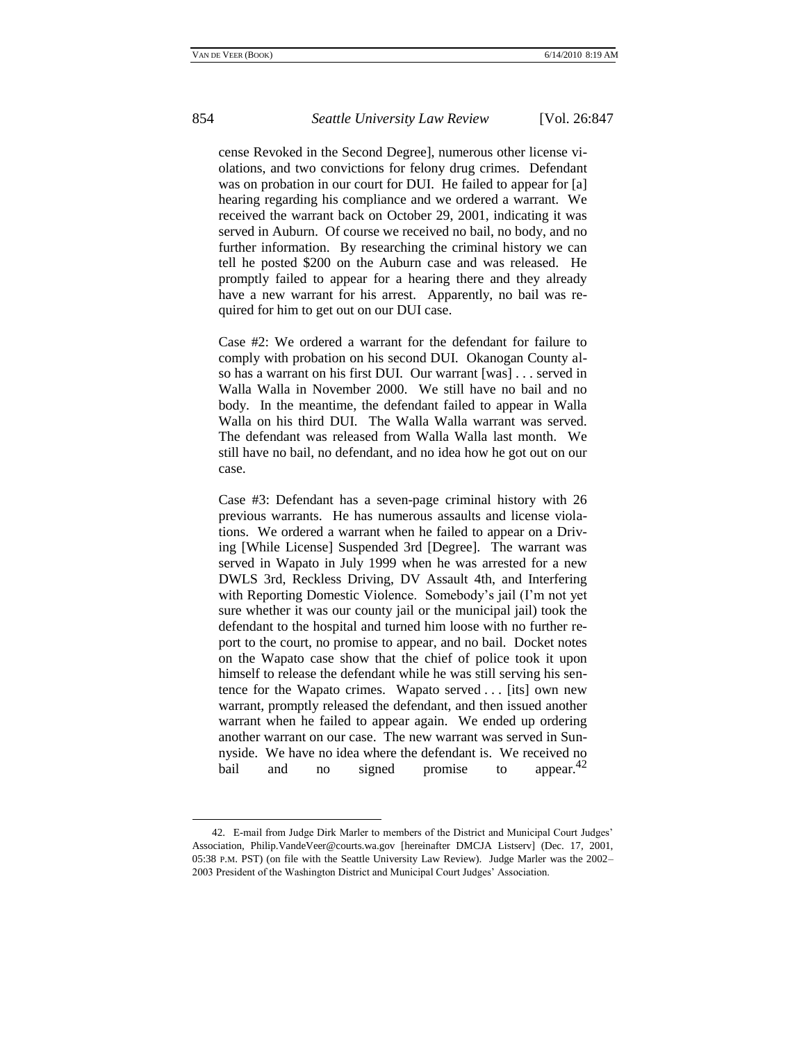cense Revoked in the Second Degree], numerous other license violations, and two convictions for felony drug crimes. Defendant was on probation in our court for DUI. He failed to appear for [a] hearing regarding his compliance and we ordered a warrant. We received the warrant back on October 29, 2001, indicating it was served in Auburn. Of course we received no bail, no body, and no further information. By researching the criminal history we can tell he posted \$200 on the Auburn case and was released. He promptly failed to appear for a hearing there and they already have a new warrant for his arrest. Apparently, no bail was required for him to get out on our DUI case.

Case #2: We ordered a warrant for the defendant for failure to comply with probation on his second DUI. Okanogan County also has a warrant on his first DUI. Our warrant [was] . . . served in Walla Walla in November 2000. We still have no bail and no body. In the meantime, the defendant failed to appear in Walla Walla on his third DUI. The Walla Walla warrant was served. The defendant was released from Walla Walla last month. We still have no bail, no defendant, and no idea how he got out on our case.

Case #3: Defendant has a seven-page criminal history with 26 previous warrants. He has numerous assaults and license violations. We ordered a warrant when he failed to appear on a Driving [While License] Suspended 3rd [Degree]. The warrant was served in Wapato in July 1999 when he was arrested for a new DWLS 3rd, Reckless Driving, DV Assault 4th, and Interfering with Reporting Domestic Violence. Somebody's jail (I'm not yet sure whether it was our county jail or the municipal jail) took the defendant to the hospital and turned him loose with no further report to the court, no promise to appear, and no bail. Docket notes on the Wapato case show that the chief of police took it upon himself to release the defendant while he was still serving his sentence for the Wapato crimes. Wapato served . . . [its] own new warrant, promptly released the defendant, and then issued another warrant when he failed to appear again. We ended up ordering another warrant on our case. The new warrant was served in Sunnyside. We have no idea where the defendant is. We received no bail and no signed promise to appear.<sup>42</sup>

<sup>42.</sup> E-mail from Judge Dirk Marler to members of the District and Municipal Court Judges' Association, Philip.VandeVeer@courts.wa.gov [hereinafter DMCJA Listserv] (Dec. 17, 2001, 05:38 P.M. PST) (on file with the Seattle University Law Review). Judge Marler was the 2002– 2003 President of the Washington District and Municipal Court Judges' Association.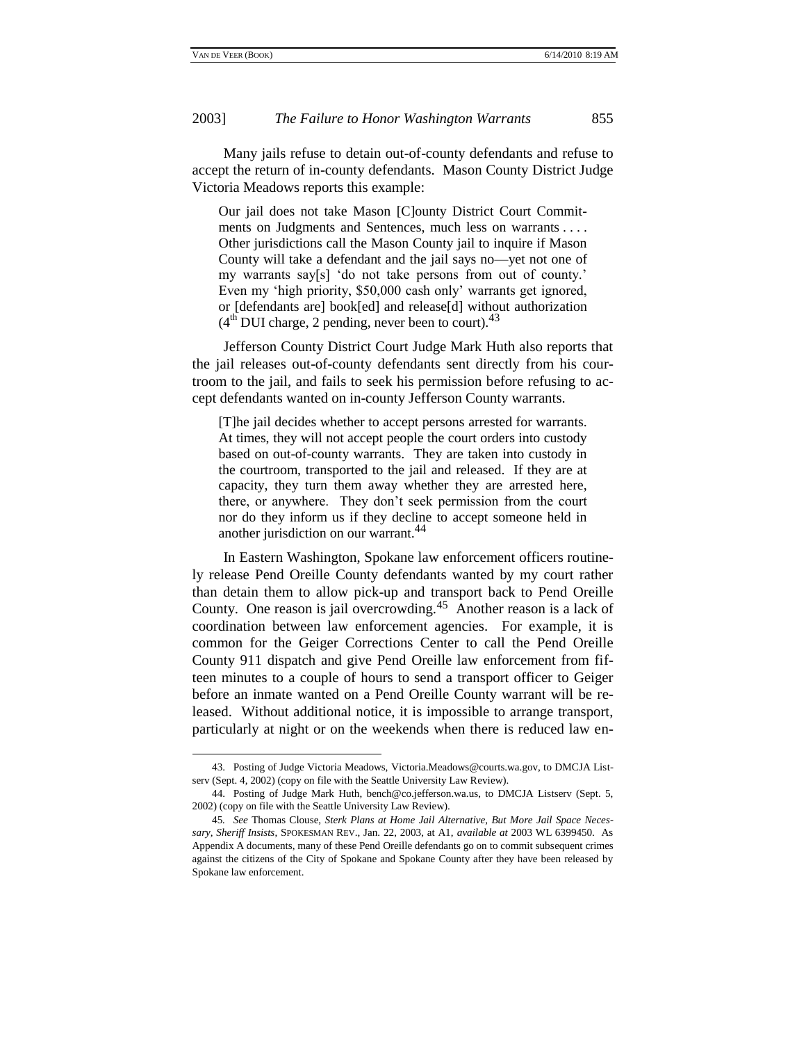#### 2003] *The Failure to Honor Washington Warrants* 855

Many jails refuse to detain out-of-county defendants and refuse to accept the return of in-county defendants. Mason County District Judge Victoria Meadows reports this example:

Our jail does not take Mason [C]ounty District Court Commitments on Judgments and Sentences, much less on warrants . . . . Other jurisdictions call the Mason County jail to inquire if Mason County will take a defendant and the jail says no—yet not one of my warrants say[s] 'do not take persons from out of county.' Even my 'high priority, \$50,000 cash only' warrants get ignored, or [defendants are] book[ed] and release[d] without authorization  $(4<sup>th</sup> DUI charge, 2 pending, never been to court).<sup>43</sup>$ 

Jefferson County District Court Judge Mark Huth also reports that the jail releases out-of-county defendants sent directly from his courtroom to the jail, and fails to seek his permission before refusing to accept defendants wanted on in-county Jefferson County warrants.

[T]he jail decides whether to accept persons arrested for warrants. At times, they will not accept people the court orders into custody based on out-of-county warrants. They are taken into custody in the courtroom, transported to the jail and released. If they are at capacity, they turn them away whether they are arrested here, there, or anywhere. They don't seek permission from the court nor do they inform us if they decline to accept someone held in another jurisdiction on our warrant.<sup>44</sup>

In Eastern Washington, Spokane law enforcement officers routinely release Pend Oreille County defendants wanted by my court rather than detain them to allow pick-up and transport back to Pend Oreille County. One reason is jail overcrowding.<sup>45</sup> Another reason is a lack of coordination between law enforcement agencies. For example, it is common for the Geiger Corrections Center to call the Pend Oreille County 911 dispatch and give Pend Oreille law enforcement from fifteen minutes to a couple of hours to send a transport officer to Geiger before an inmate wanted on a Pend Oreille County warrant will be released. Without additional notice, it is impossible to arrange transport, particularly at night or on the weekends when there is reduced law en-

<sup>43.</sup> Posting of Judge Victoria Meadows, Victoria.Meadows@courts.wa.gov, to DMCJA Listserv (Sept. 4, 2002) (copy on file with the Seattle University Law Review).

<sup>44.</sup> Posting of Judge Mark Huth, bench@co.jefferson.wa.us, to DMCJA Listserv (Sept. 5, 2002) (copy on file with the Seattle University Law Review).

<sup>45</sup>*. See* Thomas Clouse, *Sterk Plans at Home Jail Alternative, But More Jail Space Necessary, Sheriff Insists*, SPOKESMAN REV., Jan. 22, 2003, at A1, *available at* 2003 WL 6399450. As Appendix A documents, many of these Pend Oreille defendants go on to commit subsequent crimes against the citizens of the City of Spokane and Spokane County after they have been released by Spokane law enforcement.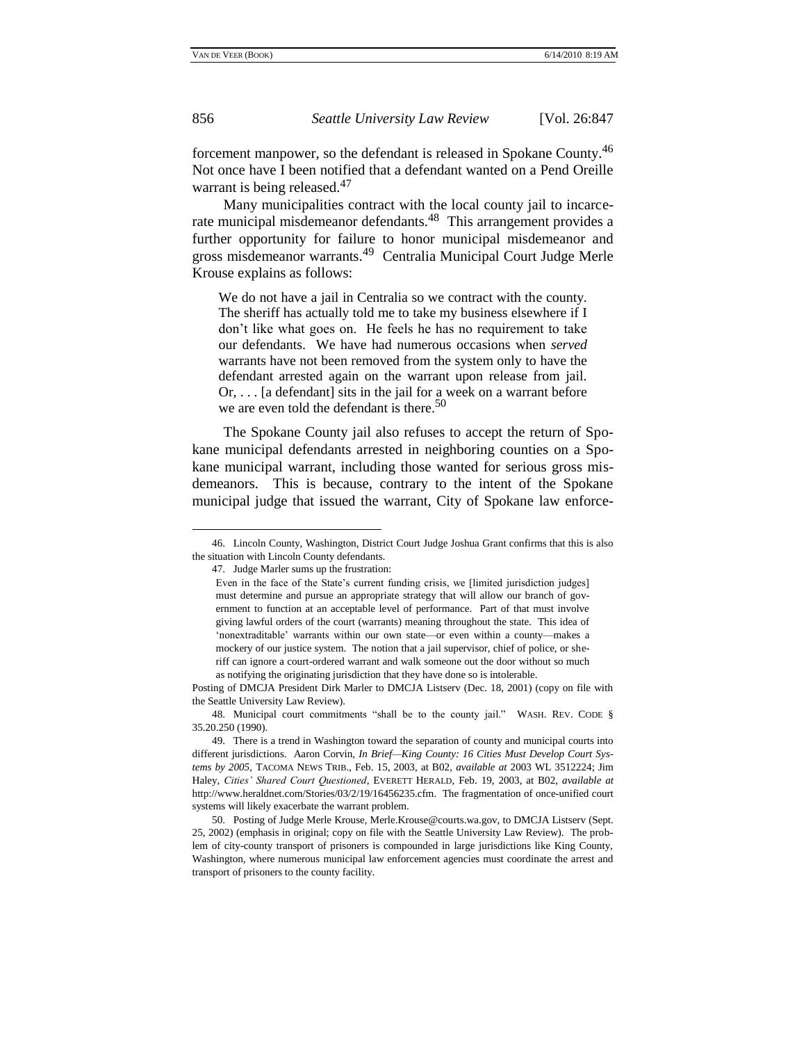forcement manpower, so the defendant is released in Spokane County.<sup>46</sup> Not once have I been notified that a defendant wanted on a Pend Oreille warrant is being released.<sup>47</sup>

Many municipalities contract with the local county jail to incarcerate municipal misdemeanor defendants.<sup>48</sup> This arrangement provides a further opportunity for failure to honor municipal misdemeanor and gross misdemeanor warrants.<sup>49</sup> Centralia Municipal Court Judge Merle Krouse explains as follows:

We do not have a jail in Centralia so we contract with the county. The sheriff has actually told me to take my business elsewhere if I don't like what goes on. He feels he has no requirement to take our defendants. We have had numerous occasions when *served* warrants have not been removed from the system only to have the defendant arrested again on the warrant upon release from jail. Or, . . . [a defendant] sits in the jail for a week on a warrant before we are even told the defendant is there.<sup>50</sup>

The Spokane County jail also refuses to accept the return of Spokane municipal defendants arrested in neighboring counties on a Spokane municipal warrant, including those wanted for serious gross misdemeanors. This is because, contrary to the intent of the Spokane municipal judge that issued the warrant, City of Spokane law enforce-

<sup>46.</sup> Lincoln County, Washington, District Court Judge Joshua Grant confirms that this is also the situation with Lincoln County defendants.

<sup>47.</sup> Judge Marler sums up the frustration:

Even in the face of the State's current funding crisis, we [limited jurisdiction judges] must determine and pursue an appropriate strategy that will allow our branch of government to function at an acceptable level of performance. Part of that must involve giving lawful orders of the court (warrants) meaning throughout the state. This idea of ‗nonextraditable' warrants within our own state—or even within a county—makes a mockery of our justice system. The notion that a jail supervisor, chief of police, or sheriff can ignore a court-ordered warrant and walk someone out the door without so much as notifying the originating jurisdiction that they have done so is intolerable.

Posting of DMCJA President Dirk Marler to DMCJA Listserv (Dec. 18, 2001) (copy on file with the Seattle University Law Review).

<sup>48.</sup> Municipal court commitments "shall be to the county jail." WASH. REV. CODE § 35.20.250 (1990).

<sup>49.</sup> There is a trend in Washington toward the separation of county and municipal courts into different jurisdictions. Aaron Corvin, *In Brief—King County: 16 Cities Must Develop Court Systems by 2005*, TACOMA NEWS TRIB., Feb. 15, 2003, at B02, *available at* 2003 WL 3512224; Jim Haley, *Cities' Shared Court Questioned*, EVERETT HERALD, Feb. 19, 2003, at B02, *available at* http://www.heraldnet.com/Stories/03/2/19/16456235.cfm. The fragmentation of once-unified court systems will likely exacerbate the warrant problem.

<sup>50.</sup> Posting of Judge Merle Krouse, Merle.Krouse@courts.wa.gov, to DMCJA Listserv (Sept. 25, 2002) (emphasis in original; copy on file with the Seattle University Law Review). The problem of city-county transport of prisoners is compounded in large jurisdictions like King County, Washington, where numerous municipal law enforcement agencies must coordinate the arrest and transport of prisoners to the county facility.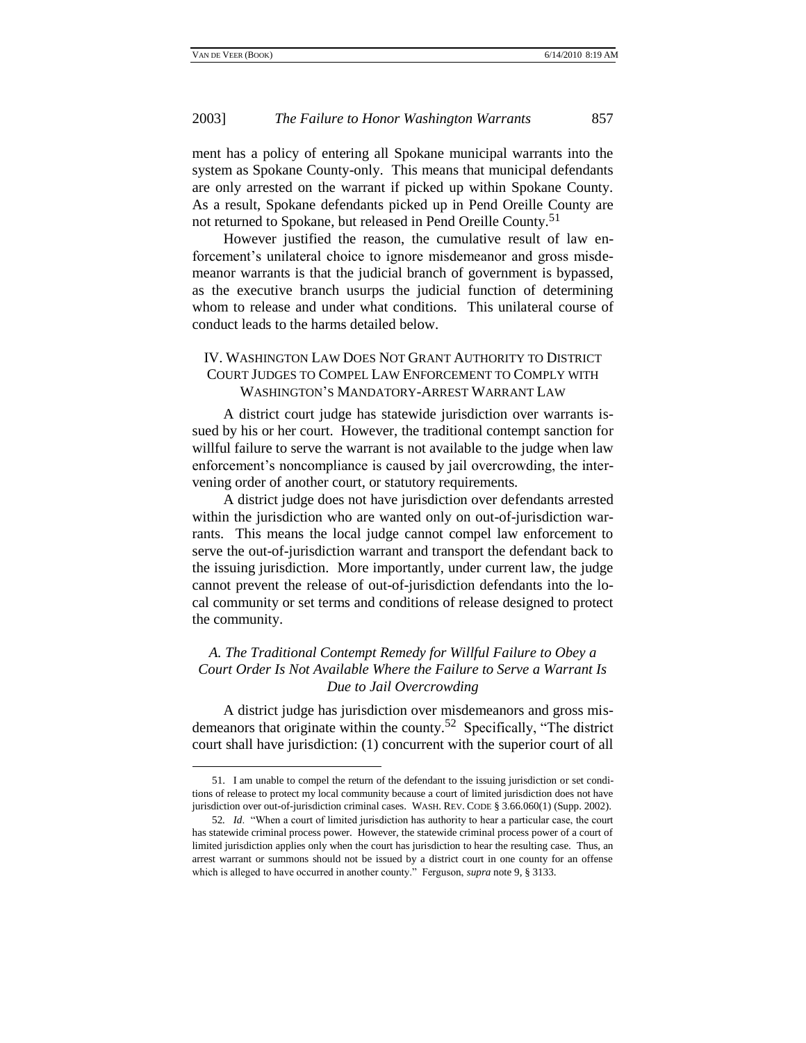### 2003] *The Failure to Honor Washington Warrants* 857

ment has a policy of entering all Spokane municipal warrants into the system as Spokane County-only. This means that municipal defendants are only arrested on the warrant if picked up within Spokane County. As a result, Spokane defendants picked up in Pend Oreille County are not returned to Spokane, but released in Pend Oreille County.<sup>51</sup>

However justified the reason, the cumulative result of law enforcement's unilateral choice to ignore misdemeanor and gross misdemeanor warrants is that the judicial branch of government is bypassed, as the executive branch usurps the judicial function of determining whom to release and under what conditions. This unilateral course of conduct leads to the harms detailed below.

## IV. WASHINGTON LAW DOES NOT GRANT AUTHORITY TO DISTRICT COURT JUDGES TO COMPEL LAW ENFORCEMENT TO COMPLY WITH WASHINGTON'S MANDATORY-ARREST WARRANT LAW

A district court judge has statewide jurisdiction over warrants issued by his or her court. However, the traditional contempt sanction for willful failure to serve the warrant is not available to the judge when law enforcement's noncompliance is caused by jail overcrowding, the intervening order of another court, or statutory requirements.

A district judge does not have jurisdiction over defendants arrested within the jurisdiction who are wanted only on out-of-jurisdiction warrants. This means the local judge cannot compel law enforcement to serve the out-of-jurisdiction warrant and transport the defendant back to the issuing jurisdiction. More importantly, under current law, the judge cannot prevent the release of out-of-jurisdiction defendants into the local community or set terms and conditions of release designed to protect the community.

## *A. The Traditional Contempt Remedy for Willful Failure to Obey a Court Order Is Not Available Where the Failure to Serve a Warrant Is Due to Jail Overcrowding*

A district judge has jurisdiction over misdemeanors and gross misdemeanors that originate within the county.<sup>52</sup> Specifically, "The district court shall have jurisdiction: (1) concurrent with the superior court of all

<sup>51.</sup> I am unable to compel the return of the defendant to the issuing jurisdiction or set conditions of release to protect my local community because a court of limited jurisdiction does not have jurisdiction over out-of-jurisdiction criminal cases. WASH. REV. CODE § 3.66.060(1) (Supp. 2002).

<sup>52.</sup> *Id.* "When a court of limited jurisdiction has authority to hear a particular case, the court has statewide criminal process power. However, the statewide criminal process power of a court of limited jurisdiction applies only when the court has jurisdiction to hear the resulting case. Thus, an arrest warrant or summons should not be issued by a district court in one county for an offense which is alleged to have occurred in another county." Ferguson, *supra* note 9, § 3133.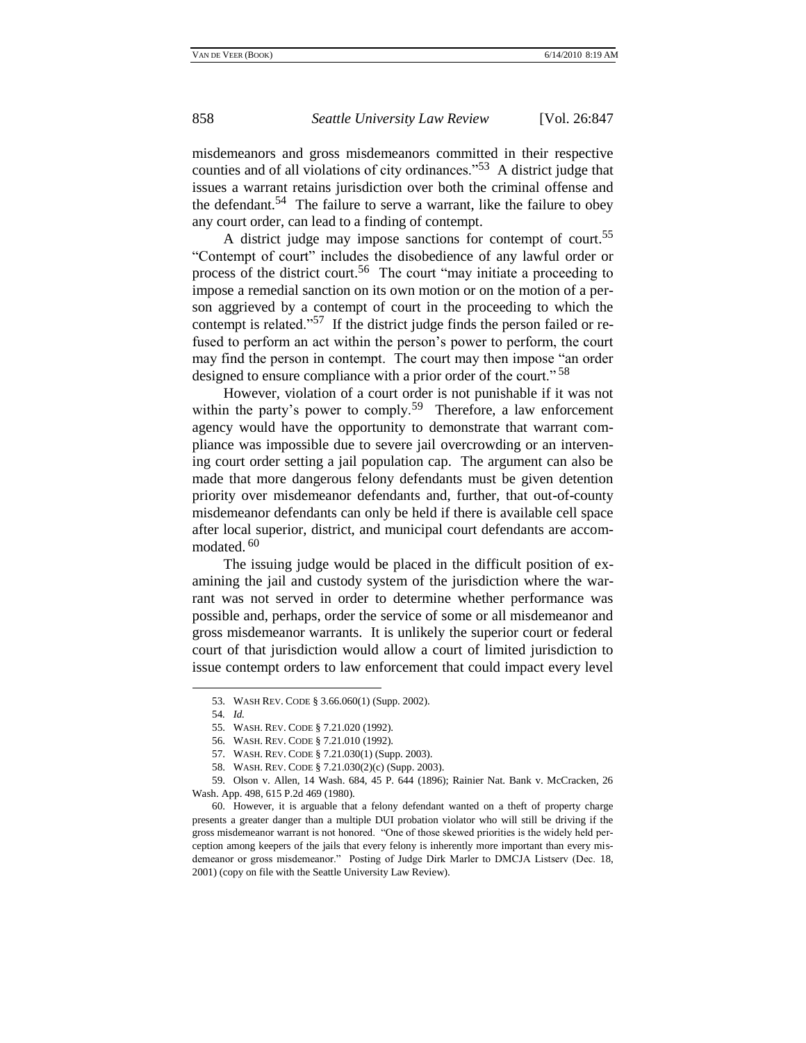misdemeanors and gross misdemeanors committed in their respective counties and of all violations of city ordinances.<sup> $.53$ </sup> A district judge that issues a warrant retains jurisdiction over both the criminal offense and the defendant.<sup>54</sup> The failure to serve a warrant, like the failure to obey any court order, can lead to a finding of contempt.

A district judge may impose sanctions for contempt of court.<sup>55</sup> ―Contempt of court‖ includes the disobedience of any lawful order or process of the district court.<sup>56</sup> The court "may initiate a proceeding to impose a remedial sanction on its own motion or on the motion of a person aggrieved by a contempt of court in the proceeding to which the contempt is related."<sup>57</sup> If the district judge finds the person failed or refused to perform an act within the person's power to perform, the court may find the person in contempt. The court may then impose "an order designed to ensure compliance with a prior order of the court."<sup>58</sup>

However, violation of a court order is not punishable if it was not within the party's power to comply.<sup>59</sup> Therefore, a law enforcement agency would have the opportunity to demonstrate that warrant compliance was impossible due to severe jail overcrowding or an intervening court order setting a jail population cap. The argument can also be made that more dangerous felony defendants must be given detention priority over misdemeanor defendants and, further, that out-of-county misdemeanor defendants can only be held if there is available cell space after local superior, district, and municipal court defendants are accommodated.<sup>60</sup>

The issuing judge would be placed in the difficult position of examining the jail and custody system of the jurisdiction where the warrant was not served in order to determine whether performance was possible and, perhaps, order the service of some or all misdemeanor and gross misdemeanor warrants. It is unlikely the superior court or federal court of that jurisdiction would allow a court of limited jurisdiction to issue contempt orders to law enforcement that could impact every level

<sup>53.</sup> WASH REV. CODE § 3.66.060(1) (Supp. 2002).

<sup>54</sup>*. Id.*

<sup>55.</sup> WASH. REV. CODE § 7.21.020 (1992).

<sup>56.</sup> WASH. REV. CODE § 7.21.010 (1992).

<sup>57.</sup> WASH. REV. CODE § 7.21.030(1) (Supp. 2003).

<sup>58.</sup> WASH. REV. CODE § 7.21.030(2)(c) (Supp. 2003).

<sup>59.</sup> Olson v. Allen, 14 Wash. 684, 45 P. 644 (1896); Rainier Nat. Bank v. McCracken, 26 Wash. App. 498, 615 P.2d 469 (1980).

<sup>60.</sup> However, it is arguable that a felony defendant wanted on a theft of property charge presents a greater danger than a multiple DUI probation violator who will still be driving if the gross misdemeanor warrant is not honored. "One of those skewed priorities is the widely held perception among keepers of the jails that every felony is inherently more important than every misdemeanor or gross misdemeanor." Posting of Judge Dirk Marler to DMCJA Listserv (Dec. 18, 2001) (copy on file with the Seattle University Law Review).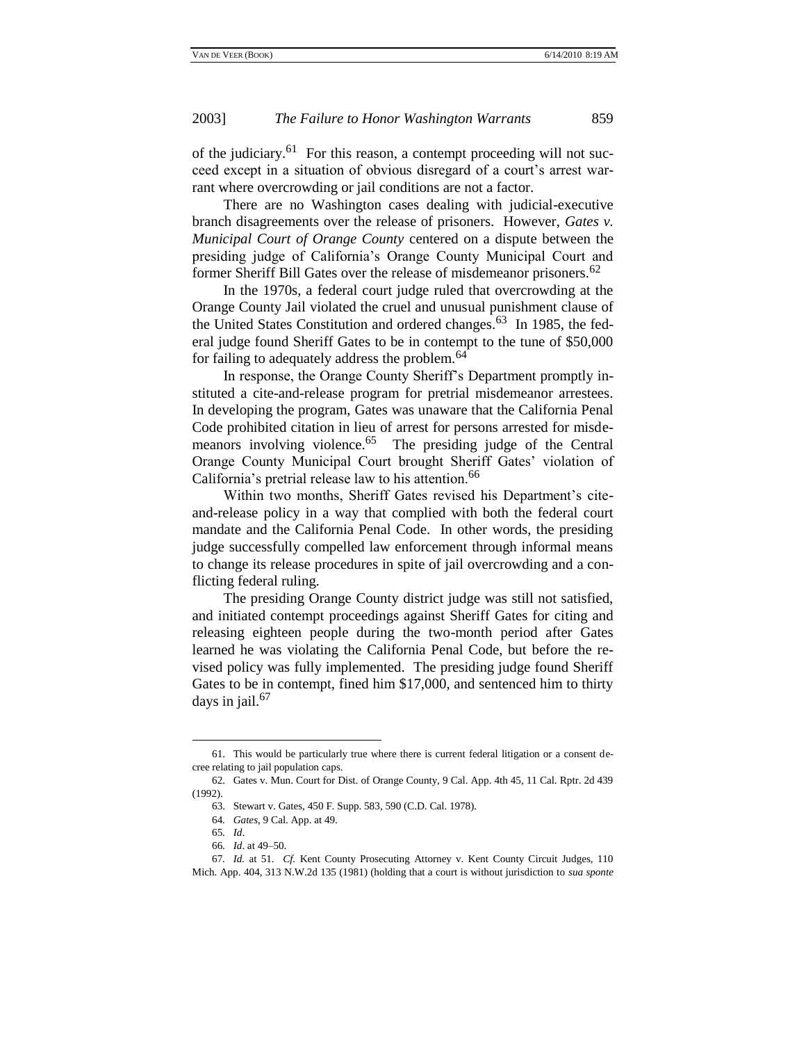of the judiciary.<sup>61</sup> For this reason, a contempt proceeding will not succeed except in a situation of obvious disregard of a court's arrest warrant where overcrowding or jail conditions are not a factor.

There are no Washington cases dealing with judicial-executive branch disagreements over the release of prisoners. However, *Gates v. Municipal Court of Orange County* centered on a dispute between the presiding judge of California's Orange County Municipal Court and former Sheriff Bill Gates over the release of misdemeanor prisoners.<sup>62</sup>

In the 1970s, a federal court judge ruled that overcrowding at the Orange County Jail violated the cruel and unusual punishment clause of the United States Constitution and ordered changes.<sup>63</sup> In 1985, the federal judge found Sheriff Gates to be in contempt to the tune of \$50,000 for failing to adequately address the problem.<sup>64</sup>

In response, the Orange County Sheriff's Department promptly instituted a cite-and-release program for pretrial misdemeanor arrestees. In developing the program, Gates was unaware that the California Penal Code prohibited citation in lieu of arrest for persons arrested for misdemeanors involving violence.<sup>65</sup> The presiding judge of the Central Orange County Municipal Court brought Sheriff Gates' violation of California's pretrial release law to his attention.<sup>66</sup>

Within two months, Sheriff Gates revised his Department's citeand-release policy in a way that complied with both the federal court mandate and the California Penal Code. In other words, the presiding judge successfully compelled law enforcement through informal means to change its release procedures in spite of jail overcrowding and a conflicting federal ruling.

The presiding Orange County district judge was still not satisfied, and initiated contempt proceedings against Sheriff Gates for citing and releasing eighteen people during the two-month period after Gates learned he was violating the California Penal Code, but before the revised policy was fully implemented. The presiding judge found Sheriff Gates to be in contempt, fined him \$17,000, and sentenced him to thirty days in jail. $67$ 

<sup>61.</sup> This would be particularly true where there is current federal litigation or a consent decree relating to jail population caps.

<sup>62.</sup> Gates v. Mun. Court for Dist. of Orange County, 9 Cal. App. 4th 45, 11 Cal. Rptr. 2d 439 (1992).

<sup>63.</sup> Stewart v. Gates, 450 F. Supp. 583, 590 (C.D. Cal. 1978).

<sup>64</sup>*. Gates*, 9 Cal. App. at 49.

<sup>65</sup>*. Id*.

<sup>66</sup>*. Id*. at 49–50.

<sup>67</sup>*. Id.* at 51. *Cf.* Kent County Prosecuting Attorney v. Kent County Circuit Judges, 110 Mich. App. 404, 313 N.W.2d 135 (1981) (holding that a court is without jurisdiction to *sua sponte*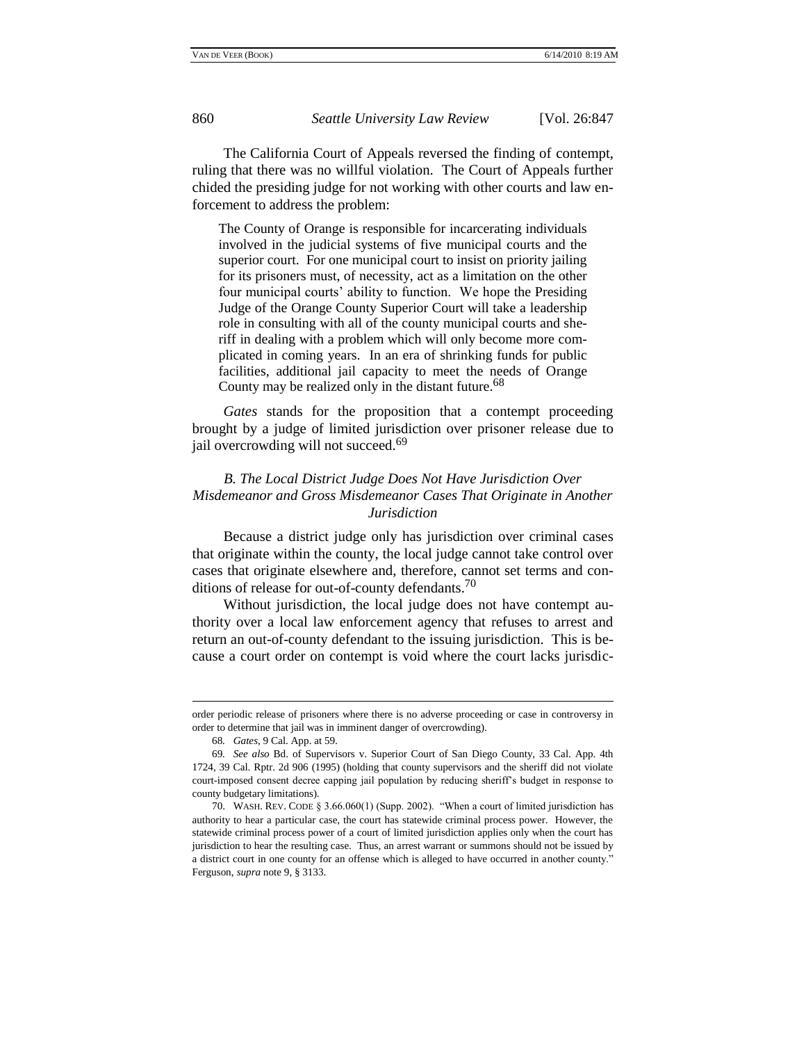The California Court of Appeals reversed the finding of contempt, ruling that there was no willful violation. The Court of Appeals further chided the presiding judge for not working with other courts and law enforcement to address the problem:

The County of Orange is responsible for incarcerating individuals involved in the judicial systems of five municipal courts and the superior court. For one municipal court to insist on priority jailing for its prisoners must, of necessity, act as a limitation on the other four municipal courts' ability to function. We hope the Presiding Judge of the Orange County Superior Court will take a leadership role in consulting with all of the county municipal courts and sheriff in dealing with a problem which will only become more complicated in coming years. In an era of shrinking funds for public facilities, additional jail capacity to meet the needs of Orange County may be realized only in the distant future.<sup>68</sup>

*Gates* stands for the proposition that a contempt proceeding brought by a judge of limited jurisdiction over prisoner release due to jail overcrowding will not succeed.<sup>69</sup>

## *B. The Local District Judge Does Not Have Jurisdiction Over Misdemeanor and Gross Misdemeanor Cases That Originate in Another Jurisdiction*

Because a district judge only has jurisdiction over criminal cases that originate within the county, the local judge cannot take control over cases that originate elsewhere and, therefore, cannot set terms and conditions of release for out-of-county defendants.<sup>70</sup>

Without jurisdiction, the local judge does not have contempt authority over a local law enforcement agency that refuses to arrest and return an out-of-county defendant to the issuing jurisdiction. This is because a court order on contempt is void where the court lacks jurisdic-

order periodic release of prisoners where there is no adverse proceeding or case in controversy in order to determine that jail was in imminent danger of overcrowding).

<sup>68</sup>*. Gates*, 9 Cal. App. at 59.

<sup>69</sup>*. See also* Bd. of Supervisors v. Superior Court of San Diego County, 33 Cal. App. 4th 1724, 39 Cal. Rptr. 2d 906 (1995) (holding that county supervisors and the sheriff did not violate court-imposed consent decree capping jail population by reducing sheriff's budget in response to county budgetary limitations).

<sup>70.</sup> WASH. REV. CODE  $\S 3.66.060(1)$  (Supp. 2002). "When a court of limited jurisdiction has authority to hear a particular case, the court has statewide criminal process power. However, the statewide criminal process power of a court of limited jurisdiction applies only when the court has jurisdiction to hear the resulting case. Thus, an arrest warrant or summons should not be issued by a district court in one county for an offense which is alleged to have occurred in another county." Ferguson, *supra* note 9, § 3133.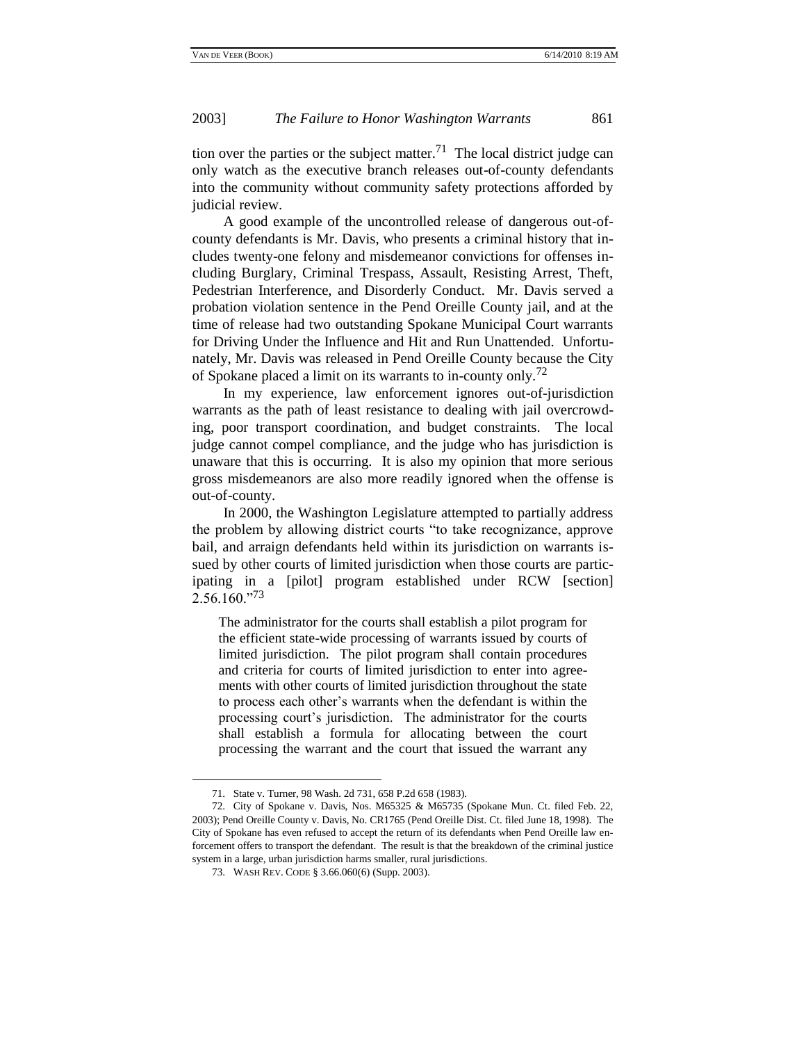tion over the parties or the subject matter.<sup>71</sup> The local district judge can only watch as the executive branch releases out-of-county defendants into the community without community safety protections afforded by judicial review.

A good example of the uncontrolled release of dangerous out-ofcounty defendants is Mr. Davis, who presents a criminal history that includes twenty-one felony and misdemeanor convictions for offenses including Burglary, Criminal Trespass, Assault, Resisting Arrest, Theft, Pedestrian Interference, and Disorderly Conduct. Mr. Davis served a probation violation sentence in the Pend Oreille County jail, and at the time of release had two outstanding Spokane Municipal Court warrants for Driving Under the Influence and Hit and Run Unattended. Unfortunately, Mr. Davis was released in Pend Oreille County because the City of Spokane placed a limit on its warrants to in-county only.<sup>72</sup>

In my experience, law enforcement ignores out-of-jurisdiction warrants as the path of least resistance to dealing with jail overcrowding, poor transport coordination, and budget constraints. The local judge cannot compel compliance, and the judge who has jurisdiction is unaware that this is occurring. It is also my opinion that more serious gross misdemeanors are also more readily ignored when the offense is out-of-county.

In 2000, the Washington Legislature attempted to partially address the problem by allowing district courts "to take recognizance, approve bail, and arraign defendants held within its jurisdiction on warrants issued by other courts of limited jurisdiction when those courts are participating in a [pilot] program established under RCW [section]  $2.56.160.^{973}$ 

The administrator for the courts shall establish a pilot program for the efficient state-wide processing of warrants issued by courts of limited jurisdiction. The pilot program shall contain procedures and criteria for courts of limited jurisdiction to enter into agreements with other courts of limited jurisdiction throughout the state to process each other's warrants when the defendant is within the processing court's jurisdiction. The administrator for the courts shall establish a formula for allocating between the court processing the warrant and the court that issued the warrant any

<sup>71.</sup> State v. Turner, 98 Wash. 2d 731, 658 P.2d 658 (1983).

<sup>72.</sup> City of Spokane v. Davis, Nos. M65325 & M65735 (Spokane Mun. Ct. filed Feb. 22, 2003); Pend Oreille County v. Davis, No. CR1765 (Pend Oreille Dist. Ct. filed June 18, 1998). The City of Spokane has even refused to accept the return of its defendants when Pend Oreille law enforcement offers to transport the defendant. The result is that the breakdown of the criminal justice system in a large, urban jurisdiction harms smaller, rural jurisdictions.

<sup>73.</sup> WASH REV. CODE § 3.66.060(6) (Supp. 2003).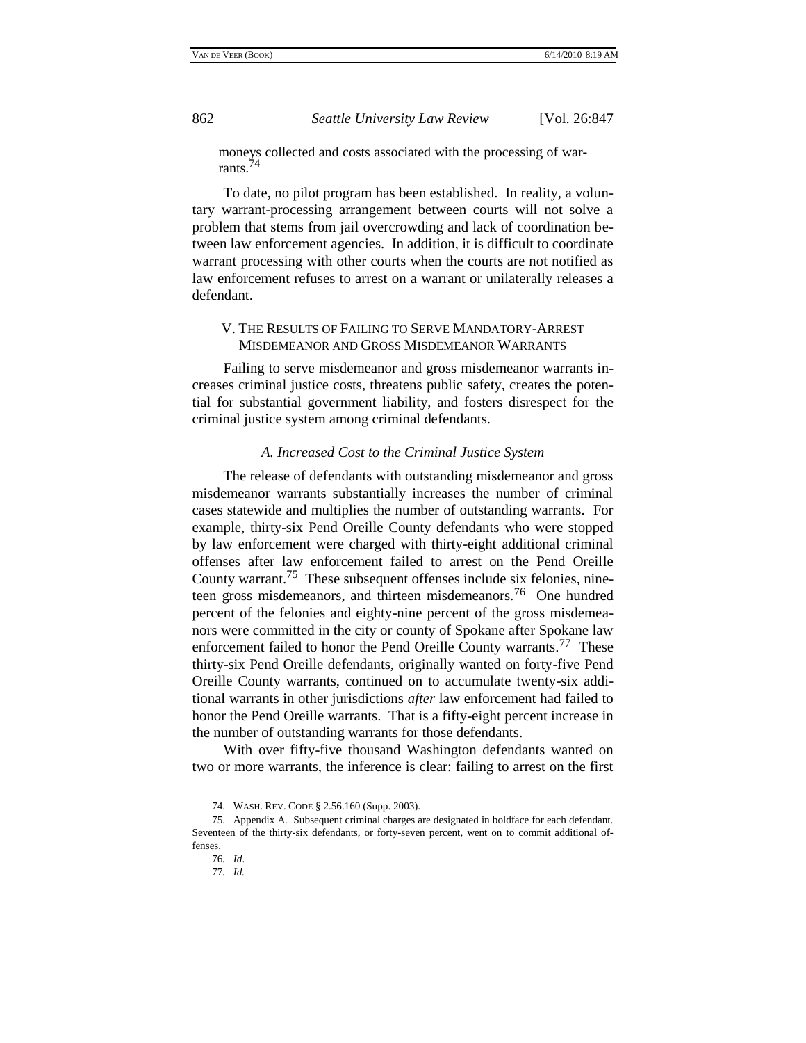moneys collected and costs associated with the processing of warrants.<sup>74</sup>

To date, no pilot program has been established. In reality, a voluntary warrant-processing arrangement between courts will not solve a problem that stems from jail overcrowding and lack of coordination between law enforcement agencies. In addition, it is difficult to coordinate warrant processing with other courts when the courts are not notified as law enforcement refuses to arrest on a warrant or unilaterally releases a defendant.

## V. THE RESULTS OF FAILING TO SERVE MANDATORY-ARREST MISDEMEANOR AND GROSS MISDEMEANOR WARRANTS

Failing to serve misdemeanor and gross misdemeanor warrants increases criminal justice costs, threatens public safety, creates the potential for substantial government liability, and fosters disrespect for the criminal justice system among criminal defendants.

#### *A. Increased Cost to the Criminal Justice System*

The release of defendants with outstanding misdemeanor and gross misdemeanor warrants substantially increases the number of criminal cases statewide and multiplies the number of outstanding warrants. For example, thirty-six Pend Oreille County defendants who were stopped by law enforcement were charged with thirty-eight additional criminal offenses after law enforcement failed to arrest on the Pend Oreille County warrant.<sup>75</sup> These subsequent offenses include six felonies, nineteen gross misdemeanors, and thirteen misdemeanors.<sup>76</sup> One hundred percent of the felonies and eighty-nine percent of the gross misdemeanors were committed in the city or county of Spokane after Spokane law enforcement failed to honor the Pend Oreille County warrants.<sup>77</sup> These thirty-six Pend Oreille defendants, originally wanted on forty-five Pend Oreille County warrants, continued on to accumulate twenty-six additional warrants in other jurisdictions *after* law enforcement had failed to honor the Pend Oreille warrants. That is a fifty-eight percent increase in the number of outstanding warrants for those defendants.

With over fifty-five thousand Washington defendants wanted on two or more warrants, the inference is clear: failing to arrest on the first

<sup>74.</sup> WASH. REV. CODE § 2.56.160 (Supp. 2003).

<sup>75.</sup> Appendix A. Subsequent criminal charges are designated in boldface for each defendant. Seventeen of the thirty-six defendants, or forty-seven percent, went on to commit additional offenses.

<sup>76</sup>*. Id*.

<sup>77</sup>*. Id.*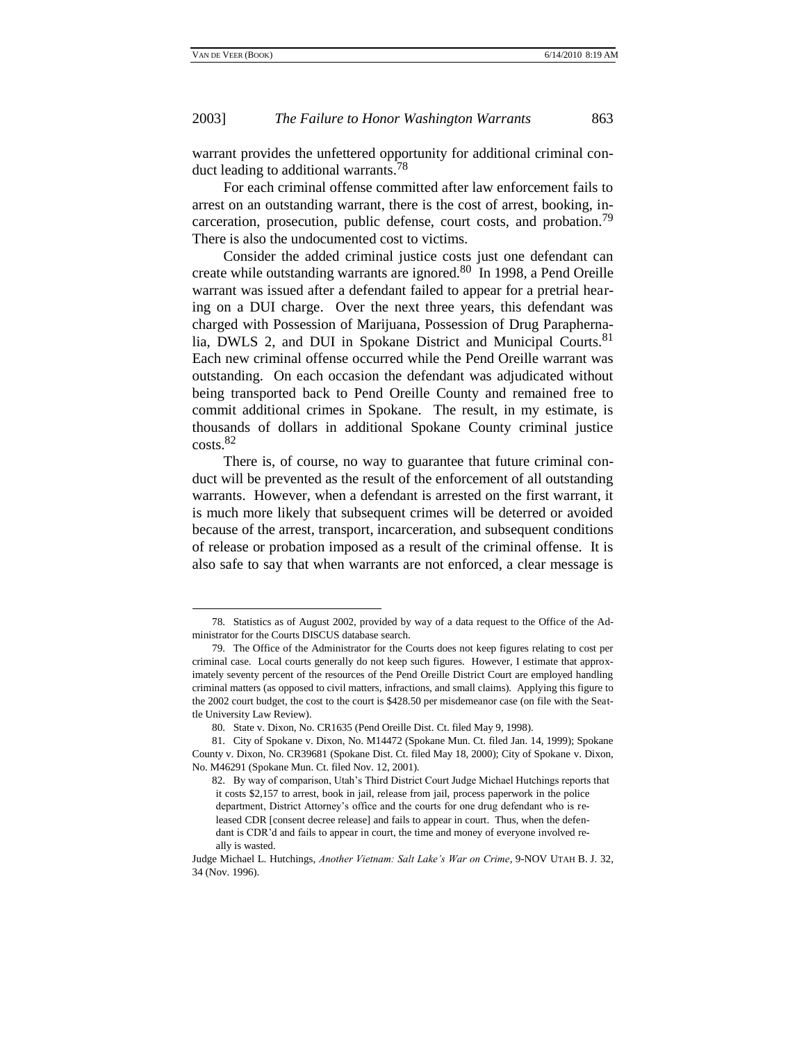## 2003] *The Failure to Honor Washington Warrants* 863

warrant provides the unfettered opportunity for additional criminal conduct leading to additional warrants.<sup>78</sup>

For each criminal offense committed after law enforcement fails to arrest on an outstanding warrant, there is the cost of arrest, booking, incarceration, prosecution, public defense, court costs, and probation.<sup>79</sup> There is also the undocumented cost to victims.

Consider the added criminal justice costs just one defendant can create while outstanding warrants are ignored.<sup>80</sup> In 1998, a Pend Oreille warrant was issued after a defendant failed to appear for a pretrial hearing on a DUI charge. Over the next three years, this defendant was charged with Possession of Marijuana, Possession of Drug Paraphernalia, DWLS 2, and DUI in Spokane District and Municipal Courts.<sup>81</sup> Each new criminal offense occurred while the Pend Oreille warrant was outstanding. On each occasion the defendant was adjudicated without being transported back to Pend Oreille County and remained free to commit additional crimes in Spokane. The result, in my estimate, is thousands of dollars in additional Spokane County criminal justice costs.<sup>82</sup>

There is, of course, no way to guarantee that future criminal conduct will be prevented as the result of the enforcement of all outstanding warrants. However, when a defendant is arrested on the first warrant, it is much more likely that subsequent crimes will be deterred or avoided because of the arrest, transport, incarceration, and subsequent conditions of release or probation imposed as a result of the criminal offense. It is also safe to say that when warrants are not enforced, a clear message is

<sup>78.</sup> Statistics as of August 2002, provided by way of a data request to the Office of the Administrator for the Courts DISCUS database search.

<sup>79.</sup> The Office of the Administrator for the Courts does not keep figures relating to cost per criminal case. Local courts generally do not keep such figures. However, I estimate that approximately seventy percent of the resources of the Pend Oreille District Court are employed handling criminal matters (as opposed to civil matters, infractions, and small claims). Applying this figure to the 2002 court budget, the cost to the court is \$428.50 per misdemeanor case (on file with the Seattle University Law Review).

<sup>80.</sup> State v. Dixon, No. CR1635 (Pend Oreille Dist. Ct. filed May 9, 1998).

<sup>81.</sup> City of Spokane v. Dixon, No. M14472 (Spokane Mun. Ct. filed Jan. 14, 1999); Spokane County v. Dixon, No. CR39681 (Spokane Dist. Ct. filed May 18, 2000); City of Spokane v. Dixon, No. M46291 (Spokane Mun. Ct. filed Nov. 12, 2001).

<sup>82.</sup> By way of comparison, Utah's Third District Court Judge Michael Hutchings reports that it costs \$2,157 to arrest, book in jail, release from jail, process paperwork in the police department, District Attorney's office and the courts for one drug defendant who is released CDR [consent decree release] and fails to appear in court. Thus, when the defendant is CDR'd and fails to appear in court, the time and money of everyone involved really is wasted.

Judge Michael L. Hutchings, *Another Vietnam: Salt Lake's War on Crime*, 9-NOV UTAH B. J. 32, 34 (Nov. 1996).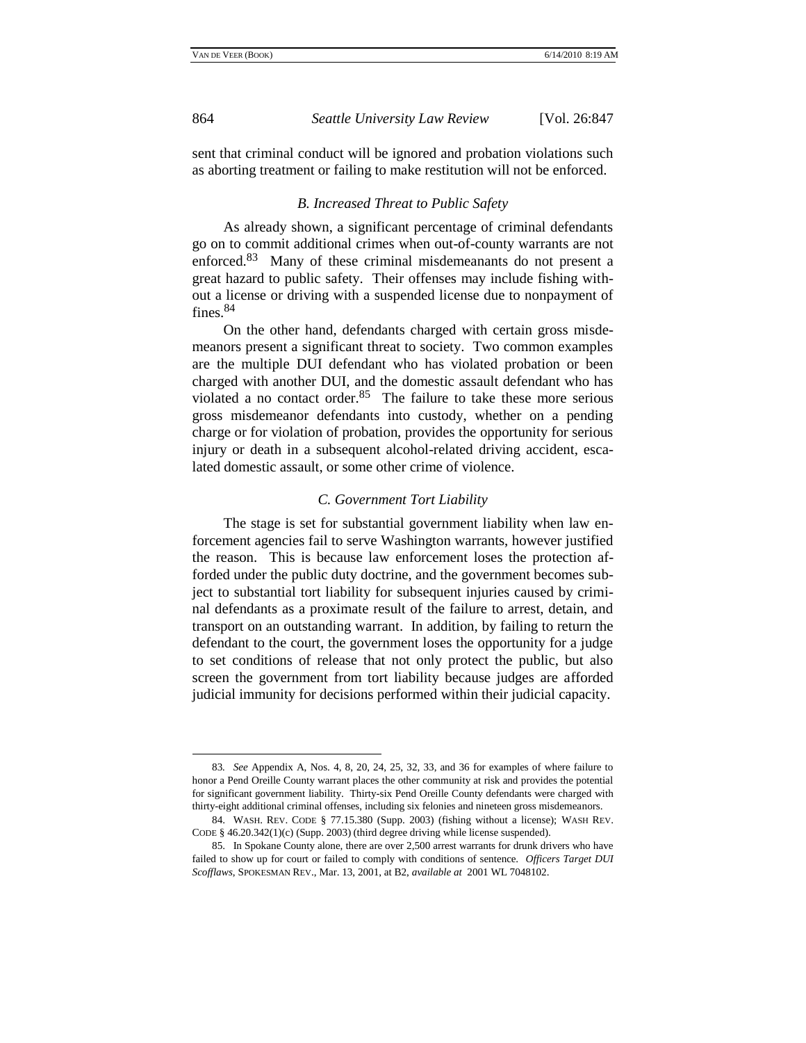864 *Seattle University Law Review* [Vol. 26:847

sent that criminal conduct will be ignored and probation violations such as aborting treatment or failing to make restitution will not be enforced.

#### *B. Increased Threat to Public Safety*

As already shown, a significant percentage of criminal defendants go on to commit additional crimes when out-of-county warrants are not enforced.<sup>83</sup> Many of these criminal misdemeanants do not present a great hazard to public safety. Their offenses may include fishing without a license or driving with a suspended license due to nonpayment of fines.<sup>84</sup>

On the other hand, defendants charged with certain gross misdemeanors present a significant threat to society. Two common examples are the multiple DUI defendant who has violated probation or been charged with another DUI, and the domestic assault defendant who has violated a no contact order. $85$  The failure to take these more serious gross misdemeanor defendants into custody, whether on a pending charge or for violation of probation, provides the opportunity for serious injury or death in a subsequent alcohol-related driving accident, escalated domestic assault, or some other crime of violence.

#### *C. Government Tort Liability*

The stage is set for substantial government liability when law enforcement agencies fail to serve Washington warrants, however justified the reason. This is because law enforcement loses the protection afforded under the public duty doctrine, and the government becomes subject to substantial tort liability for subsequent injuries caused by criminal defendants as a proximate result of the failure to arrest, detain, and transport on an outstanding warrant. In addition, by failing to return the defendant to the court, the government loses the opportunity for a judge to set conditions of release that not only protect the public, but also screen the government from tort liability because judges are afforded judicial immunity for decisions performed within their judicial capacity.

<sup>83</sup>*. See* Appendix A, Nos. 4, 8, 20, 24, 25, 32, 33, and 36 for examples of where failure to honor a Pend Oreille County warrant places the other community at risk and provides the potential for significant government liability. Thirty-six Pend Oreille County defendants were charged with thirty-eight additional criminal offenses, including six felonies and nineteen gross misdemeanors.

<sup>84.</sup> WASH. REV. CODE § 77.15.380 (Supp. 2003) (fishing without a license); WASH REV. CODE § 46.20.342(1)(c) (Supp. 2003) (third degree driving while license suspended).

<sup>85.</sup> In Spokane County alone, there are over 2,500 arrest warrants for drunk drivers who have failed to show up for court or failed to comply with conditions of sentence. *Officers Target DUI Scofflaws*, SPOKESMAN REV., Mar. 13, 2001, at B2, *available at* 2001 WL 7048102.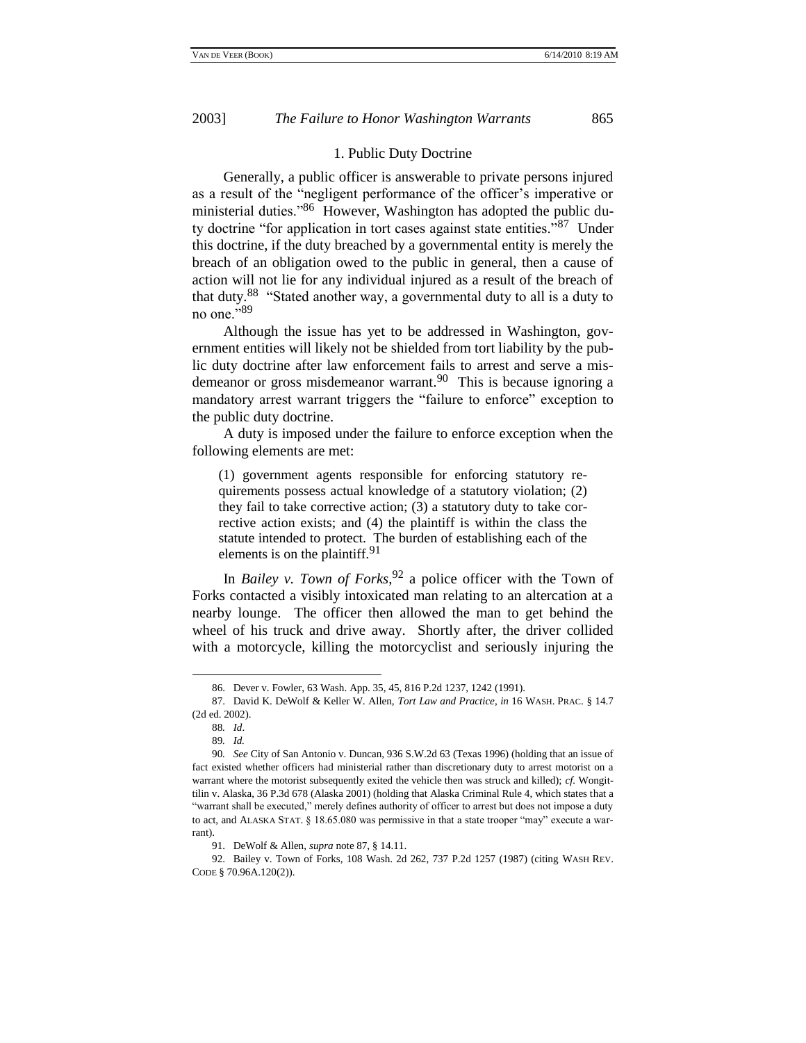#### 1. Public Duty Doctrine

Generally, a public officer is answerable to private persons injured as a result of the "negligent performance of the officer's imperative or ministerial duties."86 However, Washington has adopted the public duty doctrine "for application in tort cases against state entities."<sup>87</sup> Under this doctrine, if the duty breached by a governmental entity is merely the breach of an obligation owed to the public in general, then a cause of action will not lie for any individual injured as a result of the breach of that duty.<sup>88</sup> "Stated another way, a governmental duty to all is a duty to no one." $89$ 

Although the issue has yet to be addressed in Washington, government entities will likely not be shielded from tort liability by the public duty doctrine after law enforcement fails to arrest and serve a misdemeanor or gross misdemeanor warrant.<sup>90</sup> This is because ignoring a mandatory arrest warrant triggers the "failure to enforce" exception to the public duty doctrine.

A duty is imposed under the failure to enforce exception when the following elements are met:

(1) government agents responsible for enforcing statutory requirements possess actual knowledge of a statutory violation; (2) they fail to take corrective action; (3) a statutory duty to take corrective action exists; and (4) the plaintiff is within the class the statute intended to protect. The burden of establishing each of the elements is on the plaintiff.<sup>91</sup>

In *Bailey v. Town of Forks*, <sup>92</sup> a police officer with the Town of Forks contacted a visibly intoxicated man relating to an altercation at a nearby lounge. The officer then allowed the man to get behind the wheel of his truck and drive away. Shortly after, the driver collided with a motorcycle, killing the motorcyclist and seriously injuring the

<sup>86.</sup> Dever v. Fowler, 63 Wash. App. 35, 45, 816 P.2d 1237, 1242 (1991).

<sup>87.</sup> David K. DeWolf & Keller W. Allen, *Tort Law and Practice*, *in* 16 WASH. PRAC. § 14.7 (2d ed. 2002).

<sup>88</sup>*. Id*.

<sup>89</sup>*. Id.*

<sup>90</sup>*. See* City of San Antonio v. Duncan, 936 S.W.2d 63 (Texas 1996) (holding that an issue of fact existed whether officers had ministerial rather than discretionary duty to arrest motorist on a warrant where the motorist subsequently exited the vehicle then was struck and killed); *cf.* Wongittilin v. Alaska, 36 P.3d 678 (Alaska 2001) (holding that Alaska Criminal Rule 4, which states that a "warrant shall be executed," merely defines authority of officer to arrest but does not impose a duty to act, and ALASKA STAT. § 18.65.080 was permissive in that a state trooper "may" execute a warrant).

<sup>91.</sup> DeWolf & Allen, *supra* note 87, § 14.11.

<sup>92.</sup> Bailey v. Town of Forks, 108 Wash. 2d 262, 737 P.2d 1257 (1987) (citing WASH REV. CODE § 70.96A.120(2)).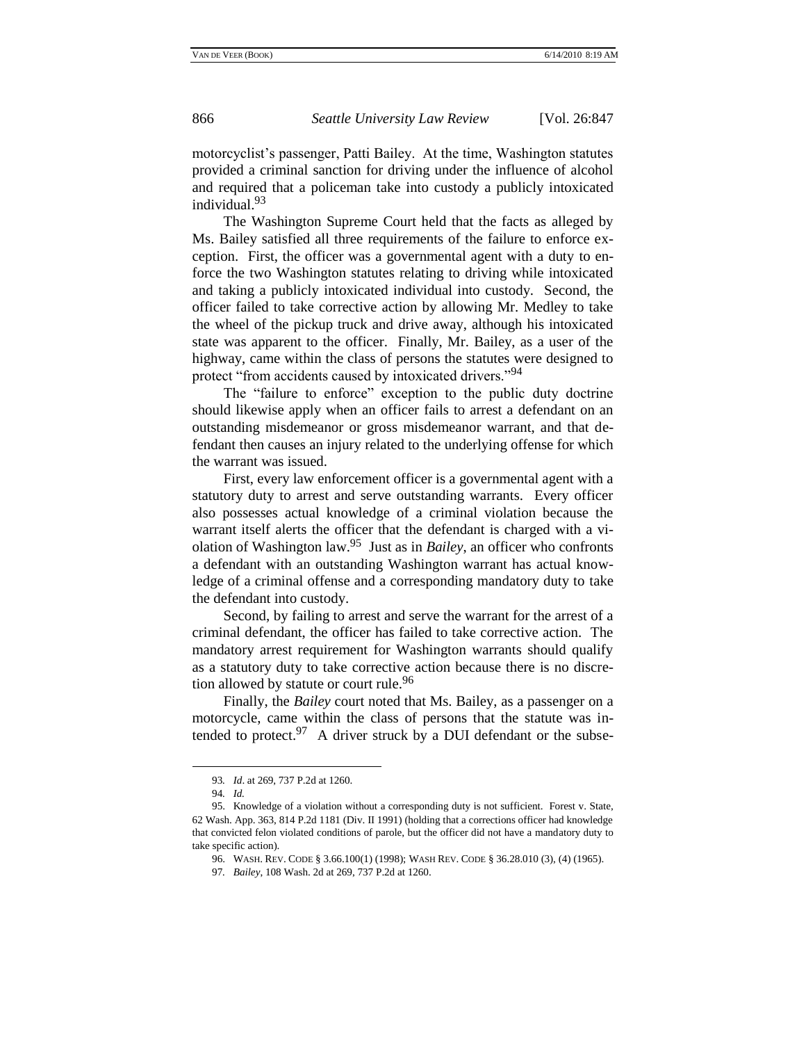motorcyclist's passenger, Patti Bailey. At the time, Washington statutes provided a criminal sanction for driving under the influence of alcohol and required that a policeman take into custody a publicly intoxicated individual.<sup>93</sup>

The Washington Supreme Court held that the facts as alleged by Ms. Bailey satisfied all three requirements of the failure to enforce exception. First, the officer was a governmental agent with a duty to enforce the two Washington statutes relating to driving while intoxicated and taking a publicly intoxicated individual into custody. Second, the officer failed to take corrective action by allowing Mr. Medley to take the wheel of the pickup truck and drive away, although his intoxicated state was apparent to the officer. Finally, Mr. Bailey, as a user of the highway, came within the class of persons the statutes were designed to protect "from accidents caused by intoxicated drivers."<sup>94</sup>

The "failure to enforce" exception to the public duty doctrine should likewise apply when an officer fails to arrest a defendant on an outstanding misdemeanor or gross misdemeanor warrant, and that defendant then causes an injury related to the underlying offense for which the warrant was issued.

First, every law enforcement officer is a governmental agent with a statutory duty to arrest and serve outstanding warrants. Every officer also possesses actual knowledge of a criminal violation because the warrant itself alerts the officer that the defendant is charged with a violation of Washington law.<sup>95</sup> Just as in *Bailey*, an officer who confronts a defendant with an outstanding Washington warrant has actual knowledge of a criminal offense and a corresponding mandatory duty to take the defendant into custody.

Second, by failing to arrest and serve the warrant for the arrest of a criminal defendant, the officer has failed to take corrective action. The mandatory arrest requirement for Washington warrants should qualify as a statutory duty to take corrective action because there is no discretion allowed by statute or court rule.<sup>96</sup>

Finally, the *Bailey* court noted that Ms. Bailey, as a passenger on a motorcycle, came within the class of persons that the statute was intended to protect.<sup>97</sup> A driver struck by a DUI defendant or the subse-

<sup>93</sup>*. Id*. at 269, 737 P.2d at 1260.

<sup>94</sup>*. Id.*

<sup>95.</sup> Knowledge of a violation without a corresponding duty is not sufficient. Forest v. State, 62 Wash. App. 363, 814 P.2d 1181 (Div. II 1991) (holding that a corrections officer had knowledge that convicted felon violated conditions of parole, but the officer did not have a mandatory duty to take specific action).

<sup>96.</sup> WASH. REV. CODE § 3.66.100(1) (1998); WASH REV. CODE § 36.28.010 (3), (4) (1965).

<sup>97</sup>*. Bailey*, 108 Wash. 2d at 269, 737 P.2d at 1260.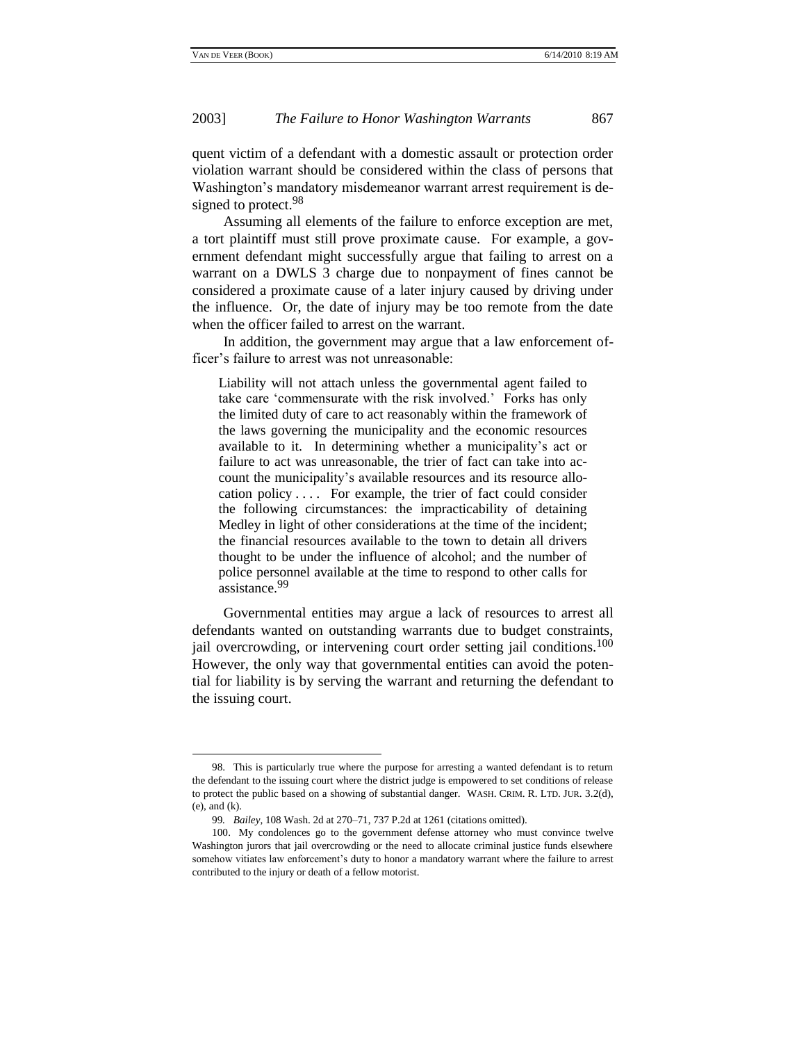## 2003] *The Failure to Honor Washington Warrants* 867

quent victim of a defendant with a domestic assault or protection order violation warrant should be considered within the class of persons that Washington's mandatory misdemeanor warrant arrest requirement is designed to protect.<sup>98</sup>

Assuming all elements of the failure to enforce exception are met, a tort plaintiff must still prove proximate cause. For example, a government defendant might successfully argue that failing to arrest on a warrant on a DWLS 3 charge due to nonpayment of fines cannot be considered a proximate cause of a later injury caused by driving under the influence. Or, the date of injury may be too remote from the date when the officer failed to arrest on the warrant.

In addition, the government may argue that a law enforcement officer's failure to arrest was not unreasonable:

Liability will not attach unless the governmental agent failed to take care 'commensurate with the risk involved.' Forks has only the limited duty of care to act reasonably within the framework of the laws governing the municipality and the economic resources available to it. In determining whether a municipality's act or failure to act was unreasonable, the trier of fact can take into account the municipality's available resources and its resource allocation policy . . . . For example, the trier of fact could consider the following circumstances: the impracticability of detaining Medley in light of other considerations at the time of the incident; the financial resources available to the town to detain all drivers thought to be under the influence of alcohol; and the number of police personnel available at the time to respond to other calls for assistance.<sup>99</sup>

Governmental entities may argue a lack of resources to arrest all defendants wanted on outstanding warrants due to budget constraints, jail overcrowding, or intervening court order setting jail conditions.<sup>100</sup> However, the only way that governmental entities can avoid the potential for liability is by serving the warrant and returning the defendant to the issuing court.

<sup>98.</sup> This is particularly true where the purpose for arresting a wanted defendant is to return the defendant to the issuing court where the district judge is empowered to set conditions of release to protect the public based on a showing of substantial danger. WASH. CRIM. R. LTD. JUR. 3.2(d), (e), and (k).

<sup>99</sup>*. Bailey*, 108 Wash. 2d at 270–71, 737 P.2d at 1261 (citations omitted).

<sup>100.</sup> My condolences go to the government defense attorney who must convince twelve Washington jurors that jail overcrowding or the need to allocate criminal justice funds elsewhere somehow vitiates law enforcement's duty to honor a mandatory warrant where the failure to arrest contributed to the injury or death of a fellow motorist.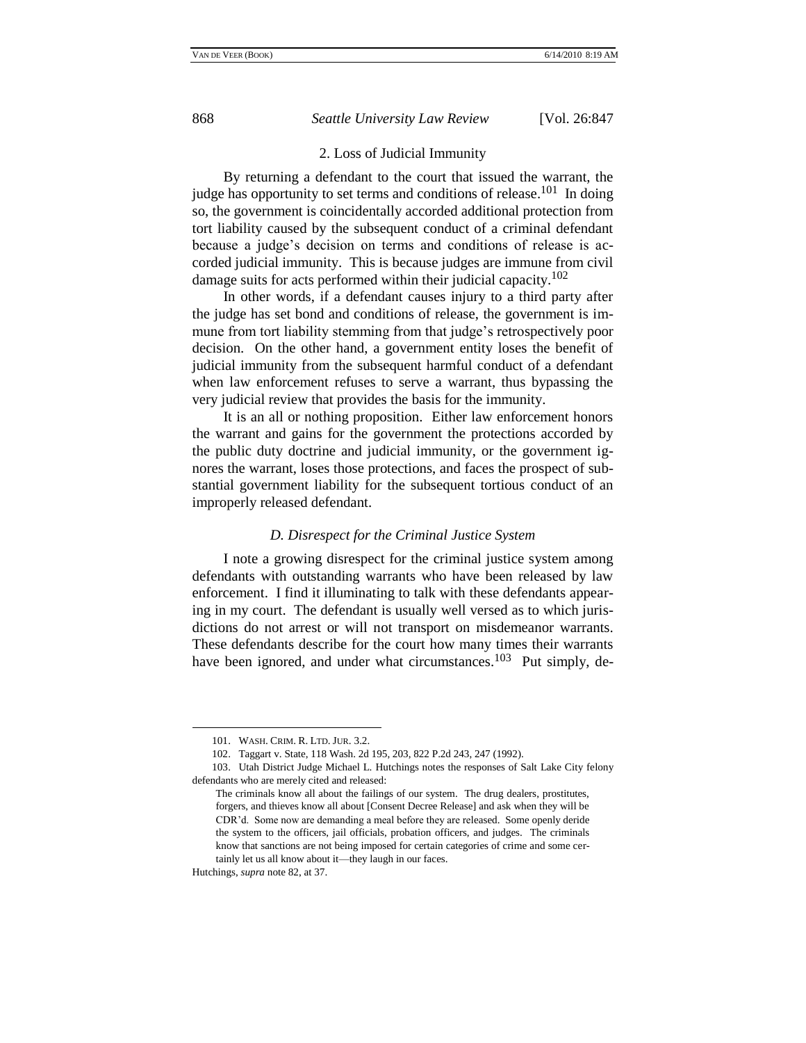### 2. Loss of Judicial Immunity

By returning a defendant to the court that issued the warrant, the judge has opportunity to set terms and conditions of release.<sup>101</sup> In doing so, the government is coincidentally accorded additional protection from tort liability caused by the subsequent conduct of a criminal defendant because a judge's decision on terms and conditions of release is accorded judicial immunity. This is because judges are immune from civil damage suits for acts performed within their judicial capacity.<sup>102</sup>

In other words, if a defendant causes injury to a third party after the judge has set bond and conditions of release, the government is immune from tort liability stemming from that judge's retrospectively poor decision. On the other hand, a government entity loses the benefit of judicial immunity from the subsequent harmful conduct of a defendant when law enforcement refuses to serve a warrant, thus bypassing the very judicial review that provides the basis for the immunity.

It is an all or nothing proposition. Either law enforcement honors the warrant and gains for the government the protections accorded by the public duty doctrine and judicial immunity, or the government ignores the warrant, loses those protections, and faces the prospect of substantial government liability for the subsequent tortious conduct of an improperly released defendant.

#### *D. Disrespect for the Criminal Justice System*

I note a growing disrespect for the criminal justice system among defendants with outstanding warrants who have been released by law enforcement. I find it illuminating to talk with these defendants appearing in my court. The defendant is usually well versed as to which jurisdictions do not arrest or will not transport on misdemeanor warrants. These defendants describe for the court how many times their warrants have been ignored, and under what circumstances.<sup>103</sup> Put simply, de-

<sup>101.</sup> WASH. CRIM. R. LTD. JUR. 3.2.

<sup>102.</sup> Taggart v. State, 118 Wash. 2d 195, 203, 822 P.2d 243, 247 (1992).

<sup>103.</sup> Utah District Judge Michael L. Hutchings notes the responses of Salt Lake City felony defendants who are merely cited and released:

The criminals know all about the failings of our system. The drug dealers, prostitutes, forgers, and thieves know all about [Consent Decree Release] and ask when they will be CDR'd. Some now are demanding a meal before they are released. Some openly deride the system to the officers, jail officials, probation officers, and judges. The criminals know that sanctions are not being imposed for certain categories of crime and some certainly let us all know about it—they laugh in our faces.

Hutchings, *supra* note 82, at 37.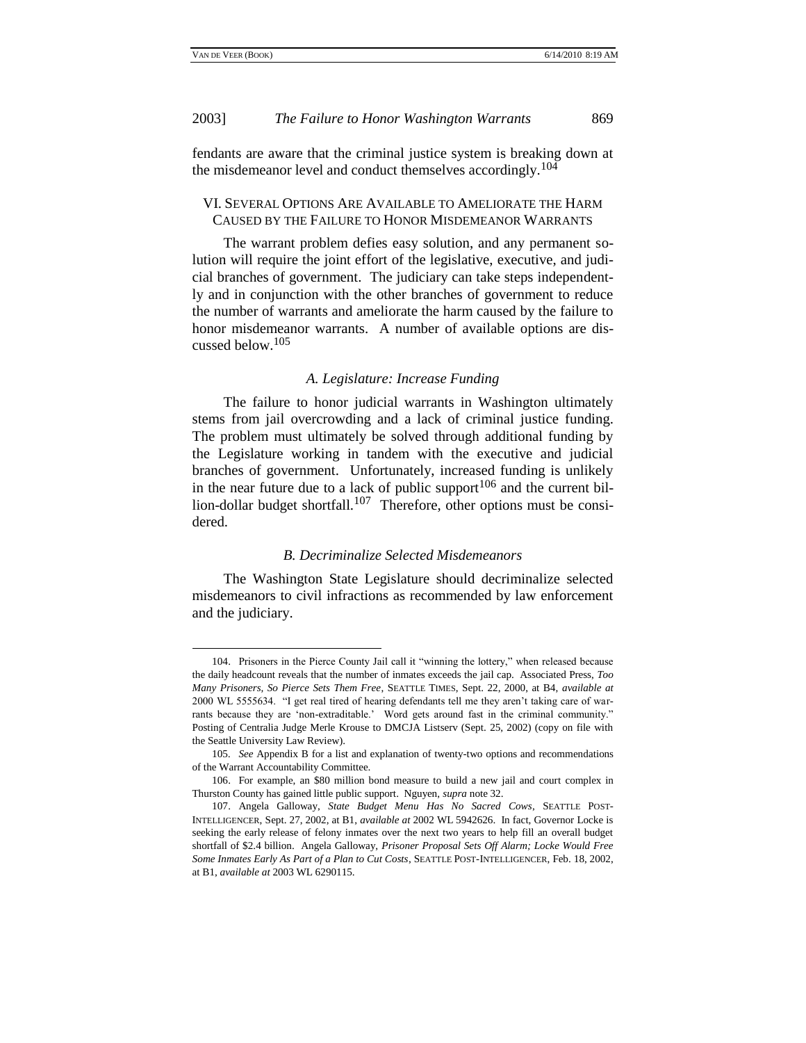### 2003] *The Failure to Honor Washington Warrants* 869

fendants are aware that the criminal justice system is breaking down at the misdemeanor level and conduct themselves accordingly.<sup>104</sup>

### VI. SEVERAL OPTIONS ARE AVAILABLE TO AMELIORATE THE HARM CAUSED BY THE FAILURE TO HONOR MISDEMEANOR WARRANTS

The warrant problem defies easy solution, and any permanent solution will require the joint effort of the legislative, executive, and judicial branches of government. The judiciary can take steps independently and in conjunction with the other branches of government to reduce the number of warrants and ameliorate the harm caused by the failure to honor misdemeanor warrants. A number of available options are discussed below.<sup>105</sup>

#### *A. Legislature: Increase Funding*

The failure to honor judicial warrants in Washington ultimately stems from jail overcrowding and a lack of criminal justice funding. The problem must ultimately be solved through additional funding by the Legislature working in tandem with the executive and judicial branches of government. Unfortunately, increased funding is unlikely in the near future due to a lack of public support<sup>106</sup> and the current billion-dollar budget shortfall.<sup>107</sup> Therefore, other options must be considered.

#### *B. Decriminalize Selected Misdemeanors*

The Washington State Legislature should decriminalize selected misdemeanors to civil infractions as recommended by law enforcement and the judiciary.

<sup>104.</sup> Prisoners in the Pierce County Jail call it "winning the lottery," when released because the daily headcount reveals that the number of inmates exceeds the jail cap. Associated Press, *Too Many Prisoners, So Pierce Sets Them Free*, SEATTLE TIMES, Sept. 22, 2000, at B4, *available at* 2000 WL 5555634. "I get real tired of hearing defendants tell me they aren't taking care of warrants because they are 'non-extraditable.' Word gets around fast in the criminal community." Posting of Centralia Judge Merle Krouse to DMCJA Listserv (Sept. 25, 2002) (copy on file with the Seattle University Law Review).

<sup>105</sup>*. See* Appendix B for a list and explanation of twenty-two options and recommendations of the Warrant Accountability Committee.

<sup>106.</sup> For example, an \$80 million bond measure to build a new jail and court complex in Thurston County has gained little public support. Nguyen, *supra* note 32.

<sup>107.</sup> Angela Galloway, *State Budget Menu Has No Sacred Cows*, SEATTLE POST-INTELLIGENCER, Sept. 27, 2002, at B1, *available at* 2002 WL 5942626. In fact, Governor Locke is seeking the early release of felony inmates over the next two years to help fill an overall budget shortfall of \$2.4 billion. Angela Galloway, *Prisoner Proposal Sets Off Alarm; Locke Would Free Some Inmates Early As Part of a Plan to Cut Costs*, SEATTLE POST-INTELLIGENCER, Feb. 18, 2002, at B1, *available at* 2003 WL 6290115.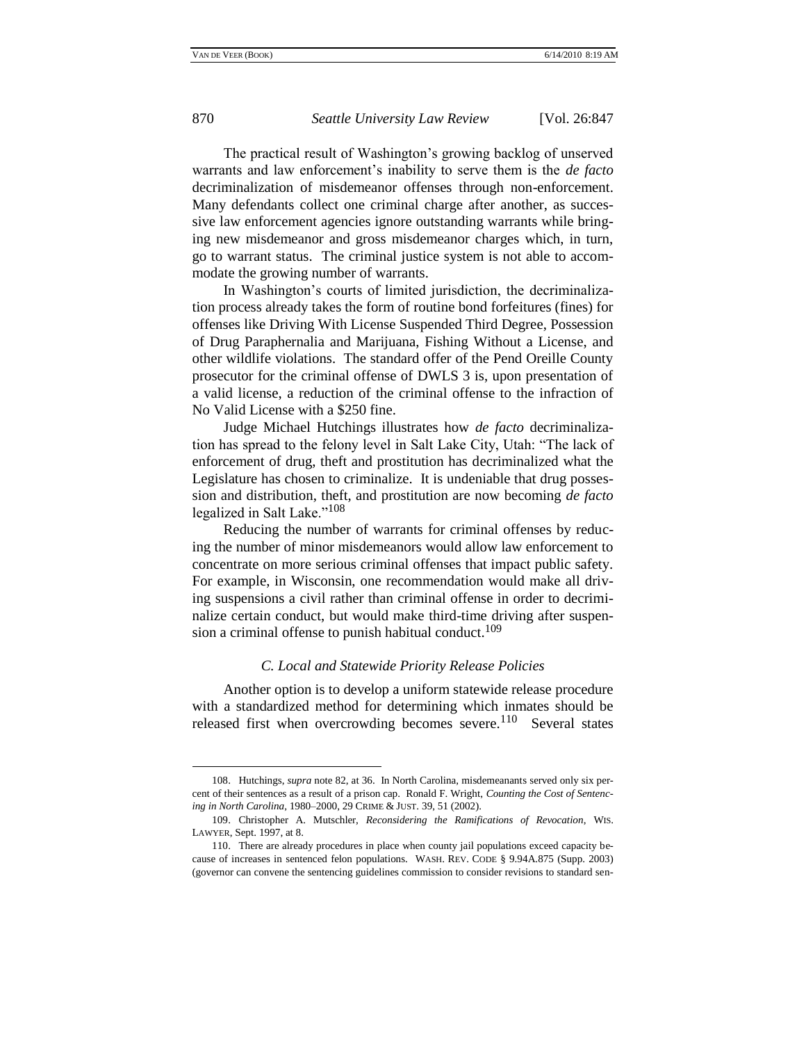The practical result of Washington's growing backlog of unserved warrants and law enforcement's inability to serve them is the *de facto* decriminalization of misdemeanor offenses through non-enforcement. Many defendants collect one criminal charge after another, as successive law enforcement agencies ignore outstanding warrants while bringing new misdemeanor and gross misdemeanor charges which, in turn, go to warrant status. The criminal justice system is not able to accommodate the growing number of warrants.

In Washington's courts of limited jurisdiction, the decriminalization process already takes the form of routine bond forfeitures (fines) for offenses like Driving With License Suspended Third Degree, Possession of Drug Paraphernalia and Marijuana, Fishing Without a License, and other wildlife violations. The standard offer of the Pend Oreille County prosecutor for the criminal offense of DWLS 3 is, upon presentation of a valid license, a reduction of the criminal offense to the infraction of No Valid License with a \$250 fine.

Judge Michael Hutchings illustrates how *de facto* decriminalization has spread to the felony level in Salt Lake City, Utah: "The lack of enforcement of drug, theft and prostitution has decriminalized what the Legislature has chosen to criminalize. It is undeniable that drug possession and distribution, theft, and prostitution are now becoming *de facto* legalized in Salt Lake."<sup>108</sup>

Reducing the number of warrants for criminal offenses by reducing the number of minor misdemeanors would allow law enforcement to concentrate on more serious criminal offenses that impact public safety. For example, in Wisconsin, one recommendation would make all driving suspensions a civil rather than criminal offense in order to decriminalize certain conduct, but would make third-time driving after suspension a criminal offense to punish habitual conduct.<sup>109</sup>

#### *C. Local and Statewide Priority Release Policies*

Another option is to develop a uniform statewide release procedure with a standardized method for determining which inmates should be released first when overcrowding becomes severe.<sup>110</sup> Several states

<sup>108.</sup> Hutchings, *supra* note 82, at 36. In North Carolina, misdemeanants served only six percent of their sentences as a result of a prison cap. Ronald F. Wright, *Counting the Cost of Sentencing in North Carolina*, 1980–2000, 29 CRIME & JUST. 39, 51 (2002).

<sup>109.</sup> Christopher A. Mutschler, *Reconsidering the Ramifications of Revocation*, WIS. LAWYER, Sept. 1997, at 8.

<sup>110.</sup> There are already procedures in place when county jail populations exceed capacity because of increases in sentenced felon populations. WASH. REV. CODE § 9.94A.875 (Supp. 2003) (governor can convene the sentencing guidelines commission to consider revisions to standard sen-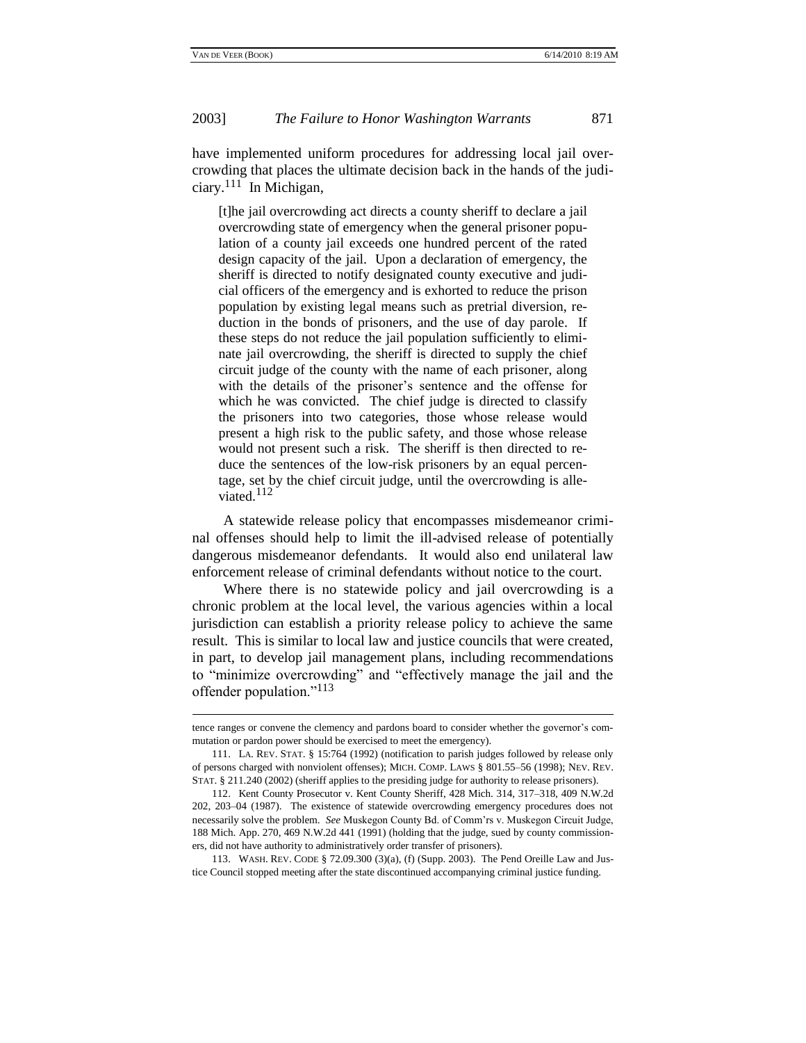#### 2003] *The Failure to Honor Washington Warrants* 871

have implemented uniform procedures for addressing local jail overcrowding that places the ultimate decision back in the hands of the judiciary.<sup>111</sup> In Michigan,

[t]he jail overcrowding act directs a county sheriff to declare a jail overcrowding state of emergency when the general prisoner population of a county jail exceeds one hundred percent of the rated design capacity of the jail. Upon a declaration of emergency, the sheriff is directed to notify designated county executive and judicial officers of the emergency and is exhorted to reduce the prison population by existing legal means such as pretrial diversion, reduction in the bonds of prisoners, and the use of day parole. If these steps do not reduce the jail population sufficiently to eliminate jail overcrowding, the sheriff is directed to supply the chief circuit judge of the county with the name of each prisoner, along with the details of the prisoner's sentence and the offense for which he was convicted. The chief judge is directed to classify the prisoners into two categories, those whose release would present a high risk to the public safety, and those whose release would not present such a risk. The sheriff is then directed to reduce the sentences of the low-risk prisoners by an equal percentage, set by the chief circuit judge, until the overcrowding is alleviated. $112$ 

A statewide release policy that encompasses misdemeanor criminal offenses should help to limit the ill-advised release of potentially dangerous misdemeanor defendants. It would also end unilateral law enforcement release of criminal defendants without notice to the court.

Where there is no statewide policy and jail overcrowding is a chronic problem at the local level, the various agencies within a local jurisdiction can establish a priority release policy to achieve the same result. This is similar to local law and justice councils that were created, in part, to develop jail management plans, including recommendations to "minimize overcrowding" and "effectively manage the jail and the offender population."<sup>113</sup>

tence ranges or convene the clemency and pardons board to consider whether the governor's commutation or pardon power should be exercised to meet the emergency).

<sup>111.</sup> LA. REV. STAT. § 15:764 (1992) (notification to parish judges followed by release only of persons charged with nonviolent offenses); MICH. COMP. LAWS § 801.55–56 (1998); NEV. REV. STAT. § 211.240 (2002) (sheriff applies to the presiding judge for authority to release prisoners).

<sup>112.</sup> Kent County Prosecutor v. Kent County Sheriff, 428 Mich. 314, 317–318, 409 N.W.2d 202, 203–04 (1987). The existence of statewide overcrowding emergency procedures does not necessarily solve the problem. *See* Muskegon County Bd. of Comm'rs v. Muskegon Circuit Judge, 188 Mich. App. 270, 469 N.W.2d 441 (1991) (holding that the judge, sued by county commissioners, did not have authority to administratively order transfer of prisoners).

<sup>113.</sup> WASH. REV. CODE § 72.09.300 (3)(a), (f) (Supp. 2003). The Pend Oreille Law and Justice Council stopped meeting after the state discontinued accompanying criminal justice funding.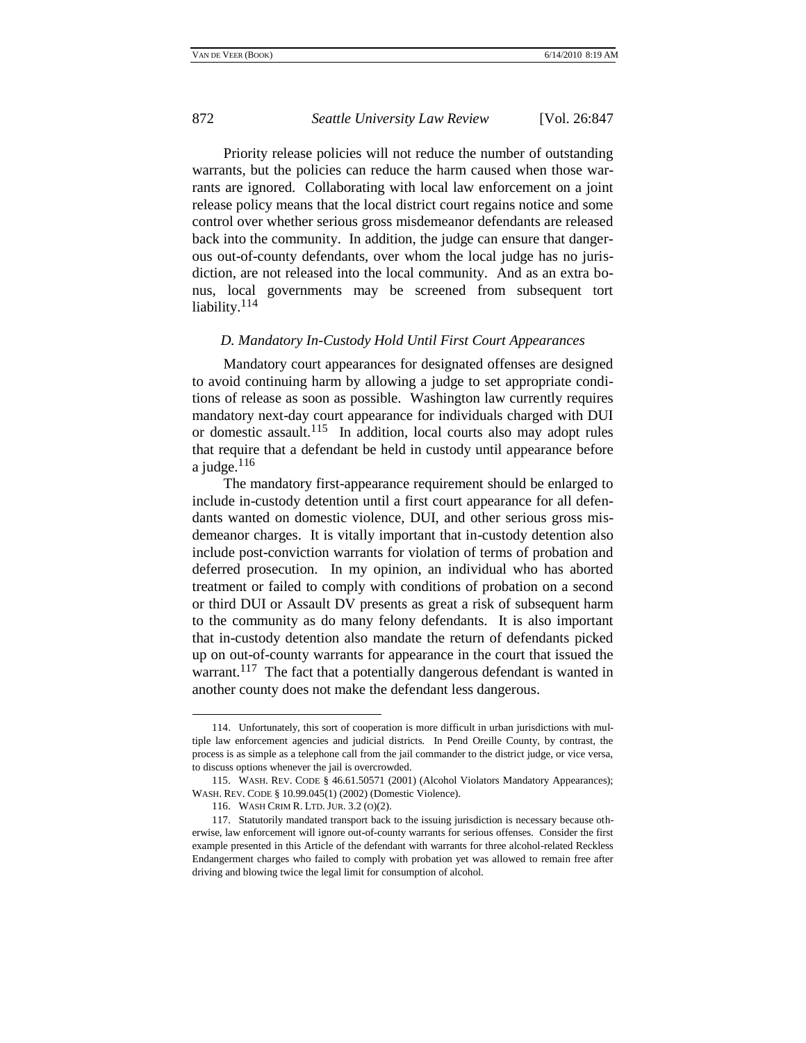Priority release policies will not reduce the number of outstanding warrants, but the policies can reduce the harm caused when those warrants are ignored. Collaborating with local law enforcement on a joint release policy means that the local district court regains notice and some control over whether serious gross misdemeanor defendants are released back into the community. In addition, the judge can ensure that dangerous out-of-county defendants, over whom the local judge has no jurisdiction, are not released into the local community. And as an extra bonus, local governments may be screened from subsequent tort liability.<sup>114</sup>

#### *D. Mandatory In-Custody Hold Until First Court Appearances*

Mandatory court appearances for designated offenses are designed to avoid continuing harm by allowing a judge to set appropriate conditions of release as soon as possible. Washington law currently requires mandatory next-day court appearance for individuals charged with DUI or domestic assault.<sup>115</sup> In addition, local courts also may adopt rules that require that a defendant be held in custody until appearance before a judge. $^{116}$ 

The mandatory first-appearance requirement should be enlarged to include in-custody detention until a first court appearance for all defendants wanted on domestic violence, DUI, and other serious gross misdemeanor charges. It is vitally important that in-custody detention also include post-conviction warrants for violation of terms of probation and deferred prosecution. In my opinion, an individual who has aborted treatment or failed to comply with conditions of probation on a second or third DUI or Assault DV presents as great a risk of subsequent harm to the community as do many felony defendants. It is also important that in-custody detention also mandate the return of defendants picked up on out-of-county warrants for appearance in the court that issued the warrant.<sup>117</sup> The fact that a potentially dangerous defendant is wanted in another county does not make the defendant less dangerous.

<sup>114.</sup> Unfortunately, this sort of cooperation is more difficult in urban jurisdictions with multiple law enforcement agencies and judicial districts. In Pend Oreille County, by contrast, the process is as simple as a telephone call from the jail commander to the district judge, or vice versa, to discuss options whenever the jail is overcrowded.

<sup>115.</sup> WASH. REV. CODE § 46.61.50571 (2001) (Alcohol Violators Mandatory Appearances); WASH. REV. CODE § 10.99.045(1) (2002) (Domestic Violence).

<sup>116.</sup> WASH CRIM R. LTD. JUR. 3.2 (O)(2).

<sup>117.</sup> Statutorily mandated transport back to the issuing jurisdiction is necessary because otherwise, law enforcement will ignore out-of-county warrants for serious offenses. Consider the first example presented in this Article of the defendant with warrants for three alcohol-related Reckless Endangerment charges who failed to comply with probation yet was allowed to remain free after driving and blowing twice the legal limit for consumption of alcohol.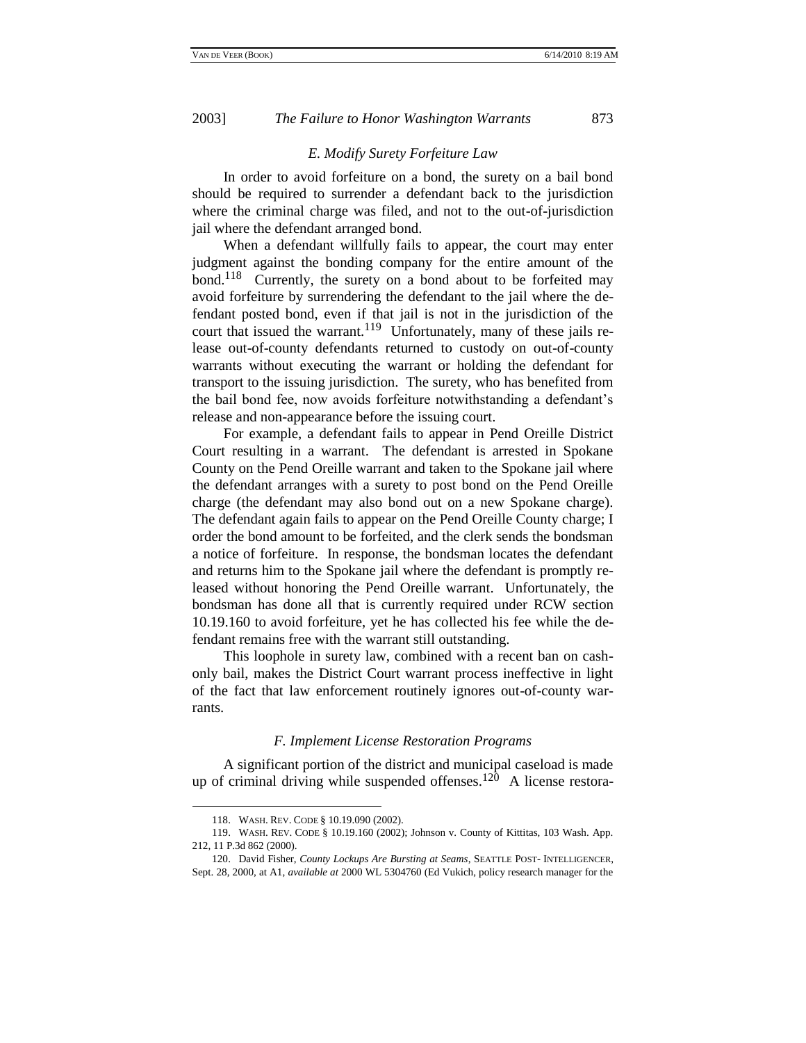#### *E. Modify Surety Forfeiture Law*

In order to avoid forfeiture on a bond, the surety on a bail bond should be required to surrender a defendant back to the jurisdiction where the criminal charge was filed, and not to the out-of-jurisdiction jail where the defendant arranged bond.

When a defendant willfully fails to appear, the court may enter judgment against the bonding company for the entire amount of the bond.<sup>118</sup> Currently, the surety on a bond about to be forfeited may avoid forfeiture by surrendering the defendant to the jail where the defendant posted bond, even if that jail is not in the jurisdiction of the court that issued the warrant.<sup>119</sup> Unfortunately, many of these jails release out-of-county defendants returned to custody on out-of-county warrants without executing the warrant or holding the defendant for transport to the issuing jurisdiction. The surety, who has benefited from the bail bond fee, now avoids forfeiture notwithstanding a defendant's release and non-appearance before the issuing court.

For example, a defendant fails to appear in Pend Oreille District Court resulting in a warrant. The defendant is arrested in Spokane County on the Pend Oreille warrant and taken to the Spokane jail where the defendant arranges with a surety to post bond on the Pend Oreille charge (the defendant may also bond out on a new Spokane charge). The defendant again fails to appear on the Pend Oreille County charge; I order the bond amount to be forfeited, and the clerk sends the bondsman a notice of forfeiture. In response, the bondsman locates the defendant and returns him to the Spokane jail where the defendant is promptly released without honoring the Pend Oreille warrant. Unfortunately, the bondsman has done all that is currently required under RCW section 10.19.160 to avoid forfeiture, yet he has collected his fee while the defendant remains free with the warrant still outstanding.

This loophole in surety law, combined with a recent ban on cashonly bail, makes the District Court warrant process ineffective in light of the fact that law enforcement routinely ignores out-of-county warrants.

### *F. Implement License Restoration Programs*

A significant portion of the district and municipal caseload is made up of criminal driving while suspended offenses.<sup>120</sup> A license restora-

<sup>118.</sup> WASH. REV. CODE § 10.19.090 (2002).

<sup>119.</sup> WASH. REV. CODE § 10.19.160 (2002); Johnson v. County of Kittitas, 103 Wash. App. 212, 11 P.3d 862 (2000).

<sup>120.</sup> David Fisher, *County Lockups Are Bursting at Seams*, SEATTLE POST- INTELLIGENCER, Sept. 28, 2000, at A1, *available at* 2000 WL 5304760 (Ed Vukich, policy research manager for the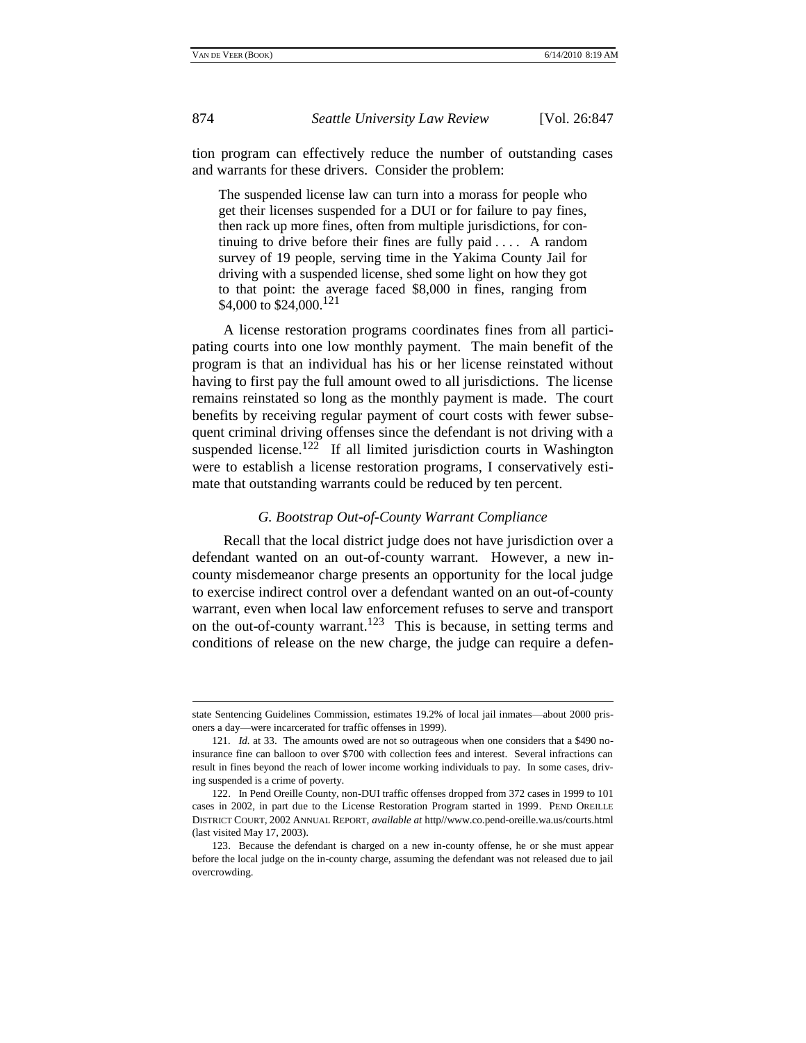874 *Seattle University Law Review* [Vol. 26:847

tion program can effectively reduce the number of outstanding cases and warrants for these drivers. Consider the problem:

The suspended license law can turn into a morass for people who get their licenses suspended for a DUI or for failure to pay fines, then rack up more fines, often from multiple jurisdictions, for continuing to drive before their fines are fully paid . . . . A random survey of 19 people, serving time in the Yakima County Jail for driving with a suspended license, shed some light on how they got to that point: the average faced \$8,000 in fines, ranging from \$4,000 to \$24,000.<sup>121</sup>

A license restoration programs coordinates fines from all participating courts into one low monthly payment. The main benefit of the program is that an individual has his or her license reinstated without having to first pay the full amount owed to all jurisdictions. The license remains reinstated so long as the monthly payment is made. The court benefits by receiving regular payment of court costs with fewer subsequent criminal driving offenses since the defendant is not driving with a suspended license.<sup>122</sup> If all limited jurisdiction courts in Washington were to establish a license restoration programs, I conservatively estimate that outstanding warrants could be reduced by ten percent.

#### *G. Bootstrap Out-of-County Warrant Compliance*

Recall that the local district judge does not have jurisdiction over a defendant wanted on an out-of-county warrant. However, a new incounty misdemeanor charge presents an opportunity for the local judge to exercise indirect control over a defendant wanted on an out-of-county warrant, even when local law enforcement refuses to serve and transport on the out-of-county warrant.<sup>123</sup> This is because, in setting terms and conditions of release on the new charge, the judge can require a defen-

state Sentencing Guidelines Commission, estimates 19.2% of local jail inmates—about 2000 prisoners a day—were incarcerated for traffic offenses in 1999).

<sup>121</sup>*. Id.* at 33. The amounts owed are not so outrageous when one considers that a \$490 noinsurance fine can balloon to over \$700 with collection fees and interest. Several infractions can result in fines beyond the reach of lower income working individuals to pay. In some cases, driving suspended is a crime of poverty.

<sup>122.</sup> In Pend Oreille County, non-DUI traffic offenses dropped from 372 cases in 1999 to 101 cases in 2002, in part due to the License Restoration Program started in 1999. PEND OREILLE DISTRICT COURT, 2002 ANNUAL REPORT, *available at* http//www.co.pend-oreille.wa.us/courts.html (last visited May 17, 2003).

<sup>123.</sup> Because the defendant is charged on a new in-county offense, he or she must appear before the local judge on the in-county charge, assuming the defendant was not released due to jail overcrowding.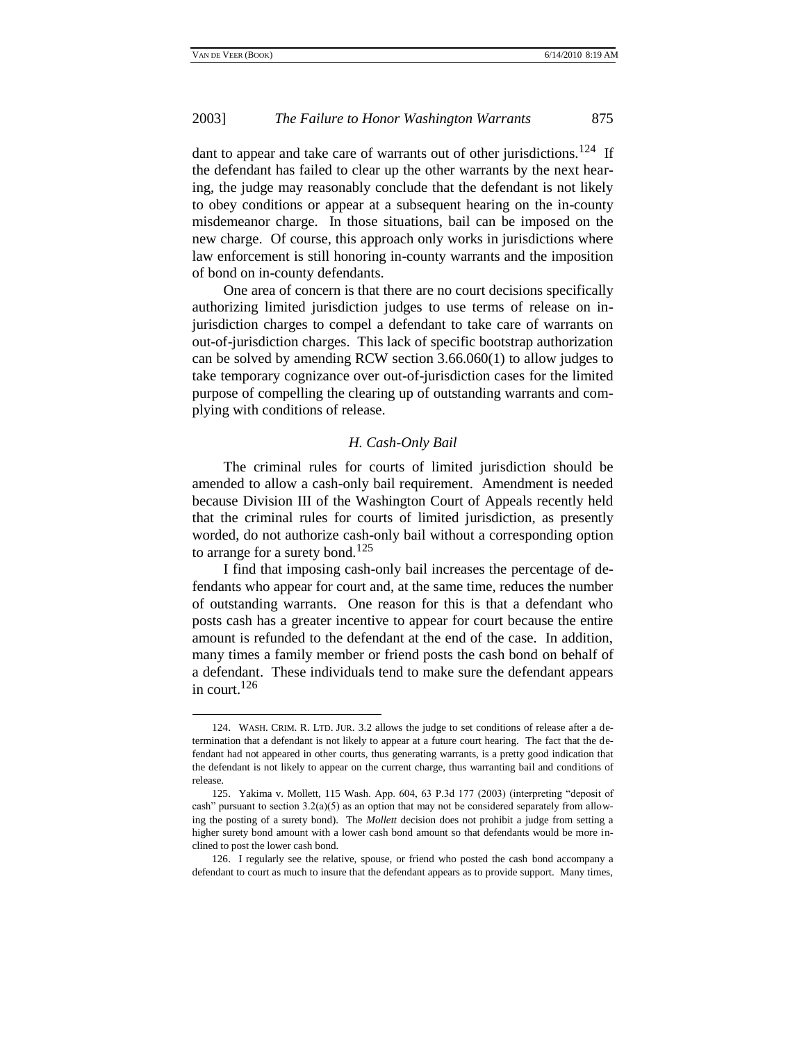### 2003] *The Failure to Honor Washington Warrants* 875

dant to appear and take care of warrants out of other jurisdictions.<sup>124</sup> If the defendant has failed to clear up the other warrants by the next hearing, the judge may reasonably conclude that the defendant is not likely to obey conditions or appear at a subsequent hearing on the in-county misdemeanor charge. In those situations, bail can be imposed on the new charge. Of course, this approach only works in jurisdictions where law enforcement is still honoring in-county warrants and the imposition of bond on in-county defendants.

One area of concern is that there are no court decisions specifically authorizing limited jurisdiction judges to use terms of release on injurisdiction charges to compel a defendant to take care of warrants on out-of-jurisdiction charges. This lack of specific bootstrap authorization can be solved by amending RCW section 3.66.060(1) to allow judges to take temporary cognizance over out-of-jurisdiction cases for the limited purpose of compelling the clearing up of outstanding warrants and complying with conditions of release.

### *H. Cash-Only Bail*

The criminal rules for courts of limited jurisdiction should be amended to allow a cash-only bail requirement. Amendment is needed because Division III of the Washington Court of Appeals recently held that the criminal rules for courts of limited jurisdiction, as presently worded, do not authorize cash-only bail without a corresponding option to arrange for a surety bond.<sup>125</sup>

I find that imposing cash-only bail increases the percentage of defendants who appear for court and, at the same time, reduces the number of outstanding warrants. One reason for this is that a defendant who posts cash has a greater incentive to appear for court because the entire amount is refunded to the defendant at the end of the case. In addition, many times a family member or friend posts the cash bond on behalf of a defendant. These individuals tend to make sure the defendant appears in court.<sup>126</sup>

<sup>124.</sup> WASH. CRIM. R. LTD. JUR. 3.2 allows the judge to set conditions of release after a determination that a defendant is not likely to appear at a future court hearing. The fact that the defendant had not appeared in other courts, thus generating warrants, is a pretty good indication that the defendant is not likely to appear on the current charge, thus warranting bail and conditions of release.

<sup>125.</sup> Yakima v. Mollett, 115 Wash. App. 604, 63 P.3d 177 (2003) (interpreting "deposit of cash" pursuant to section  $3.2(a)(5)$  as an option that may not be considered separately from allowing the posting of a surety bond). The *Mollett* decision does not prohibit a judge from setting a higher surety bond amount with a lower cash bond amount so that defendants would be more inclined to post the lower cash bond.

<sup>126.</sup> I regularly see the relative, spouse, or friend who posted the cash bond accompany a defendant to court as much to insure that the defendant appears as to provide support. Many times,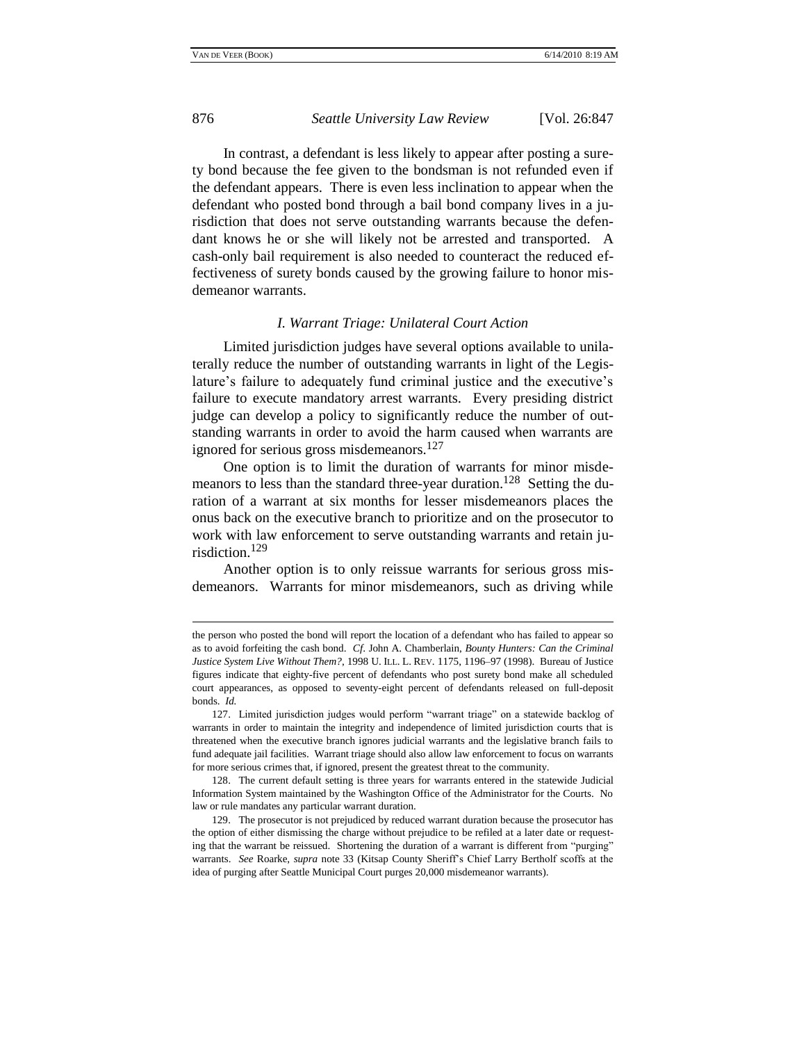## 876 *Seattle University Law Review* [Vol. 26:847

In contrast, a defendant is less likely to appear after posting a surety bond because the fee given to the bondsman is not refunded even if the defendant appears. There is even less inclination to appear when the defendant who posted bond through a bail bond company lives in a jurisdiction that does not serve outstanding warrants because the defendant knows he or she will likely not be arrested and transported. A cash-only bail requirement is also needed to counteract the reduced effectiveness of surety bonds caused by the growing failure to honor misdemeanor warrants.

#### *I. Warrant Triage: Unilateral Court Action*

Limited jurisdiction judges have several options available to unilaterally reduce the number of outstanding warrants in light of the Legislature's failure to adequately fund criminal justice and the executive's failure to execute mandatory arrest warrants. Every presiding district judge can develop a policy to significantly reduce the number of outstanding warrants in order to avoid the harm caused when warrants are ignored for serious gross misdemeanors.<sup>127</sup>

One option is to limit the duration of warrants for minor misdemeanors to less than the standard three-year duration.<sup>128</sup> Setting the duration of a warrant at six months for lesser misdemeanors places the onus back on the executive branch to prioritize and on the prosecutor to work with law enforcement to serve outstanding warrants and retain jurisdiction.<sup>129</sup>

Another option is to only reissue warrants for serious gross misdemeanors. Warrants for minor misdemeanors, such as driving while

the person who posted the bond will report the location of a defendant who has failed to appear so as to avoid forfeiting the cash bond. *Cf*. John A. Chamberlain, *Bounty Hunters: Can the Criminal Justice System Live Without Them?*, 1998 U. ILL. L. REV. 1175, 1196–97 (1998). Bureau of Justice figures indicate that eighty-five percent of defendants who post surety bond make all scheduled court appearances, as opposed to seventy-eight percent of defendants released on full-deposit bonds. *Id.*

<sup>127.</sup> Limited jurisdiction judges would perform "warrant triage" on a statewide backlog of warrants in order to maintain the integrity and independence of limited jurisdiction courts that is threatened when the executive branch ignores judicial warrants and the legislative branch fails to fund adequate jail facilities. Warrant triage should also allow law enforcement to focus on warrants for more serious crimes that, if ignored, present the greatest threat to the community.

<sup>128.</sup> The current default setting is three years for warrants entered in the statewide Judicial Information System maintained by the Washington Office of the Administrator for the Courts. No law or rule mandates any particular warrant duration.

<sup>129.</sup> The prosecutor is not prejudiced by reduced warrant duration because the prosecutor has the option of either dismissing the charge without prejudice to be refiled at a later date or requesting that the warrant be reissued. Shortening the duration of a warrant is different from "purging" warrants. *See* Roarke, *supra* note 33 (Kitsap County Sheriff's Chief Larry Bertholf scoffs at the idea of purging after Seattle Municipal Court purges 20,000 misdemeanor warrants).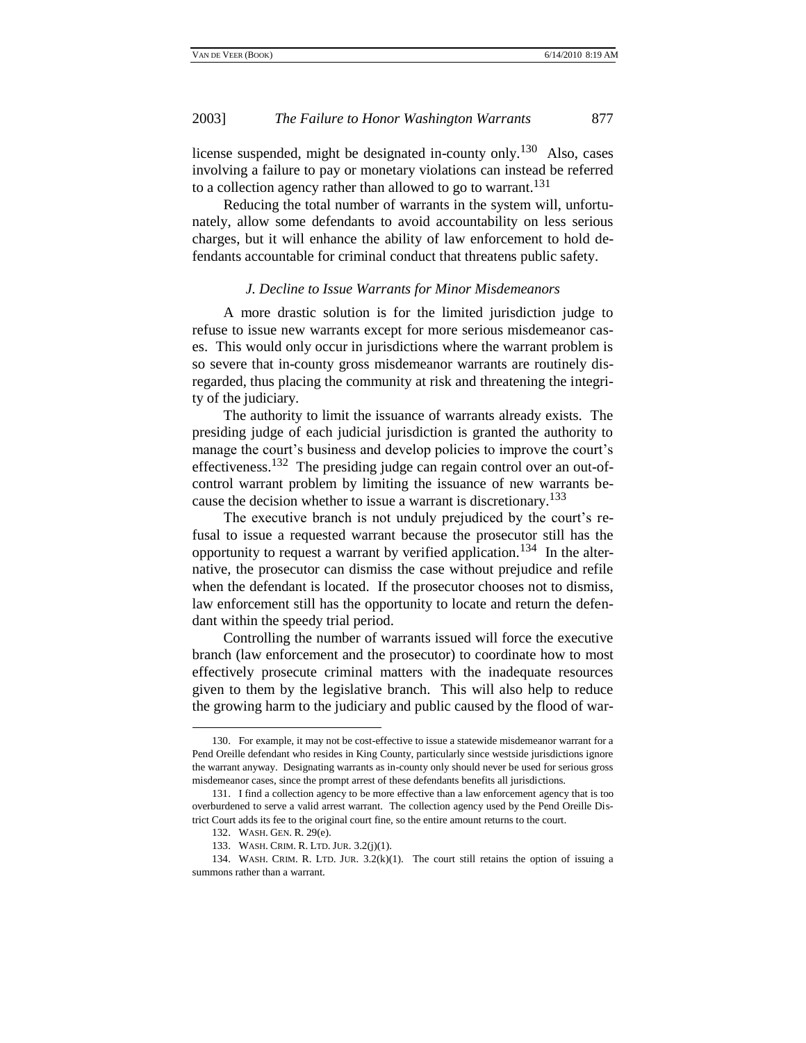license suspended, might be designated in-county only.<sup>130</sup> Also, cases involving a failure to pay or monetary violations can instead be referred to a collection agency rather than allowed to go to warrant.<sup>131</sup>

Reducing the total number of warrants in the system will, unfortunately, allow some defendants to avoid accountability on less serious charges, but it will enhance the ability of law enforcement to hold defendants accountable for criminal conduct that threatens public safety.

#### *J. Decline to Issue Warrants for Minor Misdemeanors*

A more drastic solution is for the limited jurisdiction judge to refuse to issue new warrants except for more serious misdemeanor cases. This would only occur in jurisdictions where the warrant problem is so severe that in-county gross misdemeanor warrants are routinely disregarded, thus placing the community at risk and threatening the integrity of the judiciary.

The authority to limit the issuance of warrants already exists. The presiding judge of each judicial jurisdiction is granted the authority to manage the court's business and develop policies to improve the court's effectiveness.<sup>132</sup> The presiding judge can regain control over an out-ofcontrol warrant problem by limiting the issuance of new warrants because the decision whether to issue a warrant is discretionary.<sup>133</sup>

The executive branch is not unduly prejudiced by the court's refusal to issue a requested warrant because the prosecutor still has the opportunity to request a warrant by verified application.<sup>134</sup> In the alternative, the prosecutor can dismiss the case without prejudice and refile when the defendant is located. If the prosecutor chooses not to dismiss, law enforcement still has the opportunity to locate and return the defendant within the speedy trial period.

Controlling the number of warrants issued will force the executive branch (law enforcement and the prosecutor) to coordinate how to most effectively prosecute criminal matters with the inadequate resources given to them by the legislative branch. This will also help to reduce the growing harm to the judiciary and public caused by the flood of war-

<sup>130.</sup> For example, it may not be cost-effective to issue a statewide misdemeanor warrant for a Pend Oreille defendant who resides in King County, particularly since westside jurisdictions ignore the warrant anyway. Designating warrants as in-county only should never be used for serious gross misdemeanor cases, since the prompt arrest of these defendants benefits all jurisdictions.

<sup>131.</sup> I find a collection agency to be more effective than a law enforcement agency that is too overburdened to serve a valid arrest warrant. The collection agency used by the Pend Oreille District Court adds its fee to the original court fine, so the entire amount returns to the court.

<sup>132.</sup> WASH. GEN. R. 29(e).

<sup>133.</sup> WASH. CRIM. R. LTD. JUR. 3.2(j)(1).

<sup>134.</sup> WASH. CRIM. R. LTD. JUR. 3.2(k)(1). The court still retains the option of issuing a summons rather than a warrant.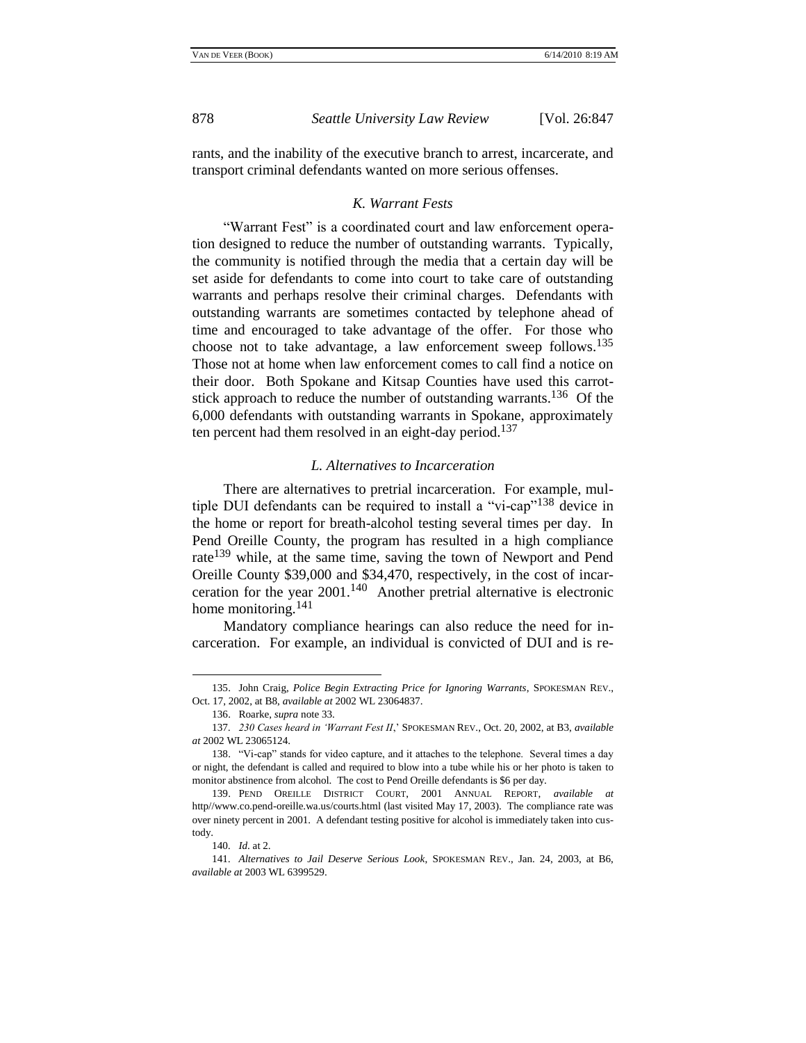rants, and the inability of the executive branch to arrest, incarcerate, and transport criminal defendants wanted on more serious offenses.

### *K. Warrant Fests*

"Warrant Fest" is a coordinated court and law enforcement operation designed to reduce the number of outstanding warrants. Typically, the community is notified through the media that a certain day will be set aside for defendants to come into court to take care of outstanding warrants and perhaps resolve their criminal charges. Defendants with outstanding warrants are sometimes contacted by telephone ahead of time and encouraged to take advantage of the offer. For those who choose not to take advantage, a law enforcement sweep follows.<sup>135</sup> Those not at home when law enforcement comes to call find a notice on their door. Both Spokane and Kitsap Counties have used this carrotstick approach to reduce the number of outstanding warrants.<sup>136</sup> Of the 6,000 defendants with outstanding warrants in Spokane, approximately ten percent had them resolved in an eight-day period.<sup>137</sup>

#### *L. Alternatives to Incarceration*

There are alternatives to pretrial incarceration. For example, multiple DUI defendants can be required to install a "vi-cap"<sup>138</sup> device in the home or report for breath-alcohol testing several times per day. In Pend Oreille County, the program has resulted in a high compliance rate<sup>139</sup> while, at the same time, saving the town of Newport and Pend Oreille County \$39,000 and \$34,470, respectively, in the cost of incarceration for the year  $2001$ .<sup>140</sup> Another pretrial alternative is electronic home monitoring.<sup>141</sup>

Mandatory compliance hearings can also reduce the need for incarceration. For example, an individual is convicted of DUI and is re-

<sup>135.</sup> John Craig, *Police Begin Extracting Price for Ignoring Warrants*, SPOKESMAN REV., Oct. 17, 2002, at B8, *available at* 2002 WL 23064837.

<sup>136.</sup> Roarke, *supra* note 33.

<sup>137</sup>*. 230 Cases heard in 'Warrant Fest II*,' SPOKESMAN REV., Oct. 20, 2002, at B3, *available at* 2002 WL 23065124.

<sup>138. &</sup>quot;Vi-cap" stands for video capture, and it attaches to the telephone. Several times a day or night, the defendant is called and required to blow into a tube while his or her photo is taken to monitor abstinence from alcohol. The cost to Pend Oreille defendants is \$6 per day.

<sup>139.</sup> PEND OREILLE DISTRICT COURT, 2001 ANNUAL REPORT, *available at* http//www.co.pend-oreille.wa.us/courts.html (last visited May 17, 2003). The compliance rate was over ninety percent in 2001. A defendant testing positive for alcohol is immediately taken into custody.

<sup>140</sup>*. Id*. at 2.

<sup>141</sup>*. Alternatives to Jail Deserve Serious Look*, SPOKESMAN REV., Jan. 24, 2003, at B6, *available at* 2003 WL 6399529.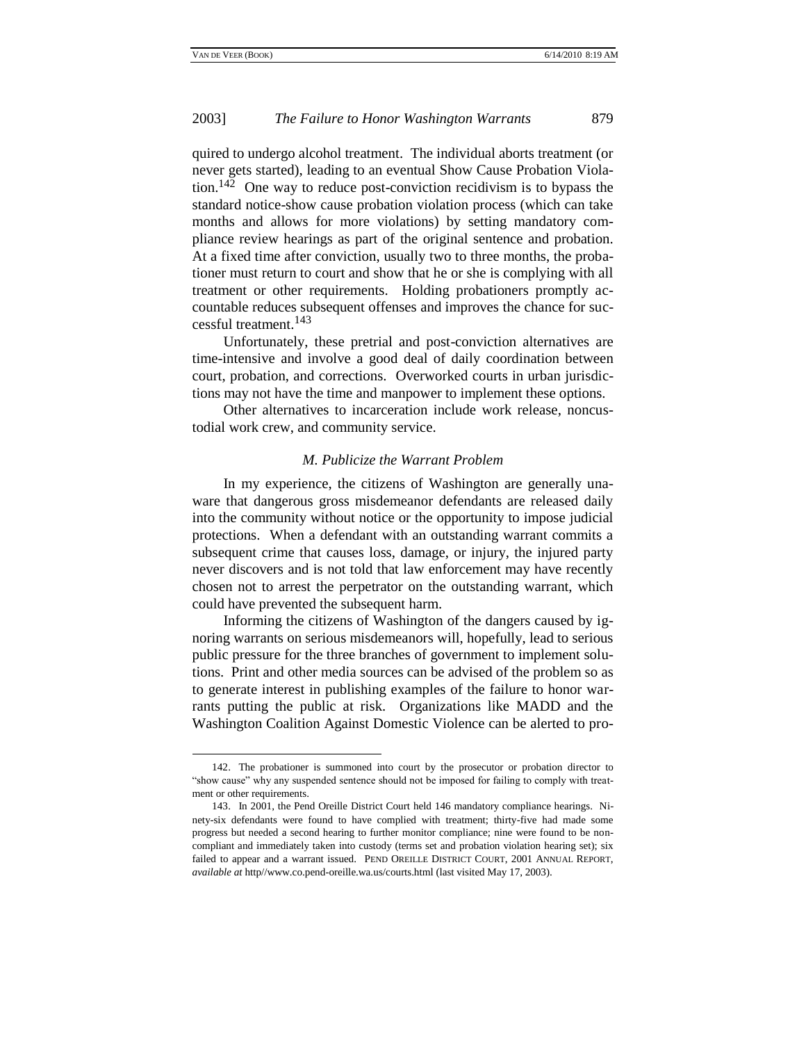### 2003] *The Failure to Honor Washington Warrants* 879

quired to undergo alcohol treatment. The individual aborts treatment (or never gets started), leading to an eventual Show Cause Probation Violation.<sup>142</sup> One way to reduce post-conviction recidivism is to bypass the standard notice-show cause probation violation process (which can take months and allows for more violations) by setting mandatory compliance review hearings as part of the original sentence and probation. At a fixed time after conviction, usually two to three months, the probationer must return to court and show that he or she is complying with all treatment or other requirements. Holding probationers promptly accountable reduces subsequent offenses and improves the chance for successful treatment.<sup>143</sup>

Unfortunately, these pretrial and post-conviction alternatives are time-intensive and involve a good deal of daily coordination between court, probation, and corrections. Overworked courts in urban jurisdictions may not have the time and manpower to implement these options.

Other alternatives to incarceration include work release, noncustodial work crew, and community service.

#### *M. Publicize the Warrant Problem*

In my experience, the citizens of Washington are generally unaware that dangerous gross misdemeanor defendants are released daily into the community without notice or the opportunity to impose judicial protections. When a defendant with an outstanding warrant commits a subsequent crime that causes loss, damage, or injury, the injured party never discovers and is not told that law enforcement may have recently chosen not to arrest the perpetrator on the outstanding warrant, which could have prevented the subsequent harm.

Informing the citizens of Washington of the dangers caused by ignoring warrants on serious misdemeanors will, hopefully, lead to serious public pressure for the three branches of government to implement solutions. Print and other media sources can be advised of the problem so as to generate interest in publishing examples of the failure to honor warrants putting the public at risk. Organizations like MADD and the Washington Coalition Against Domestic Violence can be alerted to pro-

<sup>142.</sup> The probationer is summoned into court by the prosecutor or probation director to ―show cause‖ why any suspended sentence should not be imposed for failing to comply with treatment or other requirements.

<sup>143.</sup> In 2001, the Pend Oreille District Court held 146 mandatory compliance hearings. Ninety-six defendants were found to have complied with treatment; thirty-five had made some progress but needed a second hearing to further monitor compliance; nine were found to be noncompliant and immediately taken into custody (terms set and probation violation hearing set); six failed to appear and a warrant issued. PEND OREILLE DISTRICT COURT, 2001 ANNUAL REPORT, *available at* http//www.co.pend-oreille.wa.us/courts.html (last visited May 17, 2003).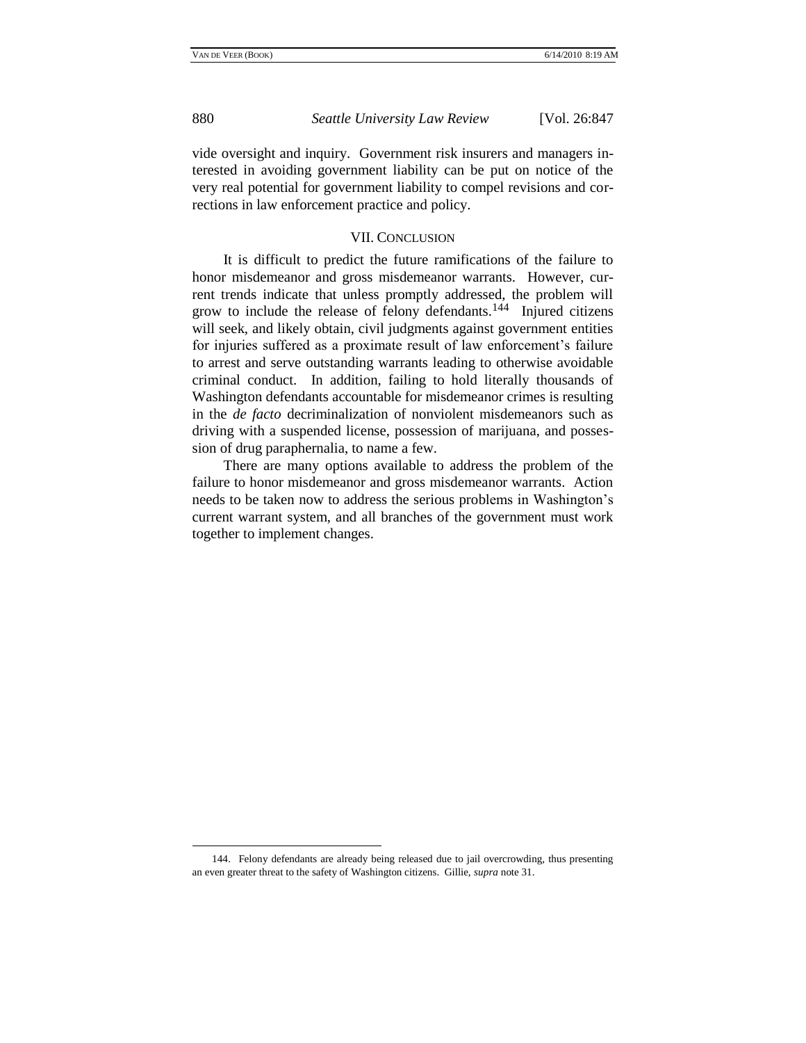880 *Seattle University Law Review* [Vol. 26:847

vide oversight and inquiry. Government risk insurers and managers interested in avoiding government liability can be put on notice of the very real potential for government liability to compel revisions and corrections in law enforcement practice and policy.

## VII. CONCLUSION

It is difficult to predict the future ramifications of the failure to honor misdemeanor and gross misdemeanor warrants. However, current trends indicate that unless promptly addressed, the problem will grow to include the release of felony defendants. $144$  Injured citizens will seek, and likely obtain, civil judgments against government entities for injuries suffered as a proximate result of law enforcement's failure to arrest and serve outstanding warrants leading to otherwise avoidable criminal conduct. In addition, failing to hold literally thousands of Washington defendants accountable for misdemeanor crimes is resulting in the *de facto* decriminalization of nonviolent misdemeanors such as driving with a suspended license, possession of marijuana, and possession of drug paraphernalia, to name a few.

There are many options available to address the problem of the failure to honor misdemeanor and gross misdemeanor warrants. Action needs to be taken now to address the serious problems in Washington's current warrant system, and all branches of the government must work together to implement changes.

<sup>144.</sup> Felony defendants are already being released due to jail overcrowding, thus presenting an even greater threat to the safety of Washington citizens. Gillie, *supra* note 31.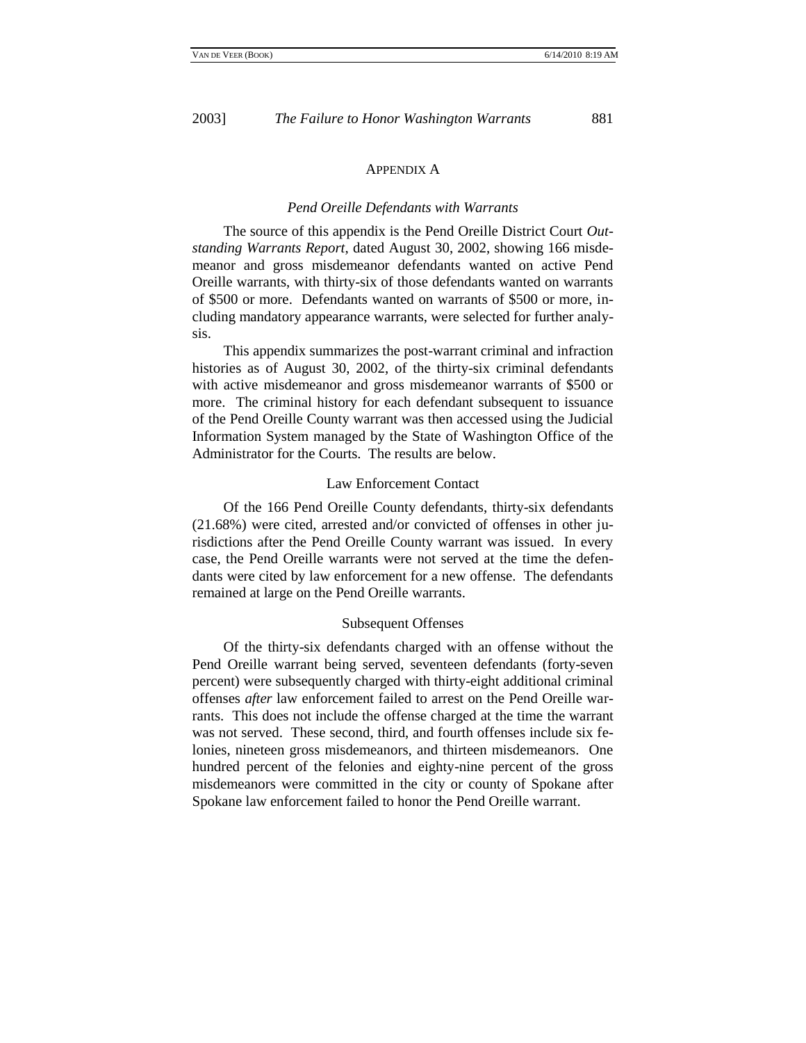#### APPENDIX A

#### *Pend Oreille Defendants with Warrants*

The source of this appendix is the Pend Oreille District Court *Outstanding Warrants Report*, dated August 30, 2002, showing 166 misdemeanor and gross misdemeanor defendants wanted on active Pend Oreille warrants, with thirty-six of those defendants wanted on warrants of \$500 or more. Defendants wanted on warrants of \$500 or more, including mandatory appearance warrants, were selected for further analysis.

This appendix summarizes the post-warrant criminal and infraction histories as of August 30, 2002, of the thirty-six criminal defendants with active misdemeanor and gross misdemeanor warrants of \$500 or more. The criminal history for each defendant subsequent to issuance of the Pend Oreille County warrant was then accessed using the Judicial Information System managed by the State of Washington Office of the Administrator for the Courts. The results are below.

#### Law Enforcement Contact

Of the 166 Pend Oreille County defendants, thirty-six defendants (21.68%) were cited, arrested and/or convicted of offenses in other jurisdictions after the Pend Oreille County warrant was issued. In every case, the Pend Oreille warrants were not served at the time the defendants were cited by law enforcement for a new offense. The defendants remained at large on the Pend Oreille warrants.

#### Subsequent Offenses

Of the thirty-six defendants charged with an offense without the Pend Oreille warrant being served, seventeen defendants (forty-seven percent) were subsequently charged with thirty-eight additional criminal offenses *after* law enforcement failed to arrest on the Pend Oreille warrants. This does not include the offense charged at the time the warrant was not served. These second, third, and fourth offenses include six felonies, nineteen gross misdemeanors, and thirteen misdemeanors. One hundred percent of the felonies and eighty-nine percent of the gross misdemeanors were committed in the city or county of Spokane after Spokane law enforcement failed to honor the Pend Oreille warrant.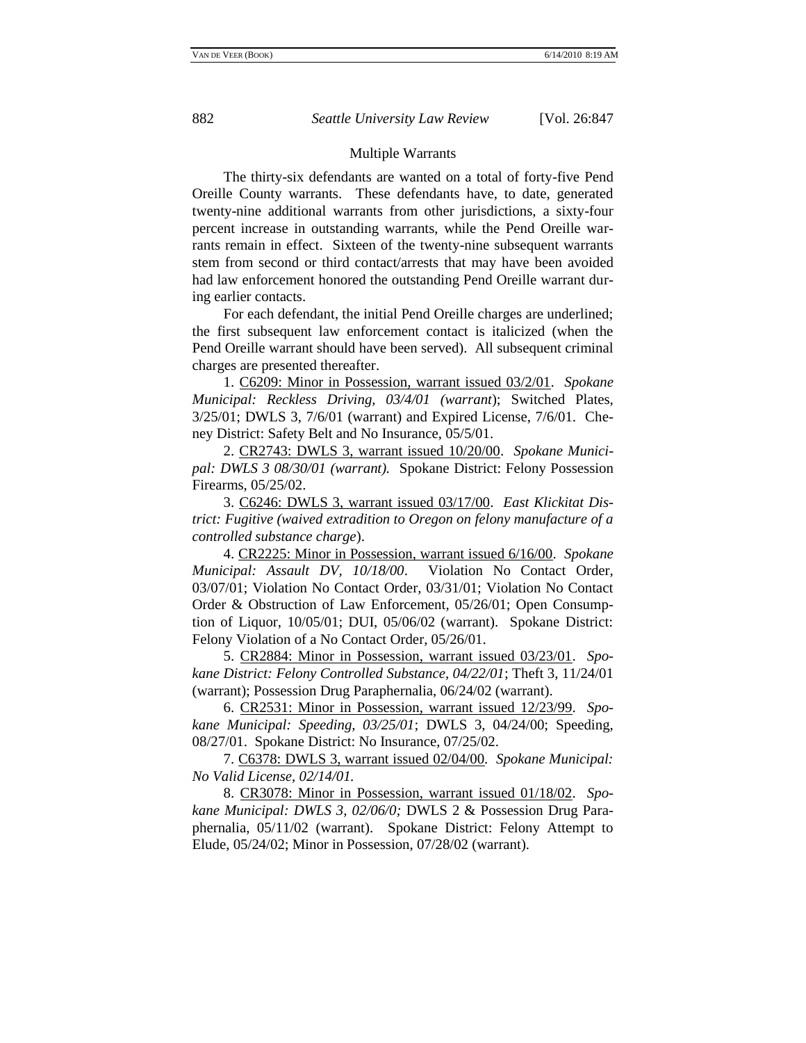#### Multiple Warrants

The thirty-six defendants are wanted on a total of forty-five Pend Oreille County warrants. These defendants have, to date, generated twenty-nine additional warrants from other jurisdictions, a sixty-four percent increase in outstanding warrants, while the Pend Oreille warrants remain in effect. Sixteen of the twenty-nine subsequent warrants stem from second or third contact/arrests that may have been avoided had law enforcement honored the outstanding Pend Oreille warrant during earlier contacts.

For each defendant, the initial Pend Oreille charges are underlined; the first subsequent law enforcement contact is italicized (when the Pend Oreille warrant should have been served). All subsequent criminal charges are presented thereafter.

1. C6209: Minor in Possession, warrant issued 03/2/01. *Spokane Municipal: Reckless Driving, 03/4/01 (warrant*); Switched Plates, 3/25/01; DWLS 3, 7/6/01 (warrant) and Expired License, 7/6/01. Cheney District: Safety Belt and No Insurance, 05/5/01.

2. CR2743: DWLS 3, warrant issued 10/20/00. *Spokane Municipal: DWLS 3 08/30/01 (warrant).* Spokane District: Felony Possession Firearms, 05/25/02.

3. C6246: DWLS 3, warrant issued 03/17/00. *East Klickitat District: Fugitive (waived extradition to Oregon on felony manufacture of a controlled substance charge*).

4. CR2225: Minor in Possession, warrant issued 6/16/00. *Spokane Municipal: Assault DV, 10/18/00*. Violation No Contact Order, 03/07/01; Violation No Contact Order, 03/31/01; Violation No Contact Order & Obstruction of Law Enforcement, 05/26/01; Open Consumption of Liquor, 10/05/01; DUI, 05/06/02 (warrant). Spokane District: Felony Violation of a No Contact Order, 05/26/01.

5. CR2884: Minor in Possession, warrant issued 03/23/01. *Spokane District: Felony Controlled Substance, 04/22/01*; Theft 3, 11/24/01 (warrant); Possession Drug Paraphernalia, 06/24/02 (warrant).

6. CR2531: Minor in Possession, warrant issued 12/23/99. *Spokane Municipal: Speeding, 03/25/01*; DWLS 3, 04/24/00; Speeding, 08/27/01. Spokane District: No Insurance, 07/25/02.

7. C6378: DWLS 3, warrant issued 02/04/00*. Spokane Municipal: No Valid License, 02/14/01.*

8. CR3078: Minor in Possession, warrant issued 01/18/02. *Spokane Municipal: DWLS 3, 02/06/0;* DWLS 2 & Possession Drug Paraphernalia, 05/11/02 (warrant). Spokane District: Felony Attempt to Elude, 05/24/02; Minor in Possession, 07/28/02 (warrant).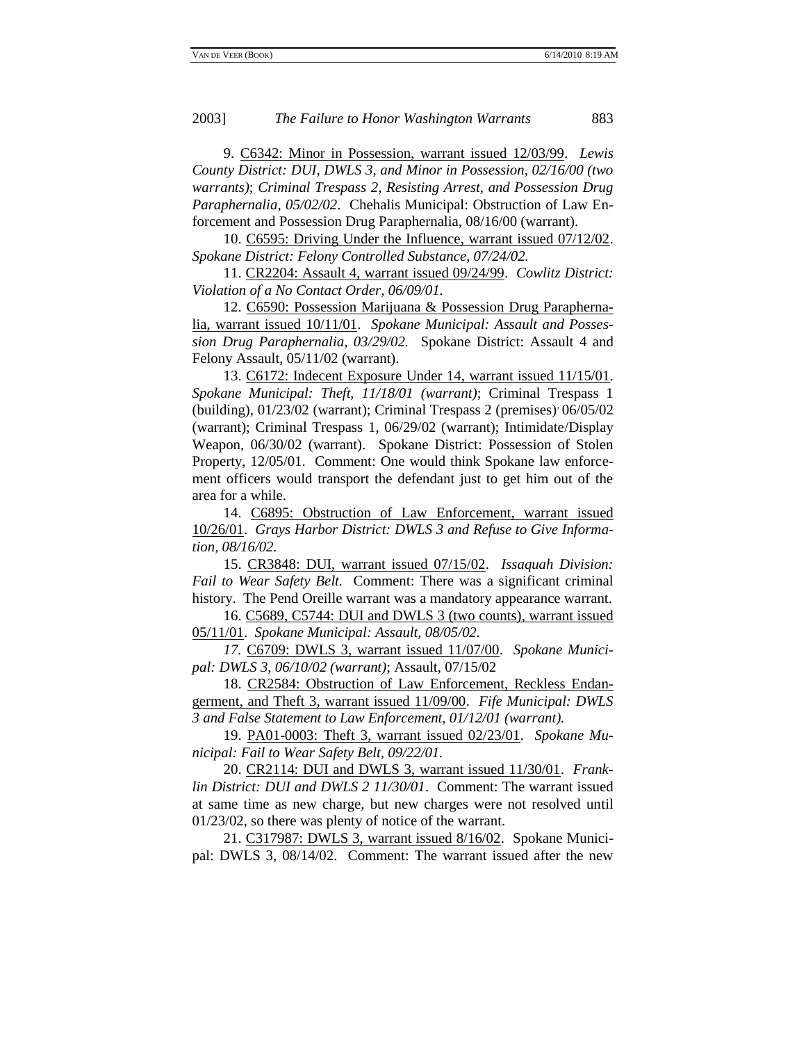9. C6342: Minor in Possession, warrant issued 12/03/99. *Lewis County District: DUI, DWLS 3, and Minor in Possession, 02/16/00 (two warrants)*; *Criminal Trespass 2, Resisting Arrest, and Possession Drug Paraphernalia, 05/02/02*. Chehalis Municipal: Obstruction of Law Enforcement and Possession Drug Paraphernalia, 08/16/00 (warrant).

10. C6595: Driving Under the Influence, warrant issued 07/12/02. *Spokane District: Felony Controlled Substance, 07/24/02.*

11. CR2204: Assault 4, warrant issued 09/24/99. *Cowlitz District: Violation of a No Contact Order, 06/09/01.*

12. C6590: Possession Marijuana & Possession Drug Paraphernalia, warrant issued 10/11/01. *Spokane Municipal: Assault and Possession Drug Paraphernalia, 03/29/02.* Spokane District: Assault 4 and Felony Assault, 05/11/02 (warrant).

13. C6172: Indecent Exposure Under 14, warrant issued 11/15/01. *Spokane Municipal: Theft, 11/18/01 (warrant)*; Criminal Trespass 1 (building), 01/23/02 (warrant); Criminal Trespass 2 (premises), 06/05/02 (warrant); Criminal Trespass 1, 06/29/02 (warrant); Intimidate/Display Weapon, 06/30/02 (warrant). Spokane District: Possession of Stolen Property, 12/05/01. Comment: One would think Spokane law enforcement officers would transport the defendant just to get him out of the area for a while.

14. C6895: Obstruction of Law Enforcement, warrant issued 10/26/01. *Grays Harbor District: DWLS 3 and Refuse to Give Information, 08/16/02.*

15. CR3848: DUI, warrant issued 07/15/02. *Issaquah Division: Fail to Wear Safety Belt.* Comment: There was a significant criminal history. The Pend Oreille warrant was a mandatory appearance warrant.

16. C5689, C5744: DUI and DWLS 3 (two counts), warrant issued 05/11/01. *Spokane Municipal: Assault, 08/05/02.*

*17.* C6709: DWLS 3, warrant issued 11/07/00. *Spokane Municipal: DWLS 3, 06/10/02 (warrant)*; Assault, 07/15/02

18. CR2584: Obstruction of Law Enforcement, Reckless Endangerment, and Theft 3, warrant issued 11/09/00. *Fife Municipal: DWLS 3 and False Statement to Law Enforcement, 01/12/01 (warrant).*

19. PA01-0003: Theft 3, warrant issued 02/23/01. *Spokane Municipal: Fail to Wear Safety Belt, 09/22/01.*

20. CR2114: DUI and DWLS 3, warrant issued 11/30/01. *Franklin District: DUI and DWLS 2 11/30/01*. Comment: The warrant issued at same time as new charge, but new charges were not resolved until 01/23/02, so there was plenty of notice of the warrant.

21. C317987: DWLS 3, warrant issued 8/16/02. Spokane Municipal: DWLS 3, 08/14/02. Comment: The warrant issued after the new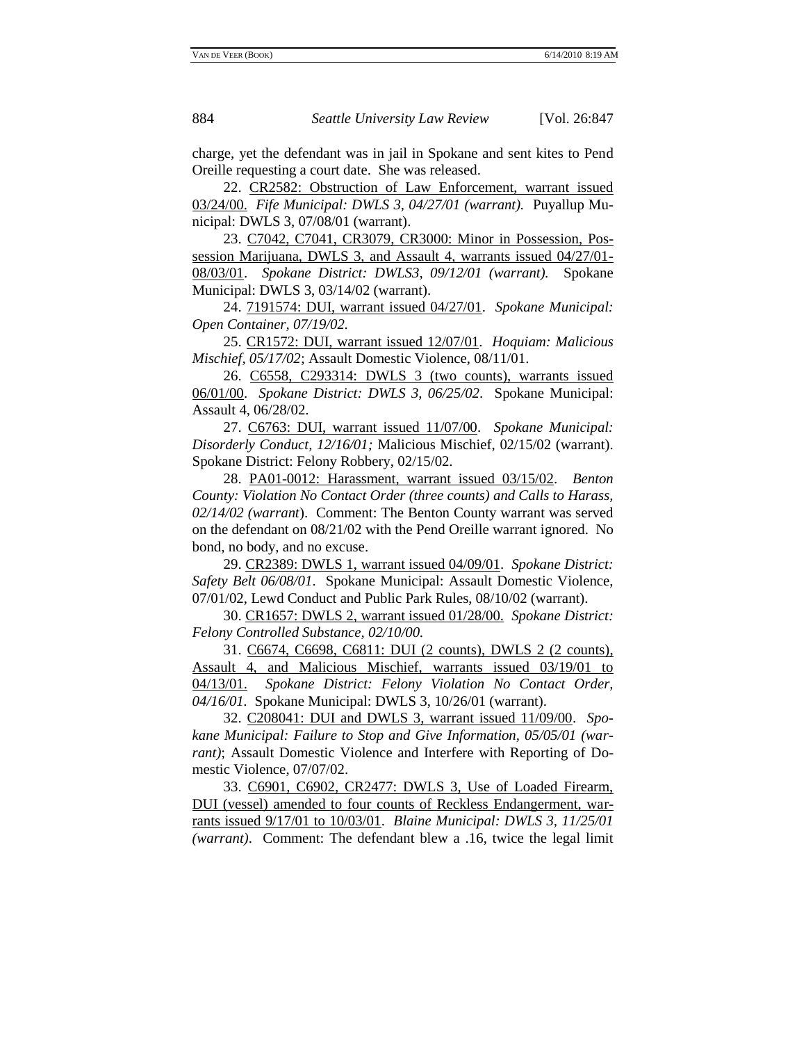charge, yet the defendant was in jail in Spokane and sent kites to Pend Oreille requesting a court date. She was released.

22. CR2582: Obstruction of Law Enforcement, warrant issued 03/24/00. *Fife Municipal: DWLS 3, 04/27/01 (warrant).*Puyallup Municipal: DWLS 3, 07/08/01 (warrant).

23. C7042, C7041, CR3079, CR3000: Minor in Possession, Possession Marijuana, DWLS 3, and Assault 4, warrants issued 04/27/01- 08/03/01. *Spokane District: DWLS3, 09/12/01 (warrant).* Spokane Municipal: DWLS 3, 03/14/02 (warrant).

24. 7191574: DUI, warrant issued 04/27/01. *Spokane Municipal: Open Container, 07/19/02.*

25. CR1572: DUI, warrant issued 12/07/01. *Hoquiam: Malicious Mischief, 05/17/02*; Assault Domestic Violence, 08/11/01.

26. C6558, C293314: DWLS 3 (two counts), warrants issued 06/01/00. *Spokane District: DWLS 3, 06/25/02*. Spokane Municipal: Assault 4, 06/28/02.

27. C6763: DUI, warrant issued 11/07/00. *Spokane Municipal: Disorderly Conduct, 12/16/01;* Malicious Mischief, 02/15/02 (warrant). Spokane District: Felony Robbery, 02/15/02.

28. PA01-0012: Harassment, warrant issued 03/15/02. *Benton County: Violation No Contact Order (three counts) and Calls to Harass, 02/14/02 (warrant*). Comment: The Benton County warrant was served on the defendant on 08/21/02 with the Pend Oreille warrant ignored. No bond, no body, and no excuse.

29. CR2389: DWLS 1, warrant issued 04/09/01. *Spokane District: Safety Belt 06/08/01*. Spokane Municipal: Assault Domestic Violence, 07/01/02, Lewd Conduct and Public Park Rules, 08/10/02 (warrant).

30. CR1657: DWLS 2, warrant issued 01/28/00. *Spokane District: Felony Controlled Substance, 02/10/00.*

31. C6674, C6698, C6811: DUI (2 counts), DWLS 2 (2 counts), Assault 4, and Malicious Mischief, warrants issued 03/19/01 to 04/13/01. *Spokane District: Felony Violation No Contact Order, 04/16/01.* Spokane Municipal: DWLS 3, 10/26/01 (warrant).

32. C208041: DUI and DWLS 3, warrant issued 11/09/00. *Spokane Municipal: Failure to Stop and Give Information, 05/05/01 (warrant)*; Assault Domestic Violence and Interfere with Reporting of Domestic Violence, 07/07/02.

33. C6901, C6902, CR2477: DWLS 3, Use of Loaded Firearm, DUI (vessel) amended to four counts of Reckless Endangerment, warrants issued 9/17/01 to 10/03/01. *Blaine Municipal: DWLS 3, 11/25/01 (warrant)*. Comment: The defendant blew a .16, twice the legal limit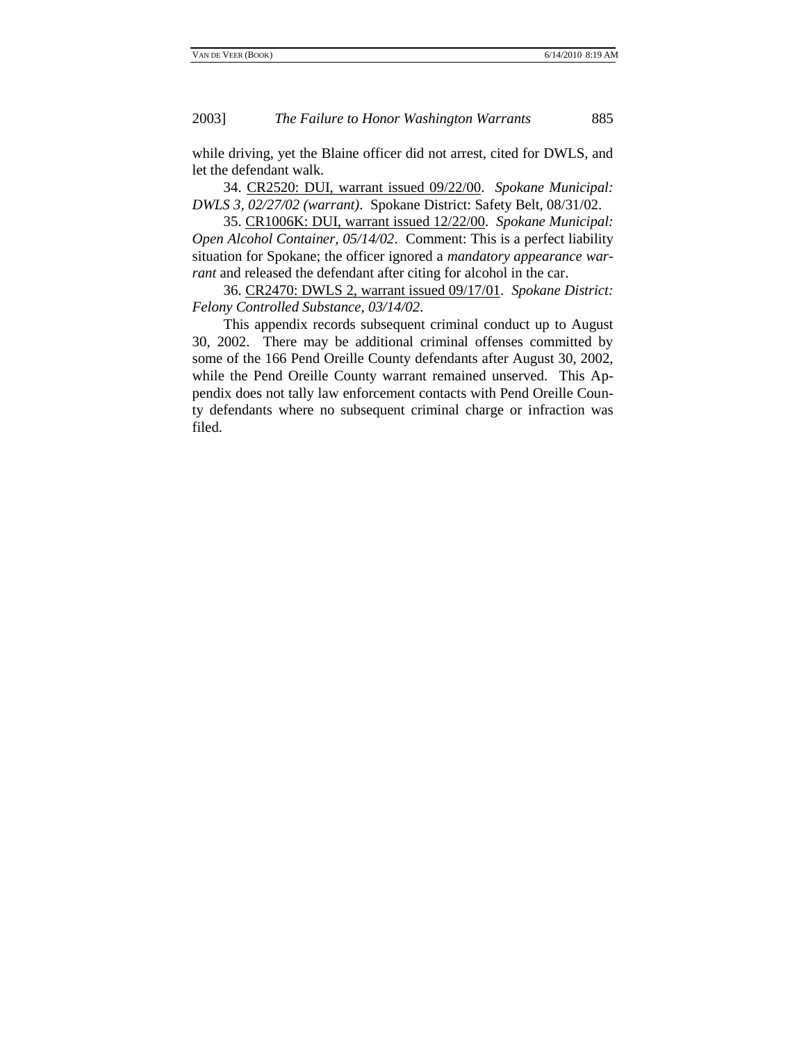while driving, yet the Blaine officer did not arrest, cited for DWLS, and let the defendant walk.

34. CR2520: DUI, warrant issued 09/22/00. *Spokane Municipal: DWLS 3, 02/27/02 (warrant)*. Spokane District: Safety Belt, 08/31/02.

35. CR1006K: DUI, warrant issued 12/22/00. *Spokane Municipal: Open Alcohol Container, 05/14/02*. Comment: This is a perfect liability situation for Spokane; the officer ignored a *mandatory appearance warrant* and released the defendant after citing for alcohol in the car.

36. CR2470: DWLS 2, warrant issued 09/17/01. *Spokane District: Felony Controlled Substance, 03/14/02*.

This appendix records subsequent criminal conduct up to August 30, 2002. There may be additional criminal offenses committed by some of the 166 Pend Oreille County defendants after August 30, 2002, while the Pend Oreille County warrant remained unserved. This Appendix does not tally law enforcement contacts with Pend Oreille County defendants where no subsequent criminal charge or infraction was filed.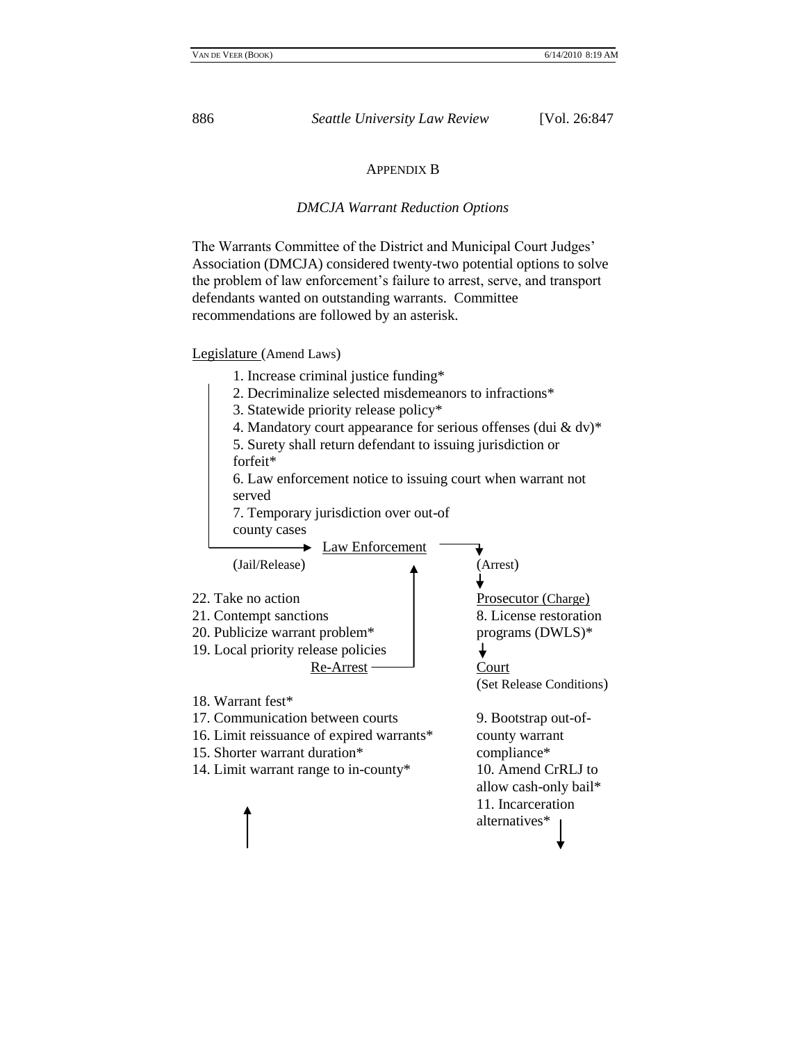#### APPENDIX B

#### *DMCJA Warrant Reduction Options*

The Warrants Committee of the District and Municipal Court Judges' Association (DMCJA) considered twenty-two potential options to solve the problem of law enforcement's failure to arrest, serve, and transport defendants wanted on outstanding warrants. Committee recommendations are followed by an asterisk.

Legislature (Amend Laws)

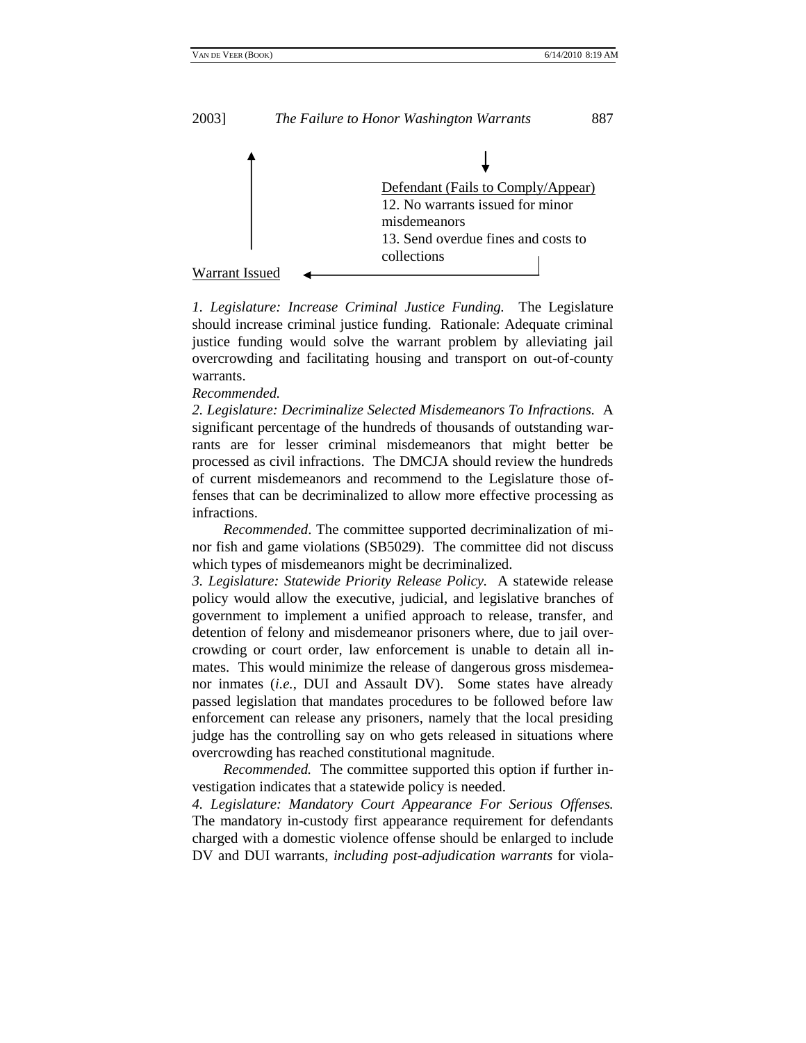

*1. Legislature: Increase Criminal Justice Funding.* The Legislature should increase criminal justice funding. Rationale: Adequate criminal justice funding would solve the warrant problem by alleviating jail overcrowding and facilitating housing and transport on out-of-county warrants.

*Recommended.*

*2. Legislature: Decriminalize Selected Misdemeanors To Infractions.* A significant percentage of the hundreds of thousands of outstanding warrants are for lesser criminal misdemeanors that might better be processed as civil infractions. The DMCJA should review the hundreds of current misdemeanors and recommend to the Legislature those offenses that can be decriminalized to allow more effective processing as infractions.

*Recommended*. The committee supported decriminalization of minor fish and game violations (SB5029). The committee did not discuss which types of misdemeanors might be decriminalized.

*3. Legislature: Statewide Priority Release Policy.* A statewide release policy would allow the executive, judicial, and legislative branches of government to implement a unified approach to release, transfer, and detention of felony and misdemeanor prisoners where, due to jail overcrowding or court order, law enforcement is unable to detain all inmates. This would minimize the release of dangerous gross misdemeanor inmates (*i.e.*, DUI and Assault DV). Some states have already passed legislation that mandates procedures to be followed before law enforcement can release any prisoners, namely that the local presiding judge has the controlling say on who gets released in situations where overcrowding has reached constitutional magnitude.

*Recommended.* The committee supported this option if further investigation indicates that a statewide policy is needed.

*4. Legislature: Mandatory Court Appearance For Serious Offenses.* The mandatory in-custody first appearance requirement for defendants charged with a domestic violence offense should be enlarged to include DV and DUI warrants, *including post-adjudication warrants* for viola-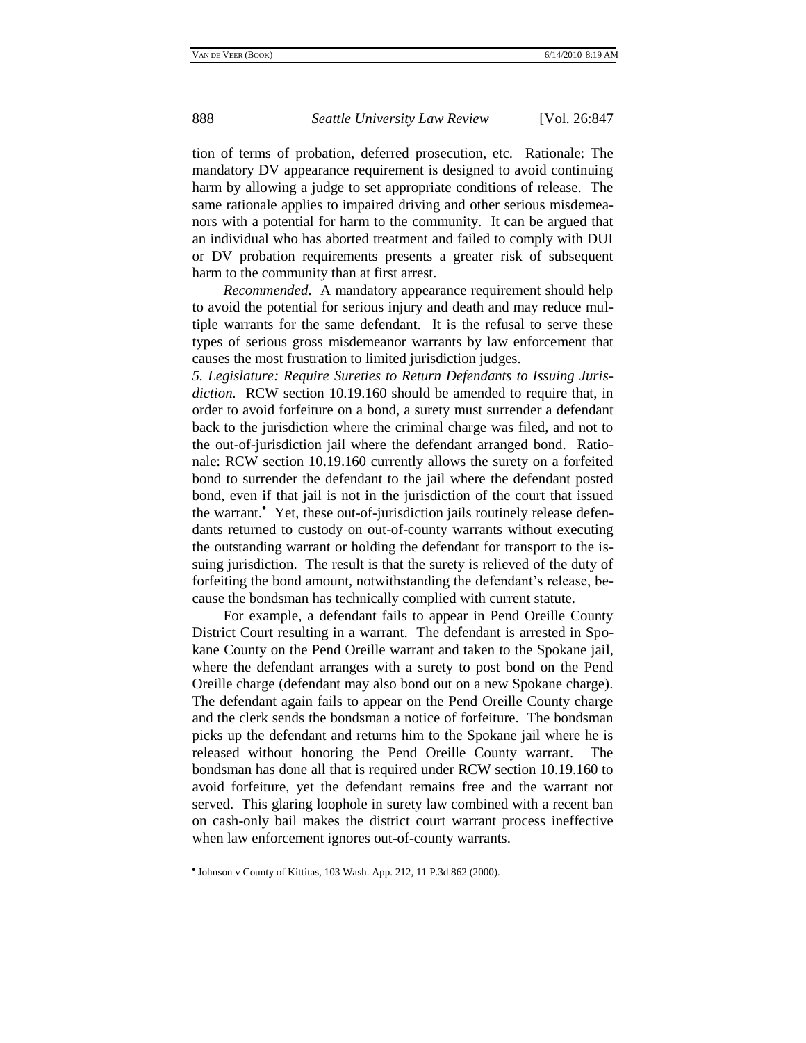tion of terms of probation, deferred prosecution, etc. Rationale: The mandatory DV appearance requirement is designed to avoid continuing harm by allowing a judge to set appropriate conditions of release. The same rationale applies to impaired driving and other serious misdemeanors with a potential for harm to the community. It can be argued that an individual who has aborted treatment and failed to comply with DUI or DV probation requirements presents a greater risk of subsequent harm to the community than at first arrest.

*Recommended*. A mandatory appearance requirement should help to avoid the potential for serious injury and death and may reduce multiple warrants for the same defendant. It is the refusal to serve these types of serious gross misdemeanor warrants by law enforcement that causes the most frustration to limited jurisdiction judges.

*5. Legislature: Require Sureties to Return Defendants to Issuing Jurisdiction.* RCW section 10.19.160 should be amended to require that, in order to avoid forfeiture on a bond, a surety must surrender a defendant back to the jurisdiction where the criminal charge was filed, and not to the out-of-jurisdiction jail where the defendant arranged bond. Rationale: RCW section 10.19.160 currently allows the surety on a forfeited bond to surrender the defendant to the jail where the defendant posted bond, even if that jail is not in the jurisdiction of the court that issued the warrant. Yet, these out-of-jurisdiction jails routinely release defendants returned to custody on out-of-county warrants without executing the outstanding warrant or holding the defendant for transport to the issuing jurisdiction. The result is that the surety is relieved of the duty of forfeiting the bond amount, notwithstanding the defendant's release, because the bondsman has technically complied with current statute.

For example, a defendant fails to appear in Pend Oreille County District Court resulting in a warrant. The defendant is arrested in Spokane County on the Pend Oreille warrant and taken to the Spokane jail, where the defendant arranges with a surety to post bond on the Pend Oreille charge (defendant may also bond out on a new Spokane charge). The defendant again fails to appear on the Pend Oreille County charge and the clerk sends the bondsman a notice of forfeiture. The bondsman picks up the defendant and returns him to the Spokane jail where he is released without honoring the Pend Oreille County warrant. The bondsman has done all that is required under RCW section 10.19.160 to avoid forfeiture, yet the defendant remains free and the warrant not served. This glaring loophole in surety law combined with a recent ban on cash-only bail makes the district court warrant process ineffective when law enforcement ignores out-of-county warrants.

Johnson v County of Kittitas, 103 Wash. App. 212, 11 P.3d 862 (2000).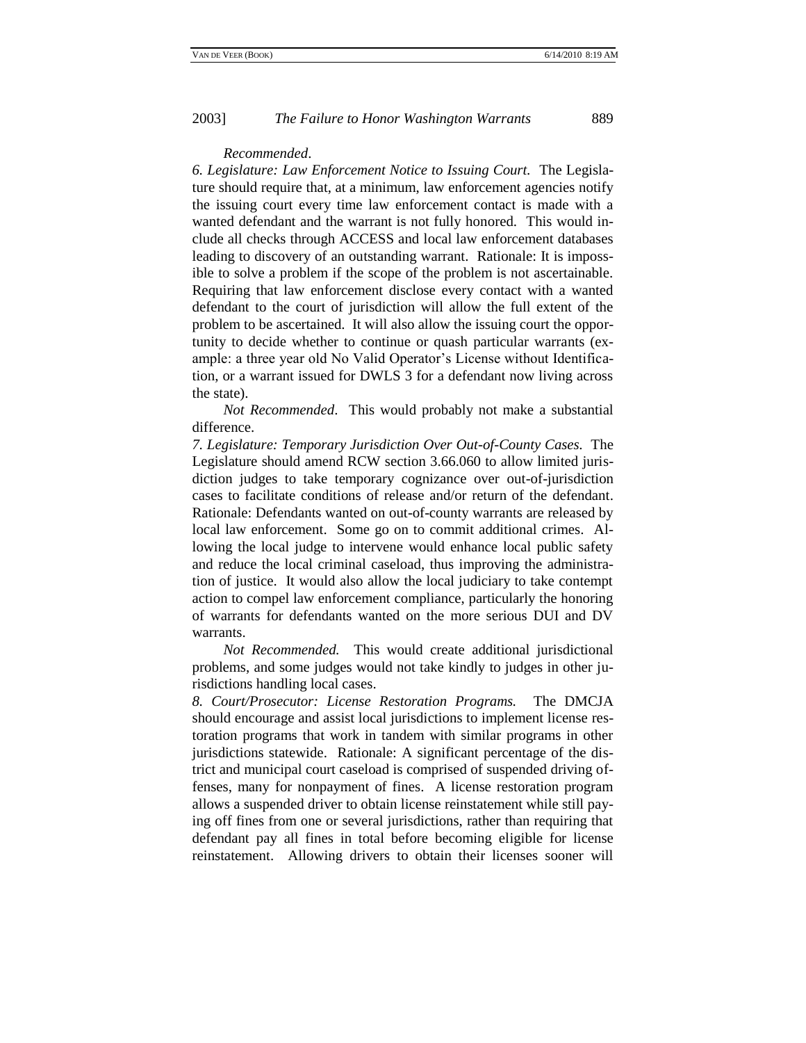#### *Recommended*.

*6. Legislature: Law Enforcement Notice to Issuing Court.* The Legislature should require that, at a minimum, law enforcement agencies notify the issuing court every time law enforcement contact is made with a wanted defendant and the warrant is not fully honored. This would include all checks through ACCESS and local law enforcement databases leading to discovery of an outstanding warrant. Rationale: It is impossible to solve a problem if the scope of the problem is not ascertainable. Requiring that law enforcement disclose every contact with a wanted defendant to the court of jurisdiction will allow the full extent of the problem to be ascertained. It will also allow the issuing court the opportunity to decide whether to continue or quash particular warrants (example: a three year old No Valid Operator's License without Identification, or a warrant issued for DWLS 3 for a defendant now living across the state).

*Not Recommended*. This would probably not make a substantial difference.

*7. Legislature: Temporary Jurisdiction Over Out-of-County Cases.* The Legislature should amend RCW section 3.66.060 to allow limited jurisdiction judges to take temporary cognizance over out-of-jurisdiction cases to facilitate conditions of release and/or return of the defendant. Rationale: Defendants wanted on out-of-county warrants are released by local law enforcement. Some go on to commit additional crimes. Allowing the local judge to intervene would enhance local public safety and reduce the local criminal caseload, thus improving the administration of justice. It would also allow the local judiciary to take contempt action to compel law enforcement compliance, particularly the honoring of warrants for defendants wanted on the more serious DUI and DV warrants.

*Not Recommended.* This would create additional jurisdictional problems, and some judges would not take kindly to judges in other jurisdictions handling local cases.

*8. Court/Prosecutor: License Restoration Programs.* The DMCJA should encourage and assist local jurisdictions to implement license restoration programs that work in tandem with similar programs in other jurisdictions statewide. Rationale: A significant percentage of the district and municipal court caseload is comprised of suspended driving offenses, many for nonpayment of fines. A license restoration program allows a suspended driver to obtain license reinstatement while still paying off fines from one or several jurisdictions, rather than requiring that defendant pay all fines in total before becoming eligible for license reinstatement. Allowing drivers to obtain their licenses sooner will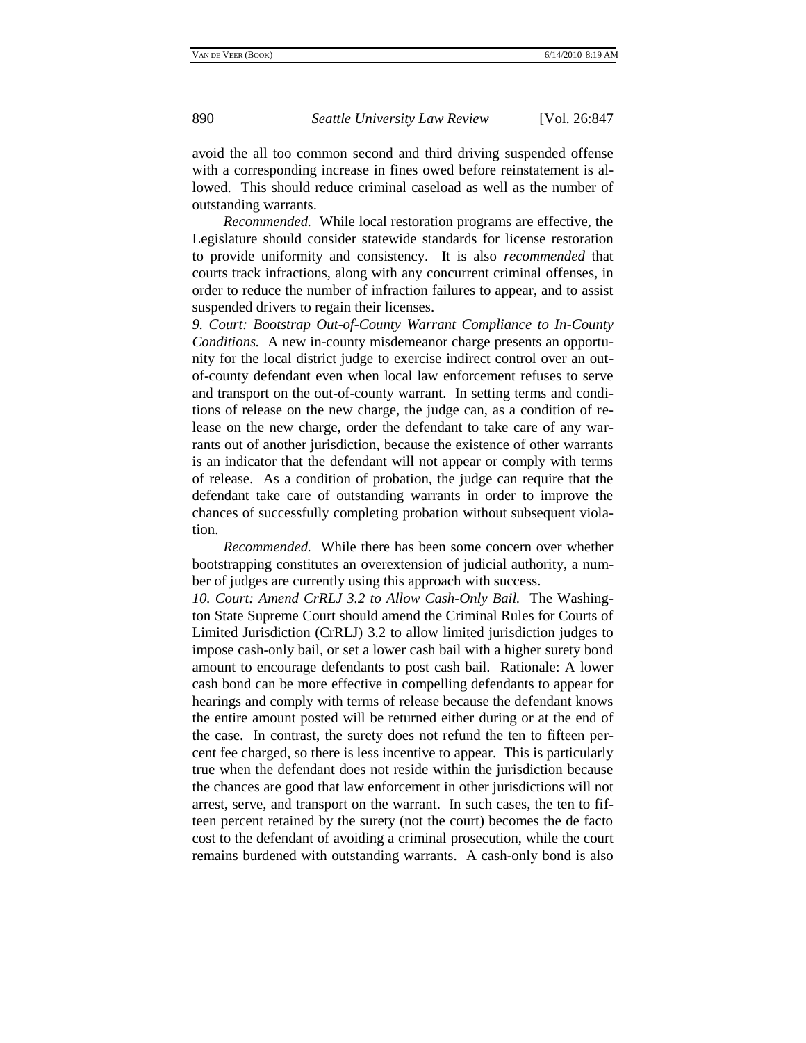avoid the all too common second and third driving suspended offense with a corresponding increase in fines owed before reinstatement is allowed. This should reduce criminal caseload as well as the number of outstanding warrants.

*Recommended.* While local restoration programs are effective, the Legislature should consider statewide standards for license restoration to provide uniformity and consistency. It is also *recommended* that courts track infractions, along with any concurrent criminal offenses, in order to reduce the number of infraction failures to appear, and to assist suspended drivers to regain their licenses.

*9. Court: Bootstrap Out-of-County Warrant Compliance to In-County Conditions.* A new in-county misdemeanor charge presents an opportunity for the local district judge to exercise indirect control over an outof-county defendant even when local law enforcement refuses to serve and transport on the out-of-county warrant. In setting terms and conditions of release on the new charge, the judge can, as a condition of release on the new charge, order the defendant to take care of any warrants out of another jurisdiction, because the existence of other warrants is an indicator that the defendant will not appear or comply with terms of release. As a condition of probation, the judge can require that the defendant take care of outstanding warrants in order to improve the chances of successfully completing probation without subsequent violation.

*Recommended.* While there has been some concern over whether bootstrapping constitutes an overextension of judicial authority, a number of judges are currently using this approach with success.

*10. Court: Amend CrRLJ 3.2 to Allow Cash-Only Bail.* The Washington State Supreme Court should amend the Criminal Rules for Courts of Limited Jurisdiction (CrRLJ) 3.2 to allow limited jurisdiction judges to impose cash-only bail, or set a lower cash bail with a higher surety bond amount to encourage defendants to post cash bail. Rationale: A lower cash bond can be more effective in compelling defendants to appear for hearings and comply with terms of release because the defendant knows the entire amount posted will be returned either during or at the end of the case. In contrast, the surety does not refund the ten to fifteen percent fee charged, so there is less incentive to appear. This is particularly true when the defendant does not reside within the jurisdiction because the chances are good that law enforcement in other jurisdictions will not arrest, serve, and transport on the warrant. In such cases, the ten to fifteen percent retained by the surety (not the court) becomes the de facto cost to the defendant of avoiding a criminal prosecution, while the court remains burdened with outstanding warrants. A cash-only bond is also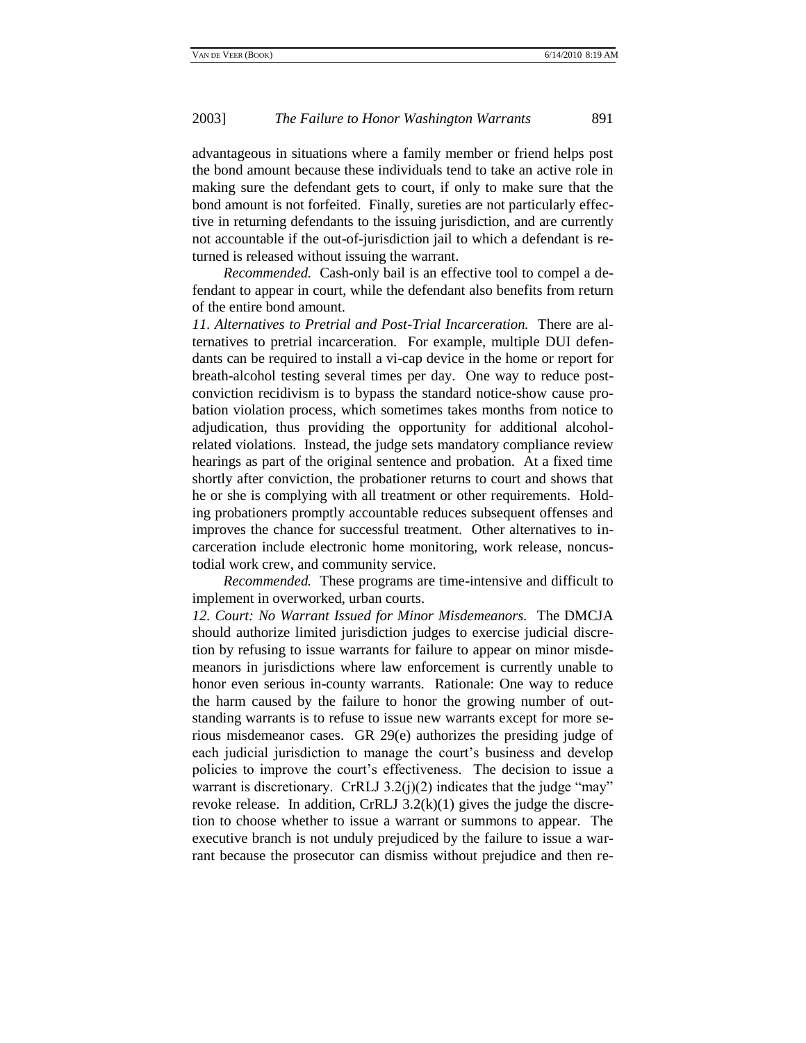advantageous in situations where a family member or friend helps post the bond amount because these individuals tend to take an active role in making sure the defendant gets to court, if only to make sure that the bond amount is not forfeited. Finally, sureties are not particularly effective in returning defendants to the issuing jurisdiction, and are currently not accountable if the out-of-jurisdiction jail to which a defendant is returned is released without issuing the warrant.

*Recommended.* Cash-only bail is an effective tool to compel a defendant to appear in court, while the defendant also benefits from return of the entire bond amount.

*11. Alternatives to Pretrial and Post-Trial Incarceration.* There are alternatives to pretrial incarceration. For example, multiple DUI defendants can be required to install a vi-cap device in the home or report for breath-alcohol testing several times per day. One way to reduce postconviction recidivism is to bypass the standard notice-show cause probation violation process, which sometimes takes months from notice to adjudication, thus providing the opportunity for additional alcoholrelated violations. Instead, the judge sets mandatory compliance review hearings as part of the original sentence and probation. At a fixed time shortly after conviction, the probationer returns to court and shows that he or she is complying with all treatment or other requirements. Holding probationers promptly accountable reduces subsequent offenses and improves the chance for successful treatment. Other alternatives to incarceration include electronic home monitoring, work release, noncustodial work crew, and community service.

*Recommended.* These programs are time-intensive and difficult to implement in overworked, urban courts.

*12. Court: No Warrant Issued for Minor Misdemeanors.* The DMCJA should authorize limited jurisdiction judges to exercise judicial discretion by refusing to issue warrants for failure to appear on minor misdemeanors in jurisdictions where law enforcement is currently unable to honor even serious in-county warrants. Rationale: One way to reduce the harm caused by the failure to honor the growing number of outstanding warrants is to refuse to issue new warrants except for more serious misdemeanor cases. GR 29(e) authorizes the presiding judge of each judicial jurisdiction to manage the court's business and develop policies to improve the court's effectiveness. The decision to issue a warrant is discretionary. CrRLJ  $3.2(j)(2)$  indicates that the judge "may" revoke release. In addition, CrRLJ  $3.2(k)(1)$  gives the judge the discretion to choose whether to issue a warrant or summons to appear. The executive branch is not unduly prejudiced by the failure to issue a warrant because the prosecutor can dismiss without prejudice and then re-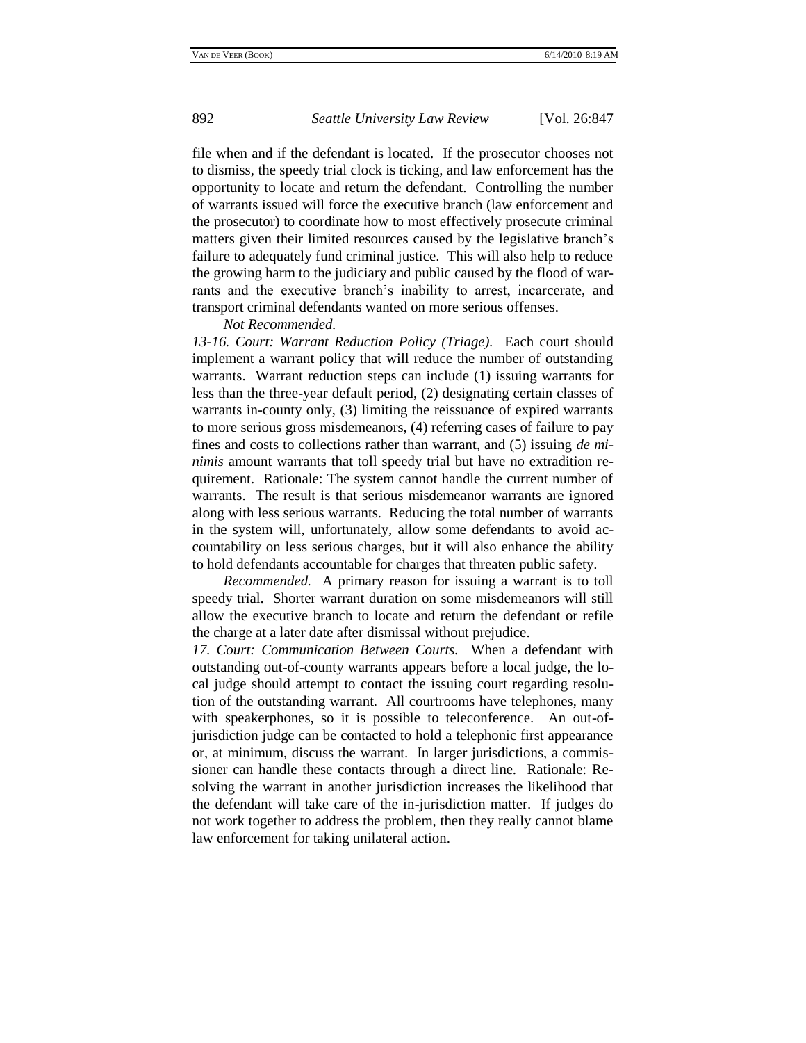file when and if the defendant is located. If the prosecutor chooses not to dismiss, the speedy trial clock is ticking, and law enforcement has the opportunity to locate and return the defendant. Controlling the number of warrants issued will force the executive branch (law enforcement and the prosecutor) to coordinate how to most effectively prosecute criminal matters given their limited resources caused by the legislative branch's failure to adequately fund criminal justice. This will also help to reduce the growing harm to the judiciary and public caused by the flood of warrants and the executive branch's inability to arrest, incarcerate, and transport criminal defendants wanted on more serious offenses.

### *Not Recommended.*

*13-16. Court: Warrant Reduction Policy (Triage).* Each court should implement a warrant policy that will reduce the number of outstanding warrants. Warrant reduction steps can include (1) issuing warrants for less than the three-year default period, (2) designating certain classes of warrants in-county only, (3) limiting the reissuance of expired warrants to more serious gross misdemeanors, (4) referring cases of failure to pay fines and costs to collections rather than warrant, and (5) issuing *de minimis* amount warrants that toll speedy trial but have no extradition requirement. Rationale: The system cannot handle the current number of warrants. The result is that serious misdemeanor warrants are ignored along with less serious warrants. Reducing the total number of warrants in the system will, unfortunately, allow some defendants to avoid accountability on less serious charges, but it will also enhance the ability to hold defendants accountable for charges that threaten public safety.

*Recommended.* A primary reason for issuing a warrant is to toll speedy trial. Shorter warrant duration on some misdemeanors will still allow the executive branch to locate and return the defendant or refile the charge at a later date after dismissal without prejudice.

*17. Court: Communication Between Courts.* When a defendant with outstanding out-of-county warrants appears before a local judge, the local judge should attempt to contact the issuing court regarding resolution of the outstanding warrant. All courtrooms have telephones, many with speakerphones, so it is possible to teleconference. An out-ofjurisdiction judge can be contacted to hold a telephonic first appearance or, at minimum, discuss the warrant. In larger jurisdictions, a commissioner can handle these contacts through a direct line. Rationale: Resolving the warrant in another jurisdiction increases the likelihood that the defendant will take care of the in-jurisdiction matter. If judges do not work together to address the problem, then they really cannot blame law enforcement for taking unilateral action.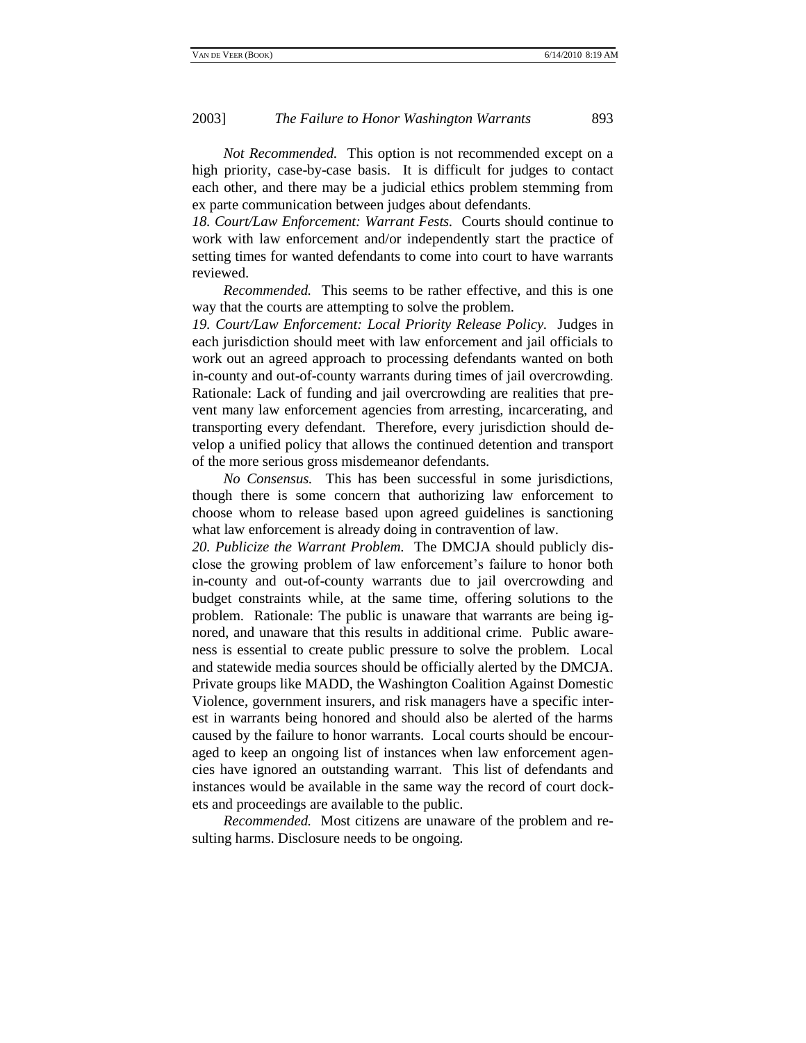*Not Recommended.* This option is not recommended except on a high priority, case-by-case basis. It is difficult for judges to contact each other, and there may be a judicial ethics problem stemming from ex parte communication between judges about defendants.

*18. Court/Law Enforcement: Warrant Fests.* Courts should continue to work with law enforcement and/or independently start the practice of setting times for wanted defendants to come into court to have warrants reviewed.

*Recommended.* This seems to be rather effective, and this is one way that the courts are attempting to solve the problem.

*19. Court/Law Enforcement: Local Priority Release Policy.* Judges in each jurisdiction should meet with law enforcement and jail officials to work out an agreed approach to processing defendants wanted on both in-county and out-of-county warrants during times of jail overcrowding. Rationale: Lack of funding and jail overcrowding are realities that prevent many law enforcement agencies from arresting, incarcerating, and transporting every defendant. Therefore, every jurisdiction should develop a unified policy that allows the continued detention and transport of the more serious gross misdemeanor defendants.

*No Consensus.* This has been successful in some jurisdictions, though there is some concern that authorizing law enforcement to choose whom to release based upon agreed guidelines is sanctioning what law enforcement is already doing in contravention of law.

*20. Publicize the Warrant Problem.* The DMCJA should publicly disclose the growing problem of law enforcement's failure to honor both in-county and out-of-county warrants due to jail overcrowding and budget constraints while, at the same time, offering solutions to the problem. Rationale: The public is unaware that warrants are being ignored, and unaware that this results in additional crime. Public awareness is essential to create public pressure to solve the problem. Local and statewide media sources should be officially alerted by the DMCJA. Private groups like MADD, the Washington Coalition Against Domestic Violence, government insurers, and risk managers have a specific interest in warrants being honored and should also be alerted of the harms caused by the failure to honor warrants. Local courts should be encouraged to keep an ongoing list of instances when law enforcement agencies have ignored an outstanding warrant. This list of defendants and instances would be available in the same way the record of court dockets and proceedings are available to the public.

*Recommended.* Most citizens are unaware of the problem and resulting harms. Disclosure needs to be ongoing.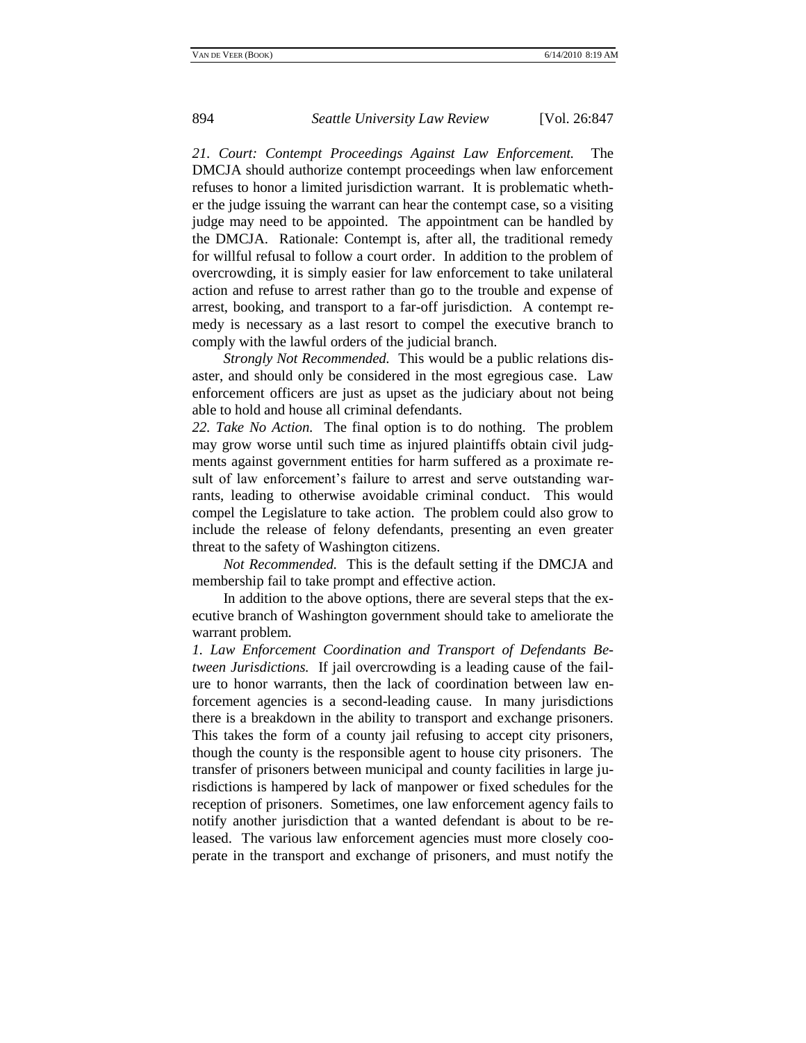*21. Court: Contempt Proceedings Against Law Enforcement.* The DMCJA should authorize contempt proceedings when law enforcement refuses to honor a limited jurisdiction warrant. It is problematic whether the judge issuing the warrant can hear the contempt case, so a visiting judge may need to be appointed. The appointment can be handled by the DMCJA. Rationale: Contempt is, after all, the traditional remedy for willful refusal to follow a court order. In addition to the problem of overcrowding, it is simply easier for law enforcement to take unilateral action and refuse to arrest rather than go to the trouble and expense of arrest, booking, and transport to a far-off jurisdiction. A contempt remedy is necessary as a last resort to compel the executive branch to comply with the lawful orders of the judicial branch.

*Strongly Not Recommended.* This would be a public relations disaster, and should only be considered in the most egregious case. Law enforcement officers are just as upset as the judiciary about not being able to hold and house all criminal defendants.

*22. Take No Action.* The final option is to do nothing. The problem may grow worse until such time as injured plaintiffs obtain civil judgments against government entities for harm suffered as a proximate result of law enforcement's failure to arrest and serve outstanding warrants, leading to otherwise avoidable criminal conduct. This would compel the Legislature to take action. The problem could also grow to include the release of felony defendants, presenting an even greater threat to the safety of Washington citizens.

*Not Recommended.* This is the default setting if the DMCJA and membership fail to take prompt and effective action.

In addition to the above options, there are several steps that the executive branch of Washington government should take to ameliorate the warrant problem.

*1. Law Enforcement Coordination and Transport of Defendants Between Jurisdictions.* If jail overcrowding is a leading cause of the failure to honor warrants, then the lack of coordination between law enforcement agencies is a second-leading cause. In many jurisdictions there is a breakdown in the ability to transport and exchange prisoners. This takes the form of a county jail refusing to accept city prisoners, though the county is the responsible agent to house city prisoners. The transfer of prisoners between municipal and county facilities in large jurisdictions is hampered by lack of manpower or fixed schedules for the reception of prisoners. Sometimes, one law enforcement agency fails to notify another jurisdiction that a wanted defendant is about to be released. The various law enforcement agencies must more closely cooperate in the transport and exchange of prisoners, and must notify the